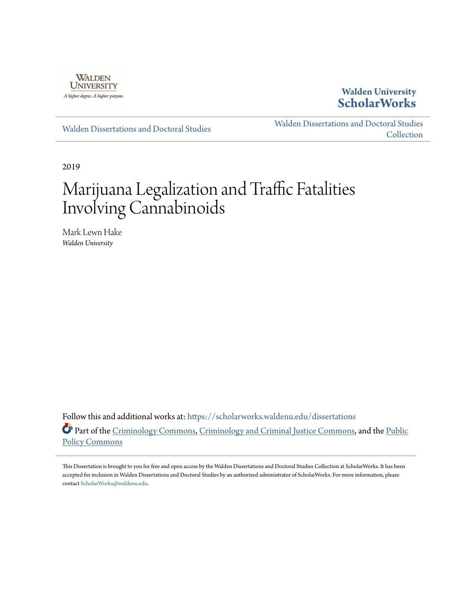

## **Walden University [ScholarWorks](https://scholarworks.waldenu.edu?utm_source=scholarworks.waldenu.edu%2Fdissertations%2F6330&utm_medium=PDF&utm_campaign=PDFCoverPages)**

[Walden Dissertations and Doctoral Studies](https://scholarworks.waldenu.edu/dissertations?utm_source=scholarworks.waldenu.edu%2Fdissertations%2F6330&utm_medium=PDF&utm_campaign=PDFCoverPages)

[Walden Dissertations and Doctoral Studies](https://scholarworks.waldenu.edu/dissanddoc?utm_source=scholarworks.waldenu.edu%2Fdissertations%2F6330&utm_medium=PDF&utm_campaign=PDFCoverPages) **[Collection](https://scholarworks.waldenu.edu/dissanddoc?utm_source=scholarworks.waldenu.edu%2Fdissertations%2F6330&utm_medium=PDF&utm_campaign=PDFCoverPages)** 

2019

# Marijuana Legalization and Traffic Fatalities Involving Cannabinoids

Mark Lewn Hake *Walden University*

Follow this and additional works at: [https://scholarworks.waldenu.edu/dissertations](https://scholarworks.waldenu.edu/dissertations?utm_source=scholarworks.waldenu.edu%2Fdissertations%2F6330&utm_medium=PDF&utm_campaign=PDFCoverPages) Part of the [Criminology Commons,](http://network.bepress.com/hgg/discipline/417?utm_source=scholarworks.waldenu.edu%2Fdissertations%2F6330&utm_medium=PDF&utm_campaign=PDFCoverPages) [Criminology and Criminal Justice Commons](http://network.bepress.com/hgg/discipline/367?utm_source=scholarworks.waldenu.edu%2Fdissertations%2F6330&utm_medium=PDF&utm_campaign=PDFCoverPages), and the [Public](http://network.bepress.com/hgg/discipline/400?utm_source=scholarworks.waldenu.edu%2Fdissertations%2F6330&utm_medium=PDF&utm_campaign=PDFCoverPages) [Policy Commons](http://network.bepress.com/hgg/discipline/400?utm_source=scholarworks.waldenu.edu%2Fdissertations%2F6330&utm_medium=PDF&utm_campaign=PDFCoverPages)

This Dissertation is brought to you for free and open access by the Walden Dissertations and Doctoral Studies Collection at ScholarWorks. It has been accepted for inclusion in Walden Dissertations and Doctoral Studies by an authorized administrator of ScholarWorks. For more information, please contact [ScholarWorks@waldenu.edu](mailto:ScholarWorks@waldenu.edu).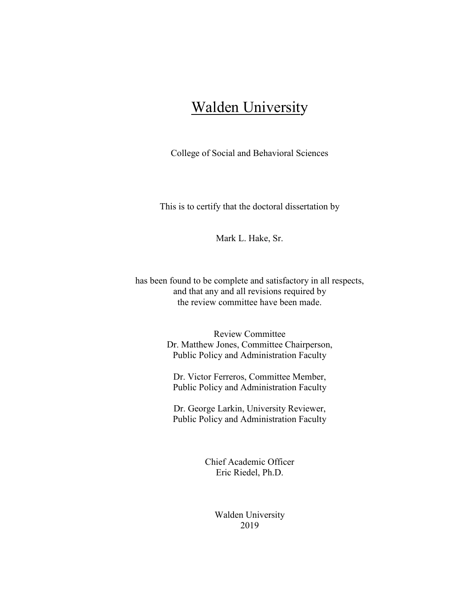## **Walden University**

College of Social and Behavioral Sciences

This is to certify that the doctoral dissertation by

Mark L. Hake, Sr.

has been found to be complete and satisfactory in all respects, and that any and all revisions required by the review committee have been made.

> Review Committee Dr. Matthew Jones, Committee Chairperson, Public Policy and Administration Faculty

Dr. Victor Ferreros, Committee Member, Public Policy and Administration Faculty

Dr. George Larkin, University Reviewer, Public Policy and Administration Faculty

> Chief Academic Officer Eric Riedel, Ph.D.

> > Walden University 2019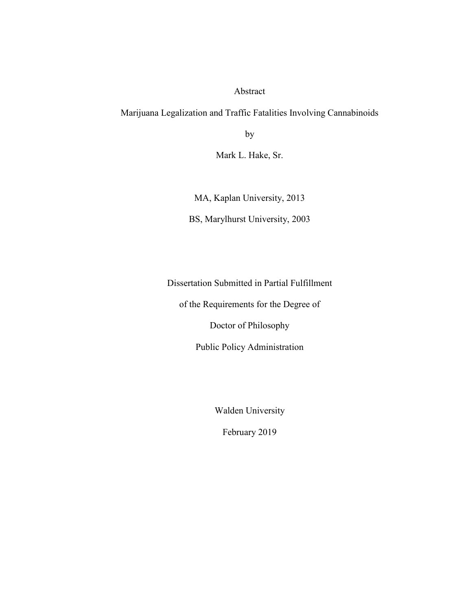Abstract

Marijuana Legalization and Traffic Fatalities Involving Cannabinoids

by

Mark L. Hake, Sr.

MA, Kaplan University, 2013

BS, Marylhurst University, 2003

Dissertation Submitted in Partial Fulfillment

of the Requirements for the Degree of

Doctor of Philosophy

Public Policy Administration

Walden University

February 2019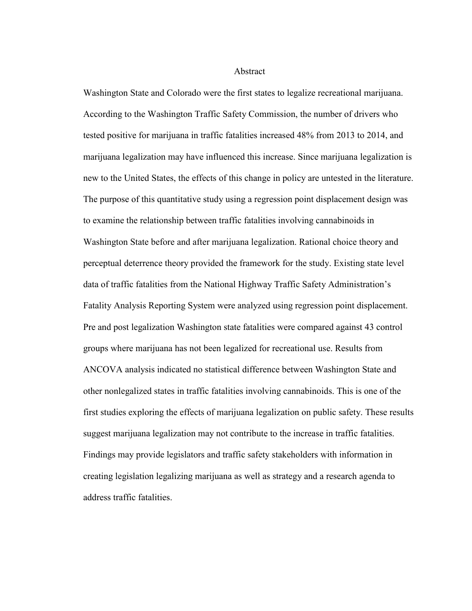Abstract

Washington State and Colorado were the first states to legalize recreational marijuana. According to the Washington Traffic Safety Commission, the number of drivers who tested positive for marijuana in traffic fatalities increased 48% from 2013 to 2014, and marijuana legalization may have influenced this increase. Since marijuana legalization is new to the United States, the effects of this change in policy are untested in the literature. The purpose of this quantitative study using a regression point displacement design was to examine the relationship between traffic fatalities involving cannabinoids in Washington State before and after marijuana legalization. Rational choice theory and perceptual deterrence theory provided the framework for the study. Existing state level data of traffic fatalities from the National Highway Traffic Safety Administration's Fatality Analysis Reporting System were analyzed using regression point displacement. Pre and post legalization Washington state fatalities were compared against 43 control groups where marijuana has not been legalized for recreational use. Results from ANCOVA analysis indicated no statistical difference between Washington State and other nonlegalized states in traffic fatalities involving cannabinoids. This is one of the first studies exploring the effects of marijuana legalization on public safety. These results suggest marijuana legalization may not contribute to the increase in traffic fatalities. Findings may provide legislators and traffic safety stakeholders with information in creating legislation legalizing marijuana as well as strategy and a research agenda to address traffic fatalities.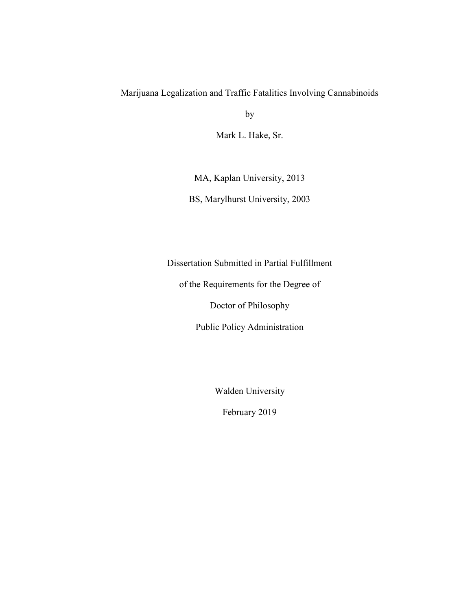### Marijuana Legalization and Traffic Fatalities Involving Cannabinoids

by

Mark L. Hake, Sr.

MA, Kaplan University, 2013

BS, Marylhurst University, 2003

Dissertation Submitted in Partial Fulfillment

of the Requirements for the Degree of

Doctor of Philosophy

Public Policy Administration

Walden University

February 2019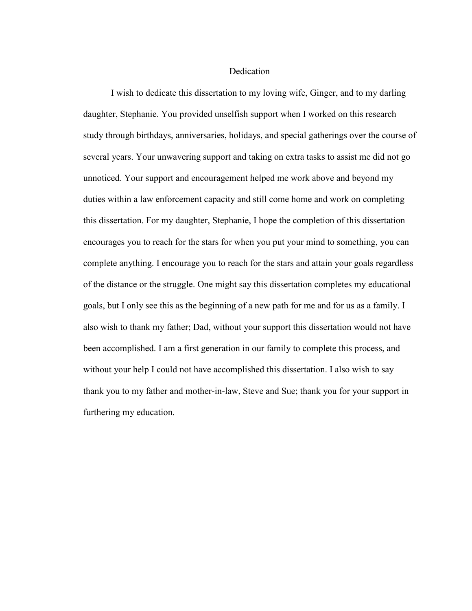#### Dedication

I wish to dedicate this dissertation to my loving wife, Ginger, and to my darling daughter, Stephanie. You provided unselfish support when I worked on this research study through birthdays, anniversaries, holidays, and special gatherings over the course of several years. Your unwavering support and taking on extra tasks to assist me did not go unnoticed. Your support and encouragement helped me work above and beyond my duties within a law enforcement capacity and still come home and work on completing this dissertation. For my daughter, Stephanie, I hope the completion of this dissertation encourages you to reach for the stars for when you put your mind to something, you can complete anything. I encourage you to reach for the stars and attain your goals regardless of the distance or the struggle. One might say this dissertation completes my educational goals, but I only see this as the beginning of a new path for me and for us as a family. I also wish to thank my father; Dad, without your support this dissertation would not have been accomplished. I am a first generation in our family to complete this process, and without your help I could not have accomplished this dissertation. I also wish to say thank you to my father and mother-in-law, Steve and Sue; thank you for your support in furthering my education.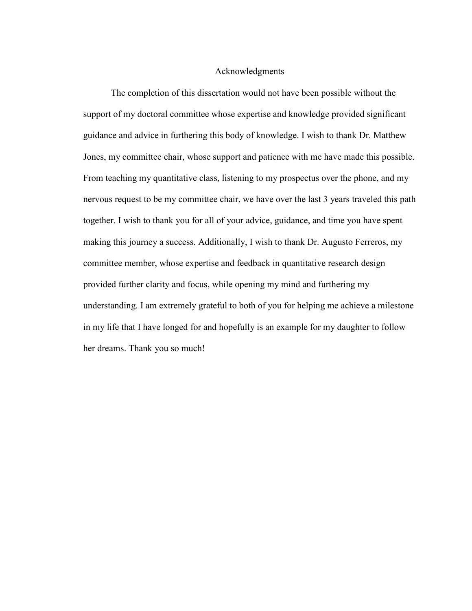#### Acknowledgments

The completion of this dissertation would not have been possible without the support of my doctoral committee whose expertise and knowledge provided significant guidance and advice in furthering this body of knowledge. I wish to thank Dr. Matthew Jones, my committee chair, whose support and patience with me have made this possible. From teaching my quantitative class, listening to my prospectus over the phone, and my nervous request to be my committee chair, we have over the last 3 years traveled this path together. I wish to thank you for all of your advice, guidance, and time you have spent making this journey a success. Additionally, I wish to thank Dr. Augusto Ferreros, my committee member, whose expertise and feedback in quantitative research design provided further clarity and focus, while opening my mind and furthering my understanding. I am extremely grateful to both of you for helping me achieve a milestone in my life that I have longed for and hopefully is an example for my daughter to follow her dreams. Thank you so much!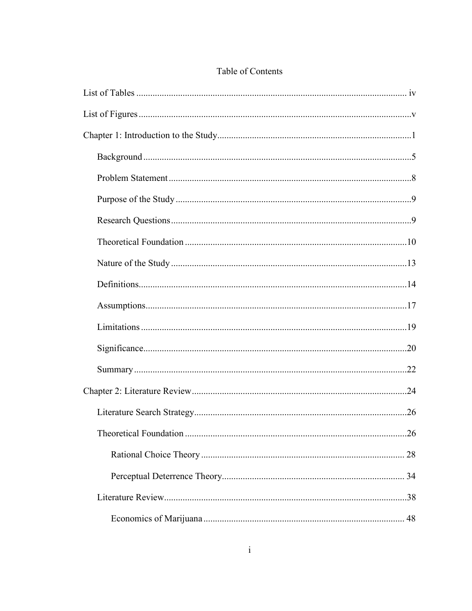| 28 |
|----|
|    |
|    |
|    |

## Table of Contents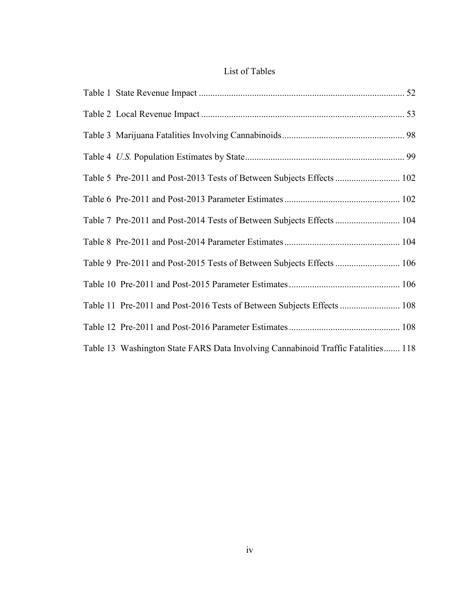### List of Tables

| Table 5 Pre-2011 and Post-2013 Tests of Between Subjects Effects  102            |  |
|----------------------------------------------------------------------------------|--|
|                                                                                  |  |
| Table 7 Pre-2011 and Post-2014 Tests of Between Subjects Effects  104            |  |
|                                                                                  |  |
| Table 9 Pre-2011 and Post-2015 Tests of Between Subjects Effects  106            |  |
|                                                                                  |  |
| Table 11 Pre-2011 and Post-2016 Tests of Between Subjects Effects  108           |  |
|                                                                                  |  |
| Table 13 Washington State FARS Data Involving Cannabinoid Traffic Fatalities 118 |  |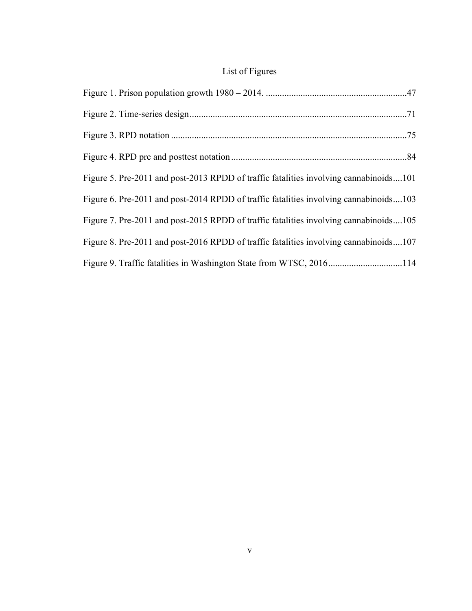## List of Figures

| Figure 5. Pre-2011 and post-2013 RPDD of traffic fatalities involving cannabinoids101 |  |
|---------------------------------------------------------------------------------------|--|
| Figure 6. Pre-2011 and post-2014 RPDD of traffic fatalities involving cannabinoids103 |  |
| Figure 7. Pre-2011 and post-2015 RPDD of traffic fatalities involving cannabinoids105 |  |
| Figure 8. Pre-2011 and post-2016 RPDD of traffic fatalities involving cannabinoids107 |  |
| Figure 9. Traffic fatalities in Washington State from WTSC, 2016114                   |  |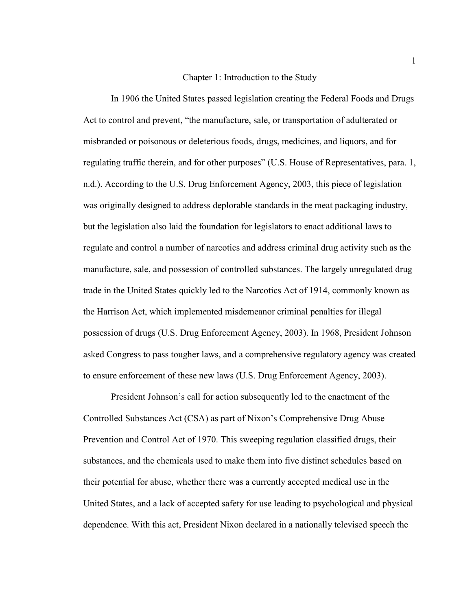#### Chapter 1: Introduction to the Study

In 1906 the United States passed legislation creating the Federal Foods and Drugs Act to control and prevent, "the manufacture, sale, or transportation of adulterated or misbranded or poisonous or deleterious foods, drugs, medicines, and liquors, and for regulating traffic therein, and for other purposes" (U.S. House of Representatives, para. 1, n.d.). According to the U.S. Drug Enforcement Agency, 2003, this piece of legislation was originally designed to address deplorable standards in the meat packaging industry, but the legislation also laid the foundation for legislators to enact additional laws to regulate and control a number of narcotics and address criminal drug activity such as the manufacture, sale, and possession of controlled substances. The largely unregulated drug trade in the United States quickly led to the Narcotics Act of 1914, commonly known as the Harrison Act, which implemented misdemeanor criminal penalties for illegal possession of drugs (U.S. Drug Enforcement Agency, 2003). In 1968, President Johnson asked Congress to pass tougher laws, and a comprehensive regulatory agency was created to ensure enforcement of these new laws (U.S. Drug Enforcement Agency, 2003).

President Johnson's call for action subsequently led to the enactment of the Controlled Substances Act (CSA) as part of Nixon's Comprehensive Drug Abuse Prevention and Control Act of 1970. This sweeping regulation classified drugs, their substances, and the chemicals used to make them into five distinct schedules based on their potential for abuse, whether there was a currently accepted medical use in the United States, and a lack of accepted safety for use leading to psychological and physical dependence. With this act, President Nixon declared in a nationally televised speech the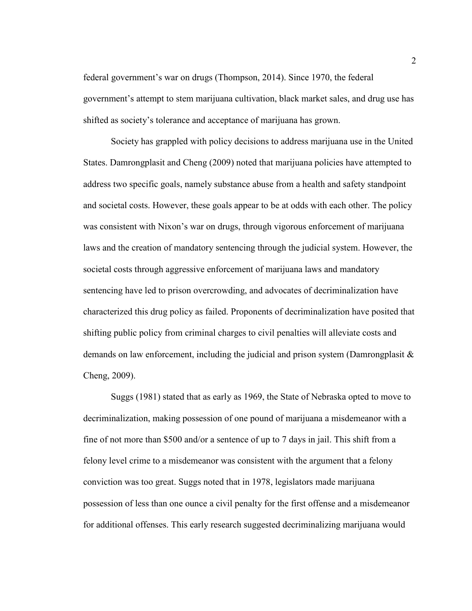federal government's war on drugs (Thompson, 2014). Since 1970, the federal government's attempt to stem marijuana cultivation, black market sales, and drug use has shifted as society's tolerance and acceptance of marijuana has grown.

Society has grappled with policy decisions to address marijuana use in the United States. Damrongplasit and Cheng (2009) noted that marijuana policies have attempted to address two specific goals, namely substance abuse from a health and safety standpoint and societal costs. However, these goals appear to be at odds with each other. The policy was consistent with Nixon's war on drugs, through vigorous enforcement of marijuana laws and the creation of mandatory sentencing through the judicial system. However, the societal costs through aggressive enforcement of marijuana laws and mandatory sentencing have led to prison overcrowding, and advocates of decriminalization have characterized this drug policy as failed. Proponents of decriminalization have posited that shifting public policy from criminal charges to civil penalties will alleviate costs and demands on law enforcement, including the judicial and prison system (Damrongplasit  $\&$ Cheng, 2009).

Suggs (1981) stated that as early as 1969, the State of Nebraska opted to move to decriminalization, making possession of one pound of marijuana a misdemeanor with a fine of not more than \$500 and/or a sentence of up to 7 days in jail. This shift from a felony level crime to a misdemeanor was consistent with the argument that a felony conviction was too great. Suggs noted that in 1978, legislators made marijuana possession of less than one ounce a civil penalty for the first offense and a misdemeanor for additional offenses. This early research suggested decriminalizing marijuana would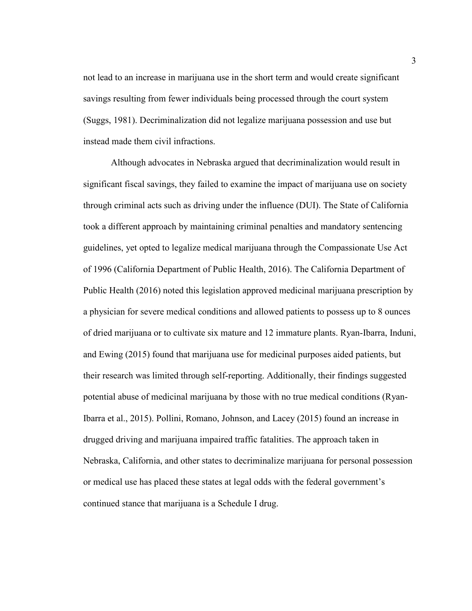not lead to an increase in marijuana use in the short term and would create significant savings resulting from fewer individuals being processed through the court system (Suggs, 1981). Decriminalization did not legalize marijuana possession and use but instead made them civil infractions.

Although advocates in Nebraska argued that decriminalization would result in significant fiscal savings, they failed to examine the impact of marijuana use on society through criminal acts such as driving under the influence (DUI). The State of California took a different approach by maintaining criminal penalties and mandatory sentencing guidelines, yet opted to legalize medical marijuana through the Compassionate Use Act of 1996 (California Department of Public Health, 2016). The California Department of Public Health (2016) noted this legislation approved medicinal marijuana prescription by a physician for severe medical conditions and allowed patients to possess up to 8 ounces of dried marijuana or to cultivate six mature and 12 immature plants. Ryan-Ibarra, Induni, and Ewing (2015) found that marijuana use for medicinal purposes aided patients, but their research was limited through self-reporting. Additionally, their findings suggested potential abuse of medicinal marijuana by those with no true medical conditions (Ryan-Ibarra et al., 2015). Pollini, Romano, Johnson, and Lacey (2015) found an increase in drugged driving and marijuana impaired traffic fatalities. The approach taken in Nebraska, California, and other states to decriminalize marijuana for personal possession or medical use has placed these states at legal odds with the federal government's continued stance that marijuana is a Schedule I drug.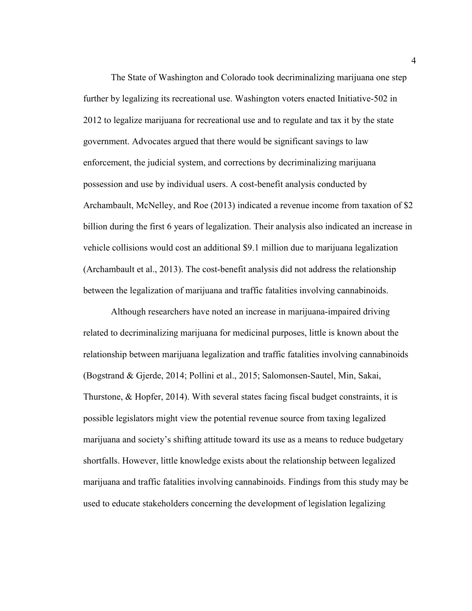The State of Washington and Colorado took decriminalizing marijuana one step further by legalizing its recreational use. Washington voters enacted Initiative-502 in 2012 to legalize marijuana for recreational use and to regulate and tax it by the state government. Advocates argued that there would be significant savings to law enforcement, the judicial system, and corrections by decriminalizing marijuana possession and use by individual users. A cost-benefit analysis conducted by Archambault, McNelley, and Roe (2013) indicated a revenue income from taxation of \$2 billion during the first 6 years of legalization. Their analysis also indicated an increase in vehicle collisions would cost an additional \$9.1 million due to marijuana legalization (Archambault et al., 2013). The cost-benefit analysis did not address the relationship between the legalization of marijuana and traffic fatalities involving cannabinoids.

Although researchers have noted an increase in marijuana-impaired driving related to decriminalizing marijuana for medicinal purposes, little is known about the relationship between marijuana legalization and traffic fatalities involving cannabinoids (Bogstrand & Gjerde, 2014; Pollini et al., 2015; Salomonsen-Sautel, Min, Sakai, Thurstone, & Hopfer, 2014). With several states facing fiscal budget constraints, it is possible legislators might view the potential revenue source from taxing legalized marijuana and society's shifting attitude toward its use as a means to reduce budgetary shortfalls. However, little knowledge exists about the relationship between legalized marijuana and traffic fatalities involving cannabinoids. Findings from this study may be used to educate stakeholders concerning the development of legislation legalizing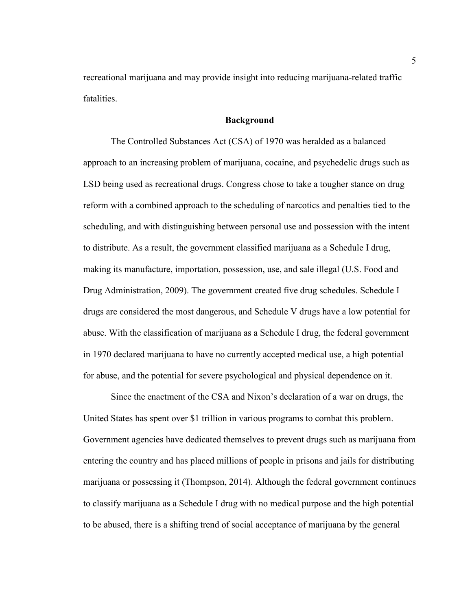recreational marijuana and may provide insight into reducing marijuana-related traffic fatalities.

#### **Background**

The Controlled Substances Act (CSA) of 1970 was heralded as a balanced approach to an increasing problem of marijuana, cocaine, and psychedelic drugs such as LSD being used as recreational drugs. Congress chose to take a tougher stance on drug reform with a combined approach to the scheduling of narcotics and penalties tied to the scheduling, and with distinguishing between personal use and possession with the intent to distribute. As a result, the government classified marijuana as a Schedule I drug, making its manufacture, importation, possession, use, and sale illegal (U.S. Food and Drug Administration, 2009). The government created five drug schedules. Schedule I drugs are considered the most dangerous, and Schedule V drugs have a low potential for abuse. With the classification of marijuana as a Schedule I drug, the federal government in 1970 declared marijuana to have no currently accepted medical use, a high potential for abuse, and the potential for severe psychological and physical dependence on it.

Since the enactment of the CSA and Nixon's declaration of a war on drugs, the United States has spent over \$1 trillion in various programs to combat this problem. Government agencies have dedicated themselves to prevent drugs such as marijuana from entering the country and has placed millions of people in prisons and jails for distributing marijuana or possessing it (Thompson, 2014). Although the federal government continues to classify marijuana as a Schedule I drug with no medical purpose and the high potential to be abused, there is a shifting trend of social acceptance of marijuana by the general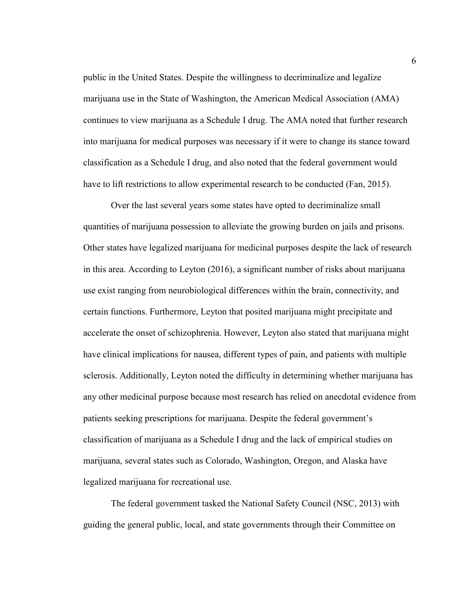public in the United States. Despite the willingness to decriminalize and legalize marijuana use in the State of Washington, the American Medical Association (AMA) continues to view marijuana as a Schedule I drug. The AMA noted that further research into marijuana for medical purposes was necessary if it were to change its stance toward classification as a Schedule I drug, and also noted that the federal government would have to lift restrictions to allow experimental research to be conducted (Fan, 2015).

Over the last several years some states have opted to decriminalize small quantities of marijuana possession to alleviate the growing burden on jails and prisons. Other states have legalized marijuana for medicinal purposes despite the lack of research in this area. According to Leyton (2016), a significant number of risks about marijuana use exist ranging from neurobiological differences within the brain, connectivity, and certain functions. Furthermore, Leyton that posited marijuana might precipitate and accelerate the onset of schizophrenia. However, Leyton also stated that marijuana might have clinical implications for nausea, different types of pain, and patients with multiple sclerosis. Additionally, Leyton noted the difficulty in determining whether marijuana has any other medicinal purpose because most research has relied on anecdotal evidence from patients seeking prescriptions for marijuana. Despite the federal government's classification of marijuana as a Schedule I drug and the lack of empirical studies on marijuana, several states such as Colorado, Washington, Oregon, and Alaska have legalized marijuana for recreational use.

The federal government tasked the National Safety Council (NSC, 2013) with guiding the general public, local, and state governments through their Committee on

6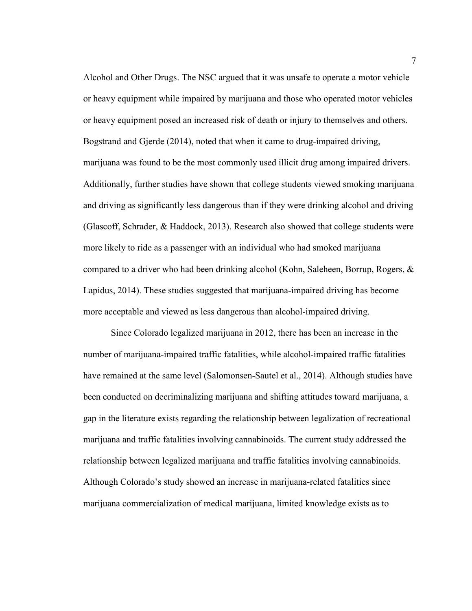Alcohol and Other Drugs. The NSC argued that it was unsafe to operate a motor vehicle or heavy equipment while impaired by marijuana and those who operated motor vehicles or heavy equipment posed an increased risk of death or injury to themselves and others. Bogstrand and Gjerde (2014), noted that when it came to drug-impaired driving, marijuana was found to be the most commonly used illicit drug among impaired drivers. Additionally, further studies have shown that college students viewed smoking marijuana and driving as significantly less dangerous than if they were drinking alcohol and driving (Glascoff, Schrader, & Haddock, 2013). Research also showed that college students were more likely to ride as a passenger with an individual who had smoked marijuana compared to a driver who had been drinking alcohol (Kohn, Saleheen, Borrup, Rogers, & Lapidus, 2014). These studies suggested that marijuana-impaired driving has become more acceptable and viewed as less dangerous than alcohol-impaired driving.

Since Colorado legalized marijuana in 2012, there has been an increase in the number of marijuana-impaired traffic fatalities, while alcohol-impaired traffic fatalities have remained at the same level (Salomonsen-Sautel et al., 2014). Although studies have been conducted on decriminalizing marijuana and shifting attitudes toward marijuana, a gap in the literature exists regarding the relationship between legalization of recreational marijuana and traffic fatalities involving cannabinoids. The current study addressed the relationship between legalized marijuana and traffic fatalities involving cannabinoids. Although Colorado's study showed an increase in marijuana-related fatalities since marijuana commercialization of medical marijuana, limited knowledge exists as to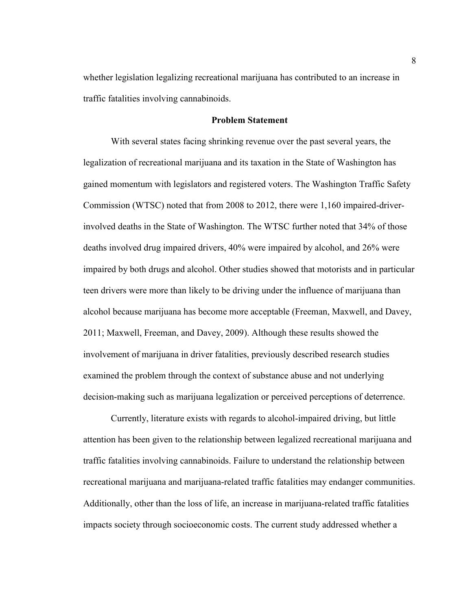whether legislation legalizing recreational marijuana has contributed to an increase in traffic fatalities involving cannabinoids.

#### **Problem Statement**

With several states facing shrinking revenue over the past several years, the legalization of recreational marijuana and its taxation in the State of Washington has gained momentum with legislators and registered voters. The Washington Traffic Safety Commission (WTSC) noted that from 2008 to 2012, there were 1,160 impaired-driverinvolved deaths in the State of Washington. The WTSC further noted that 34% of those deaths involved drug impaired drivers, 40% were impaired by alcohol, and 26% were impaired by both drugs and alcohol. Other studies showed that motorists and in particular teen drivers were more than likely to be driving under the influence of marijuana than alcohol because marijuana has become more acceptable (Freeman, Maxwell, and Davey, 2011; Maxwell, Freeman, and Davey, 2009). Although these results showed the involvement of marijuana in driver fatalities, previously described research studies examined the problem through the context of substance abuse and not underlying decision-making such as marijuana legalization or perceived perceptions of deterrence.

Currently, literature exists with regards to alcohol-impaired driving, but little attention has been given to the relationship between legalized recreational marijuana and traffic fatalities involving cannabinoids. Failure to understand the relationship between recreational marijuana and marijuana-related traffic fatalities may endanger communities. Additionally, other than the loss of life, an increase in marijuana-related traffic fatalities impacts society through socioeconomic costs. The current study addressed whether a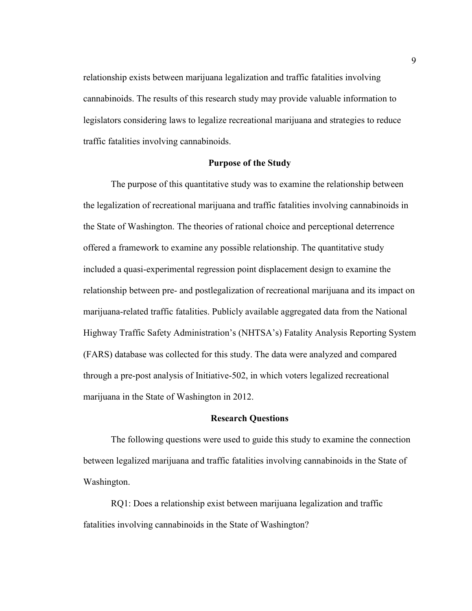relationship exists between marijuana legalization and traffic fatalities involving cannabinoids. The results of this research study may provide valuable information to legislators considering laws to legalize recreational marijuana and strategies to reduce traffic fatalities involving cannabinoids.

#### **Purpose of the Study**

The purpose of this quantitative study was to examine the relationship between the legalization of recreational marijuana and traffic fatalities involving cannabinoids in the State of Washington. The theories of rational choice and perceptional deterrence offered a framework to examine any possible relationship. The quantitative study included a quasi-experimental regression point displacement design to examine the relationship between pre- and postlegalization of recreational marijuana and its impact on marijuana-related traffic fatalities. Publicly available aggregated data from the National Highway Traffic Safety Administration's (NHTSA's) Fatality Analysis Reporting System (FARS) database was collected for this study. The data were analyzed and compared through a pre-post analysis of Initiative-502, in which voters legalized recreational marijuana in the State of Washington in 2012.

#### **Research Questions**

The following questions were used to guide this study to examine the connection between legalized marijuana and traffic fatalities involving cannabinoids in the State of Washington.

RQ1: Does a relationship exist between marijuana legalization and traffic fatalities involving cannabinoids in the State of Washington?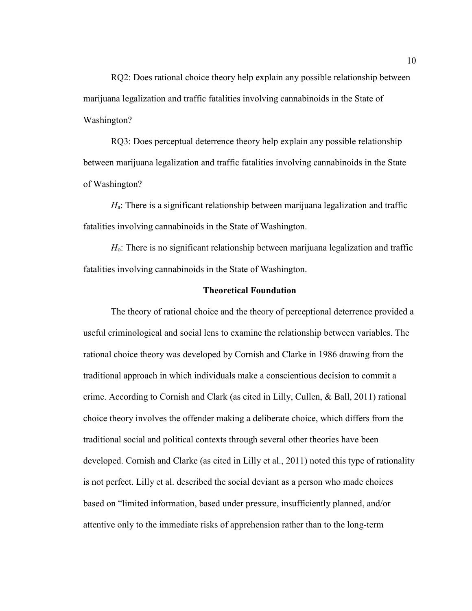RQ2: Does rational choice theory help explain any possible relationship between marijuana legalization and traffic fatalities involving cannabinoids in the State of Washington?

RQ3: Does perceptual deterrence theory help explain any possible relationship between marijuana legalization and traffic fatalities involving cannabinoids in the State of Washington?

*H*a: There is a significant relationship between marijuana legalization and traffic fatalities involving cannabinoids in the State of Washington.

*H*o: There is no significant relationship between marijuana legalization and traffic fatalities involving cannabinoids in the State of Washington.

#### **Theoretical Foundation**

The theory of rational choice and the theory of perceptional deterrence provided a useful criminological and social lens to examine the relationship between variables. The rational choice theory was developed by Cornish and Clarke in 1986 drawing from the traditional approach in which individuals make a conscientious decision to commit a crime. According to Cornish and Clark (as cited in Lilly, Cullen, & Ball, 2011) rational choice theory involves the offender making a deliberate choice, which differs from the traditional social and political contexts through several other theories have been developed. Cornish and Clarke (as cited in Lilly et al., 2011) noted this type of rationality is not perfect. Lilly et al. described the social deviant as a person who made choices based on "limited information, based under pressure, insufficiently planned, and/or attentive only to the immediate risks of apprehension rather than to the long-term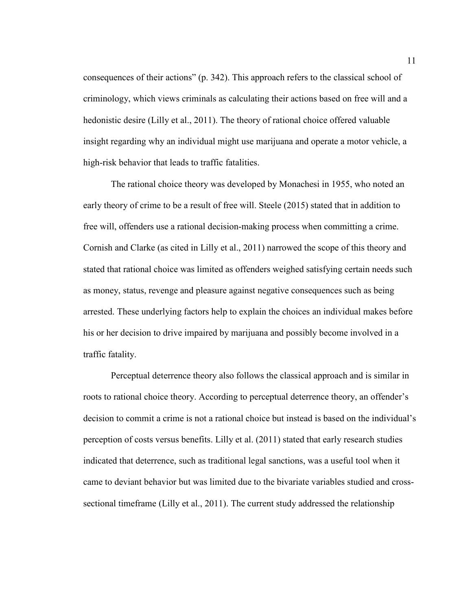consequences of their actions" (p. 342). This approach refers to the classical school of criminology, which views criminals as calculating their actions based on free will and a hedonistic desire (Lilly et al., 2011). The theory of rational choice offered valuable insight regarding why an individual might use marijuana and operate a motor vehicle, a high-risk behavior that leads to traffic fatalities.

The rational choice theory was developed by Monachesi in 1955, who noted an early theory of crime to be a result of free will. Steele (2015) stated that in addition to free will, offenders use a rational decision-making process when committing a crime. Cornish and Clarke (as cited in Lilly et al., 2011) narrowed the scope of this theory and stated that rational choice was limited as offenders weighed satisfying certain needs such as money, status, revenge and pleasure against negative consequences such as being arrested. These underlying factors help to explain the choices an individual makes before his or her decision to drive impaired by marijuana and possibly become involved in a traffic fatality.

Perceptual deterrence theory also follows the classical approach and is similar in roots to rational choice theory. According to perceptual deterrence theory, an offender's decision to commit a crime is not a rational choice but instead is based on the individual's perception of costs versus benefits. Lilly et al. (2011) stated that early research studies indicated that deterrence, such as traditional legal sanctions, was a useful tool when it came to deviant behavior but was limited due to the bivariate variables studied and crosssectional timeframe (Lilly et al., 2011). The current study addressed the relationship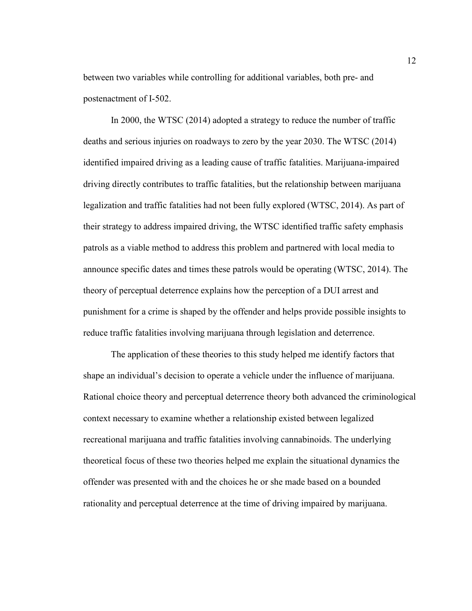between two variables while controlling for additional variables, both pre- and postenactment of I-502.

In 2000, the WTSC (2014) adopted a strategy to reduce the number of traffic deaths and serious injuries on roadways to zero by the year 2030. The WTSC (2014) identified impaired driving as a leading cause of traffic fatalities. Marijuana-impaired driving directly contributes to traffic fatalities, but the relationship between marijuana legalization and traffic fatalities had not been fully explored (WTSC, 2014). As part of their strategy to address impaired driving, the WTSC identified traffic safety emphasis patrols as a viable method to address this problem and partnered with local media to announce specific dates and times these patrols would be operating (WTSC, 2014). The theory of perceptual deterrence explains how the perception of a DUI arrest and punishment for a crime is shaped by the offender and helps provide possible insights to reduce traffic fatalities involving marijuana through legislation and deterrence.

The application of these theories to this study helped me identify factors that shape an individual's decision to operate a vehicle under the influence of marijuana. Rational choice theory and perceptual deterrence theory both advanced the criminological context necessary to examine whether a relationship existed between legalized recreational marijuana and traffic fatalities involving cannabinoids. The underlying theoretical focus of these two theories helped me explain the situational dynamics the offender was presented with and the choices he or she made based on a bounded rationality and perceptual deterrence at the time of driving impaired by marijuana.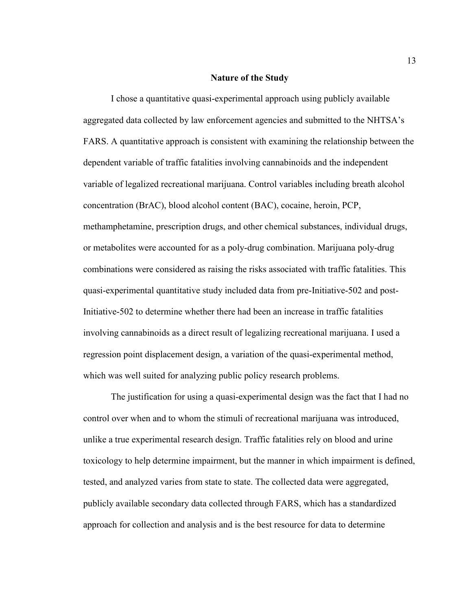#### **Nature of the Study**

I chose a quantitative quasi-experimental approach using publicly available aggregated data collected by law enforcement agencies and submitted to the NHTSA's FARS. A quantitative approach is consistent with examining the relationship between the dependent variable of traffic fatalities involving cannabinoids and the independent variable of legalized recreational marijuana. Control variables including breath alcohol concentration (BrAC), blood alcohol content (BAC), cocaine, heroin, PCP, methamphetamine, prescription drugs, and other chemical substances, individual drugs, or metabolites were accounted for as a poly-drug combination. Marijuana poly-drug combinations were considered as raising the risks associated with traffic fatalities. This quasi-experimental quantitative study included data from pre-Initiative-502 and post-Initiative-502 to determine whether there had been an increase in traffic fatalities involving cannabinoids as a direct result of legalizing recreational marijuana. I used a regression point displacement design, a variation of the quasi-experimental method, which was well suited for analyzing public policy research problems.

The justification for using a quasi-experimental design was the fact that I had no control over when and to whom the stimuli of recreational marijuana was introduced, unlike a true experimental research design. Traffic fatalities rely on blood and urine toxicology to help determine impairment, but the manner in which impairment is defined, tested, and analyzed varies from state to state. The collected data were aggregated, publicly available secondary data collected through FARS, which has a standardized approach for collection and analysis and is the best resource for data to determine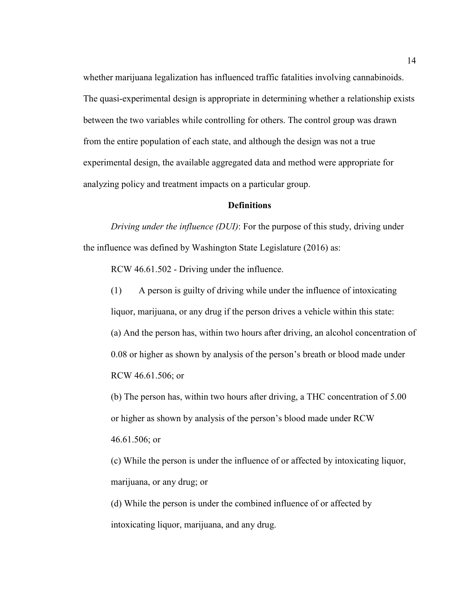whether marijuana legalization has influenced traffic fatalities involving cannabinoids. The quasi-experimental design is appropriate in determining whether a relationship exists between the two variables while controlling for others. The control group was drawn from the entire population of each state, and although the design was not a true experimental design, the available aggregated data and method were appropriate for analyzing policy and treatment impacts on a particular group.

#### **Definitions**

*Driving under the influence (DUI)*: For the purpose of this study, driving under the influence was defined by Washington State Legislature (2016) as:

RCW 46.61.502 - Driving under the influence.

(1) A person is guilty of driving while under the influence of intoxicating liquor, marijuana, or any drug if the person drives a vehicle within this state: (a) And the person has, within two hours after driving, an alcohol concentration of 0.08 or higher as shown by analysis of the person's breath or blood made under RCW 46.61.506; or

(b) The person has, within two hours after driving, a THC concentration of 5.00 or higher as shown by analysis of the person's blood made under RCW 46.61.506; or

(c) While the person is under the influence of or affected by intoxicating liquor, marijuana, or any drug; or

(d) While the person is under the combined influence of or affected by intoxicating liquor, marijuana, and any drug.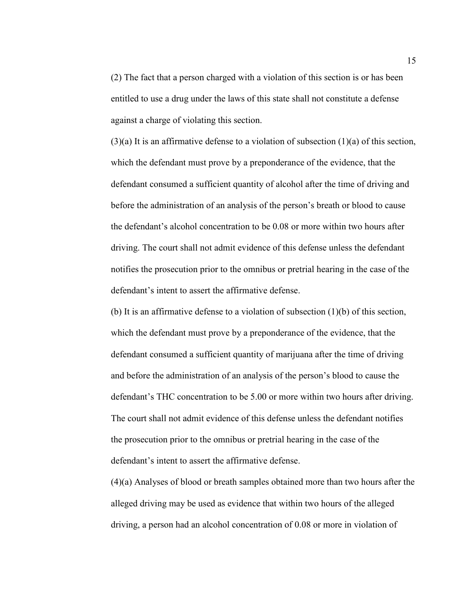(2) The fact that a person charged with a violation of this section is or has been entitled to use a drug under the laws of this state shall not constitute a defense against a charge of violating this section.

 $(3)(a)$  It is an affirmative defense to a violation of subsection  $(1)(a)$  of this section, which the defendant must prove by a preponderance of the evidence, that the defendant consumed a sufficient quantity of alcohol after the time of driving and before the administration of an analysis of the person's breath or blood to cause the defendant's alcohol concentration to be 0.08 or more within two hours after driving. The court shall not admit evidence of this defense unless the defendant notifies the prosecution prior to the omnibus or pretrial hearing in the case of the defendant's intent to assert the affirmative defense.

(b) It is an affirmative defense to a violation of subsection (1)(b) of this section, which the defendant must prove by a preponderance of the evidence, that the defendant consumed a sufficient quantity of marijuana after the time of driving and before the administration of an analysis of the person's blood to cause the defendant's THC concentration to be 5.00 or more within two hours after driving. The court shall not admit evidence of this defense unless the defendant notifies the prosecution prior to the omnibus or pretrial hearing in the case of the defendant's intent to assert the affirmative defense.

(4)(a) Analyses of blood or breath samples obtained more than two hours after the alleged driving may be used as evidence that within two hours of the alleged driving, a person had an alcohol concentration of 0.08 or more in violation of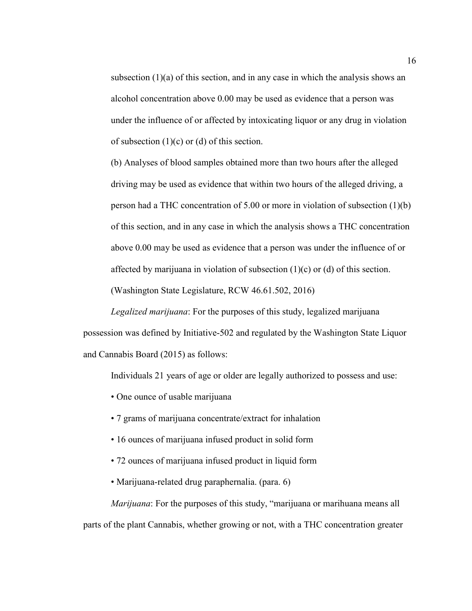subsection  $(1)(a)$  of this section, and in any case in which the analysis shows an alcohol concentration above 0.00 may be used as evidence that a person was under the influence of or affected by intoxicating liquor or any drug in violation of subsection  $(1)(c)$  or  $(d)$  of this section.

(b) Analyses of blood samples obtained more than two hours after the alleged driving may be used as evidence that within two hours of the alleged driving, a person had a THC concentration of 5.00 or more in violation of subsection (1)(b) of this section, and in any case in which the analysis shows a THC concentration above 0.00 may be used as evidence that a person was under the influence of or affected by marijuana in violation of subsection (1)(c) or (d) of this section.

(Washington State Legislature, RCW 46.61.502, 2016)

*Legalized marijuana*: For the purposes of this study, legalized marijuana possession was defined by Initiative-502 and regulated by the Washington State Liquor and Cannabis Board (2015) as follows:

Individuals 21 years of age or older are legally authorized to possess and use:

- One ounce of usable marijuana
- 7 grams of marijuana concentrate/extract for inhalation
- 16 ounces of marijuana infused product in solid form
- 72 ounces of marijuana infused product in liquid form
- Marijuana-related drug paraphernalia. (para. 6)

*Marijuana*: For the purposes of this study, "marijuana or marihuana means all parts of the plant Cannabis, whether growing or not, with a THC concentration greater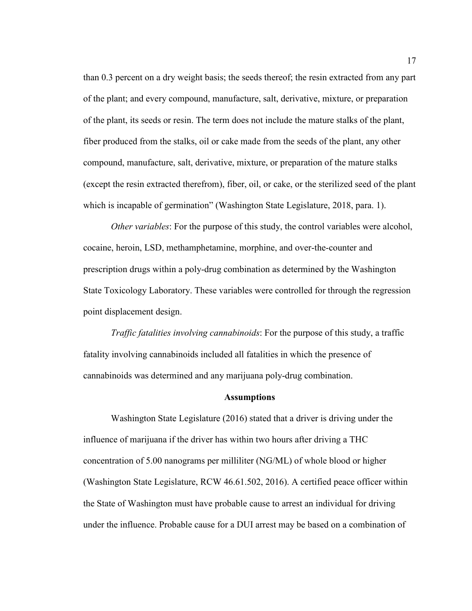than 0.3 percent on a dry weight basis; the seeds thereof; the resin extracted from any part of the plant; and every compound, manufacture, salt, derivative, mixture, or preparation of the plant, its seeds or resin. The term does not include the mature stalks of the plant, fiber produced from the stalks, oil or cake made from the seeds of the plant, any other compound, manufacture, salt, derivative, mixture, or preparation of the mature stalks (except the resin extracted therefrom), fiber, oil, or cake, or the sterilized seed of the plant which is incapable of germination" (Washington State Legislature, 2018, para. 1).

*Other variables*: For the purpose of this study, the control variables were alcohol, cocaine, heroin, LSD, methamphetamine, morphine, and over-the-counter and prescription drugs within a poly-drug combination as determined by the Washington State Toxicology Laboratory. These variables were controlled for through the regression point displacement design.

*Traffic fatalities involving cannabinoids*: For the purpose of this study, a traffic fatality involving cannabinoids included all fatalities in which the presence of cannabinoids was determined and any marijuana poly-drug combination.

#### **Assumptions**

Washington State Legislature (2016) stated that a driver is driving under the influence of marijuana if the driver has within two hours after driving a THC concentration of 5.00 nanograms per milliliter (NG/ML) of whole blood or higher (Washington State Legislature, RCW 46.61.502, 2016). A certified peace officer within the State of Washington must have probable cause to arrest an individual for driving under the influence. Probable cause for a DUI arrest may be based on a combination of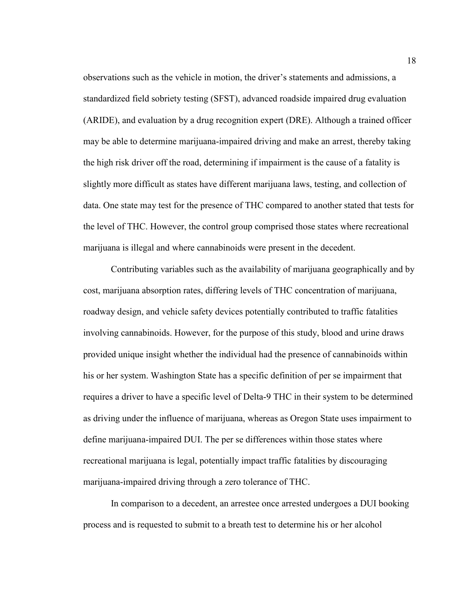observations such as the vehicle in motion, the driver's statements and admissions, a standardized field sobriety testing (SFST), advanced roadside impaired drug evaluation (ARIDE), and evaluation by a drug recognition expert (DRE). Although a trained officer may be able to determine marijuana-impaired driving and make an arrest, thereby taking the high risk driver off the road, determining if impairment is the cause of a fatality is slightly more difficult as states have different marijuana laws, testing, and collection of data. One state may test for the presence of THC compared to another stated that tests for the level of THC. However, the control group comprised those states where recreational marijuana is illegal and where cannabinoids were present in the decedent.

Contributing variables such as the availability of marijuana geographically and by cost, marijuana absorption rates, differing levels of THC concentration of marijuana, roadway design, and vehicle safety devices potentially contributed to traffic fatalities involving cannabinoids. However, for the purpose of this study, blood and urine draws provided unique insight whether the individual had the presence of cannabinoids within his or her system. Washington State has a specific definition of per se impairment that requires a driver to have a specific level of Delta-9 THC in their system to be determined as driving under the influence of marijuana, whereas as Oregon State uses impairment to define marijuana-impaired DUI. The per se differences within those states where recreational marijuana is legal, potentially impact traffic fatalities by discouraging marijuana-impaired driving through a zero tolerance of THC.

In comparison to a decedent, an arrestee once arrested undergoes a DUI booking process and is requested to submit to a breath test to determine his or her alcohol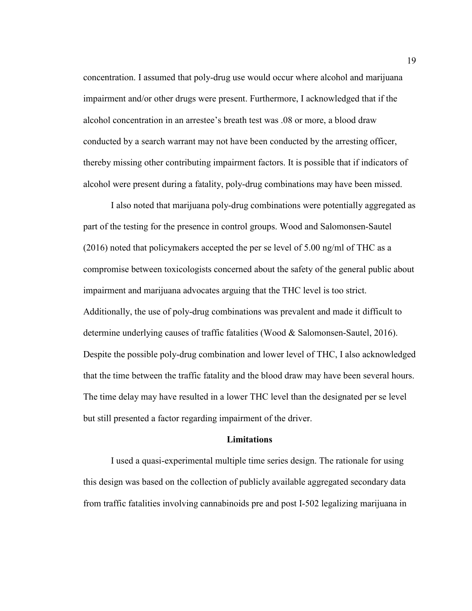concentration. I assumed that poly-drug use would occur where alcohol and marijuana impairment and/or other drugs were present. Furthermore, I acknowledged that if the alcohol concentration in an arrestee's breath test was .08 or more, a blood draw conducted by a search warrant may not have been conducted by the arresting officer, thereby missing other contributing impairment factors. It is possible that if indicators of alcohol were present during a fatality, poly-drug combinations may have been missed.

I also noted that marijuana poly-drug combinations were potentially aggregated as part of the testing for the presence in control groups. Wood and Salomonsen-Sautel (2016) noted that policymakers accepted the per se level of 5.00 ng/ml of THC as a compromise between toxicologists concerned about the safety of the general public about impairment and marijuana advocates arguing that the THC level is too strict. Additionally, the use of poly-drug combinations was prevalent and made it difficult to determine underlying causes of traffic fatalities (Wood & Salomonsen-Sautel, 2016). Despite the possible poly-drug combination and lower level of THC, I also acknowledged that the time between the traffic fatality and the blood draw may have been several hours. The time delay may have resulted in a lower THC level than the designated per se level but still presented a factor regarding impairment of the driver.

#### **Limitations**

 I used a quasi-experimental multiple time series design. The rationale for using this design was based on the collection of publicly available aggregated secondary data from traffic fatalities involving cannabinoids pre and post I-502 legalizing marijuana in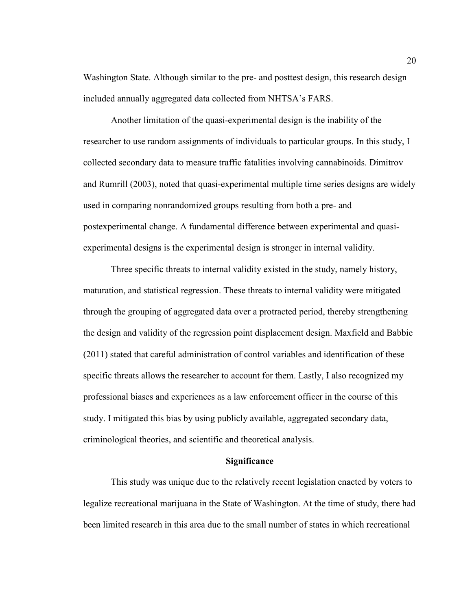Washington State. Although similar to the pre- and posttest design, this research design included annually aggregated data collected from NHTSA's FARS.

 Another limitation of the quasi-experimental design is the inability of the researcher to use random assignments of individuals to particular groups. In this study, I collected secondary data to measure traffic fatalities involving cannabinoids. Dimitrov and Rumrill (2003), noted that quasi-experimental multiple time series designs are widely used in comparing nonrandomized groups resulting from both a pre- and postexperimental change. A fundamental difference between experimental and quasiexperimental designs is the experimental design is stronger in internal validity.

Three specific threats to internal validity existed in the study, namely history, maturation, and statistical regression. These threats to internal validity were mitigated through the grouping of aggregated data over a protracted period, thereby strengthening the design and validity of the regression point displacement design. Maxfield and Babbie (2011) stated that careful administration of control variables and identification of these specific threats allows the researcher to account for them. Lastly, I also recognized my professional biases and experiences as a law enforcement officer in the course of this study. I mitigated this bias by using publicly available, aggregated secondary data, criminological theories, and scientific and theoretical analysis.

#### **Significance**

This study was unique due to the relatively recent legislation enacted by voters to legalize recreational marijuana in the State of Washington. At the time of study, there had been limited research in this area due to the small number of states in which recreational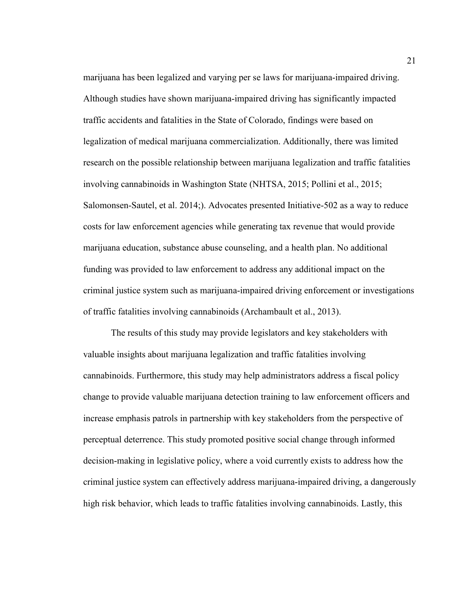marijuana has been legalized and varying per se laws for marijuana-impaired driving. Although studies have shown marijuana-impaired driving has significantly impacted traffic accidents and fatalities in the State of Colorado, findings were based on legalization of medical marijuana commercialization. Additionally, there was limited research on the possible relationship between marijuana legalization and traffic fatalities involving cannabinoids in Washington State (NHTSA, 2015; Pollini et al., 2015; Salomonsen-Sautel, et al. 2014;). Advocates presented Initiative-502 as a way to reduce costs for law enforcement agencies while generating tax revenue that would provide marijuana education, substance abuse counseling, and a health plan. No additional funding was provided to law enforcement to address any additional impact on the criminal justice system such as marijuana-impaired driving enforcement or investigations of traffic fatalities involving cannabinoids (Archambault et al., 2013).

The results of this study may provide legislators and key stakeholders with valuable insights about marijuana legalization and traffic fatalities involving cannabinoids. Furthermore, this study may help administrators address a fiscal policy change to provide valuable marijuana detection training to law enforcement officers and increase emphasis patrols in partnership with key stakeholders from the perspective of perceptual deterrence. This study promoted positive social change through informed decision-making in legislative policy, where a void currently exists to address how the criminal justice system can effectively address marijuana-impaired driving, a dangerously high risk behavior, which leads to traffic fatalities involving cannabinoids. Lastly, this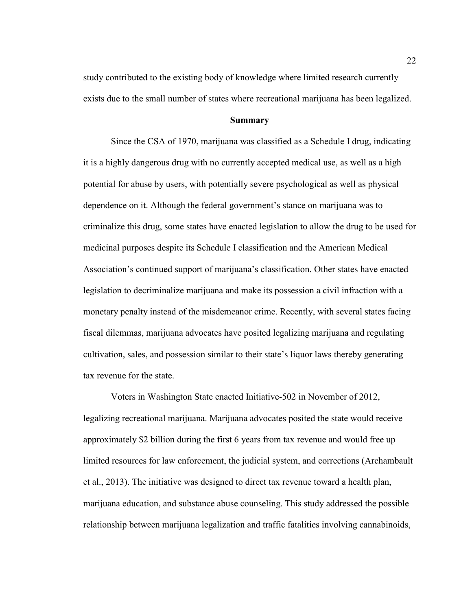study contributed to the existing body of knowledge where limited research currently exists due to the small number of states where recreational marijuana has been legalized.

#### **Summary**

Since the CSA of 1970, marijuana was classified as a Schedule I drug, indicating it is a highly dangerous drug with no currently accepted medical use, as well as a high potential for abuse by users, with potentially severe psychological as well as physical dependence on it. Although the federal government's stance on marijuana was to criminalize this drug, some states have enacted legislation to allow the drug to be used for medicinal purposes despite its Schedule I classification and the American Medical Association's continued support of marijuana's classification. Other states have enacted legislation to decriminalize marijuana and make its possession a civil infraction with a monetary penalty instead of the misdemeanor crime. Recently, with several states facing fiscal dilemmas, marijuana advocates have posited legalizing marijuana and regulating cultivation, sales, and possession similar to their state's liquor laws thereby generating tax revenue for the state.

Voters in Washington State enacted Initiative-502 in November of 2012, legalizing recreational marijuana. Marijuana advocates posited the state would receive approximately \$2 billion during the first 6 years from tax revenue and would free up limited resources for law enforcement, the judicial system, and corrections (Archambault et al., 2013). The initiative was designed to direct tax revenue toward a health plan, marijuana education, and substance abuse counseling. This study addressed the possible relationship between marijuana legalization and traffic fatalities involving cannabinoids,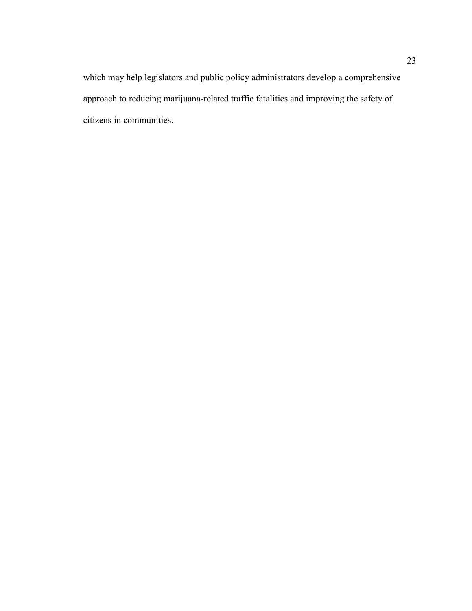which may help legislators and public policy administrators develop a comprehensive approach to reducing marijuana-related traffic fatalities and improving the safety of citizens in communities.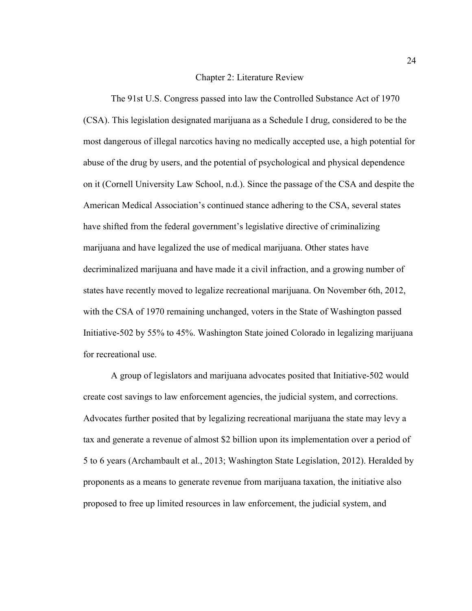#### Chapter 2: Literature Review

 The 91st U.S. Congress passed into law the Controlled Substance Act of 1970 (CSA). This legislation designated marijuana as a Schedule I drug, considered to be the most dangerous of illegal narcotics having no medically accepted use, a high potential for abuse of the drug by users, and the potential of psychological and physical dependence on it (Cornell University Law School, n.d.). Since the passage of the CSA and despite the American Medical Association's continued stance adhering to the CSA, several states have shifted from the federal government's legislative directive of criminalizing marijuana and have legalized the use of medical marijuana. Other states have decriminalized marijuana and have made it a civil infraction, and a growing number of states have recently moved to legalize recreational marijuana. On November 6th, 2012, with the CSA of 1970 remaining unchanged, voters in the State of Washington passed Initiative-502 by 55% to 45%. Washington State joined Colorado in legalizing marijuana for recreational use.

A group of legislators and marijuana advocates posited that Initiative-502 would create cost savings to law enforcement agencies, the judicial system, and corrections. Advocates further posited that by legalizing recreational marijuana the state may levy a tax and generate a revenue of almost \$2 billion upon its implementation over a period of 5 to 6 years (Archambault et al., 2013; Washington State Legislation, 2012). Heralded by proponents as a means to generate revenue from marijuana taxation, the initiative also proposed to free up limited resources in law enforcement, the judicial system, and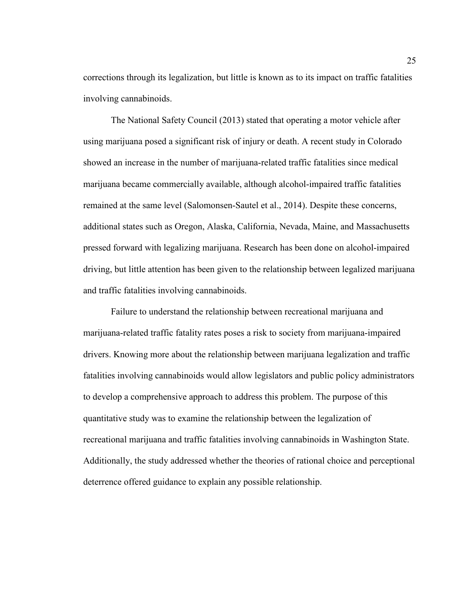corrections through its legalization, but little is known as to its impact on traffic fatalities involving cannabinoids.

The National Safety Council (2013) stated that operating a motor vehicle after using marijuana posed a significant risk of injury or death. A recent study in Colorado showed an increase in the number of marijuana-related traffic fatalities since medical marijuana became commercially available, although alcohol-impaired traffic fatalities remained at the same level (Salomonsen-Sautel et al., 2014). Despite these concerns, additional states such as Oregon, Alaska, California, Nevada, Maine, and Massachusetts pressed forward with legalizing marijuana. Research has been done on alcohol-impaired driving, but little attention has been given to the relationship between legalized marijuana and traffic fatalities involving cannabinoids.

Failure to understand the relationship between recreational marijuana and marijuana-related traffic fatality rates poses a risk to society from marijuana-impaired drivers. Knowing more about the relationship between marijuana legalization and traffic fatalities involving cannabinoids would allow legislators and public policy administrators to develop a comprehensive approach to address this problem. The purpose of this quantitative study was to examine the relationship between the legalization of recreational marijuana and traffic fatalities involving cannabinoids in Washington State. Additionally, the study addressed whether the theories of rational choice and perceptional deterrence offered guidance to explain any possible relationship.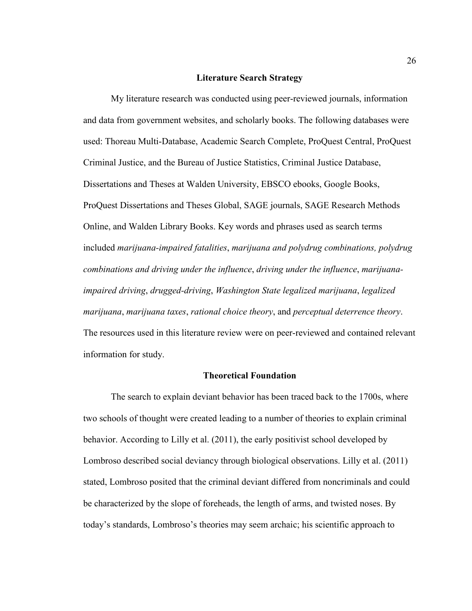## **Literature Search Strategy**

 My literature research was conducted using peer-reviewed journals, information and data from government websites, and scholarly books. The following databases were used: Thoreau Multi-Database, Academic Search Complete, ProQuest Central, ProQuest Criminal Justice, and the Bureau of Justice Statistics, Criminal Justice Database, Dissertations and Theses at Walden University, EBSCO ebooks, Google Books, ProQuest Dissertations and Theses Global, SAGE journals, SAGE Research Methods Online, and Walden Library Books. Key words and phrases used as search terms included *marijuana-impaired fatalities*, *marijuana and polydrug combinations, polydrug combinations and driving under the influence*, *driving under the influence*, *marijuanaimpaired driving*, *drugged-driving*, *Washington State legalized marijuana*, *legalized marijuana*, *marijuana taxes*, *rational choice theory*, and *perceptual deterrence theory*. The resources used in this literature review were on peer-reviewed and contained relevant information for study.

## **Theoretical Foundation**

 The search to explain deviant behavior has been traced back to the 1700s, where two schools of thought were created leading to a number of theories to explain criminal behavior. According to Lilly et al. (2011), the early positivist school developed by Lombroso described social deviancy through biological observations. Lilly et al. (2011) stated, Lombroso posited that the criminal deviant differed from noncriminals and could be characterized by the slope of foreheads, the length of arms, and twisted noses. By today's standards, Lombroso's theories may seem archaic; his scientific approach to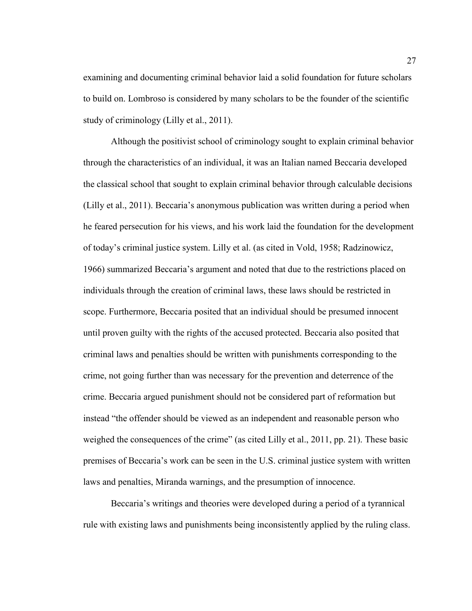examining and documenting criminal behavior laid a solid foundation for future scholars to build on. Lombroso is considered by many scholars to be the founder of the scientific study of criminology (Lilly et al., 2011).

 Although the positivist school of criminology sought to explain criminal behavior through the characteristics of an individual, it was an Italian named Beccaria developed the classical school that sought to explain criminal behavior through calculable decisions (Lilly et al., 2011). Beccaria's anonymous publication was written during a period when he feared persecution for his views, and his work laid the foundation for the development of today's criminal justice system. Lilly et al. (as cited in Vold, 1958; Radzinowicz, 1966) summarized Beccaria's argument and noted that due to the restrictions placed on individuals through the creation of criminal laws, these laws should be restricted in scope. Furthermore, Beccaria posited that an individual should be presumed innocent until proven guilty with the rights of the accused protected. Beccaria also posited that criminal laws and penalties should be written with punishments corresponding to the crime, not going further than was necessary for the prevention and deterrence of the crime. Beccaria argued punishment should not be considered part of reformation but instead "the offender should be viewed as an independent and reasonable person who weighed the consequences of the crime" (as cited Lilly et al., 2011, pp. 21). These basic premises of Beccaria's work can be seen in the U.S. criminal justice system with written laws and penalties, Miranda warnings, and the presumption of innocence.

 Beccaria's writings and theories were developed during a period of a tyrannical rule with existing laws and punishments being inconsistently applied by the ruling class.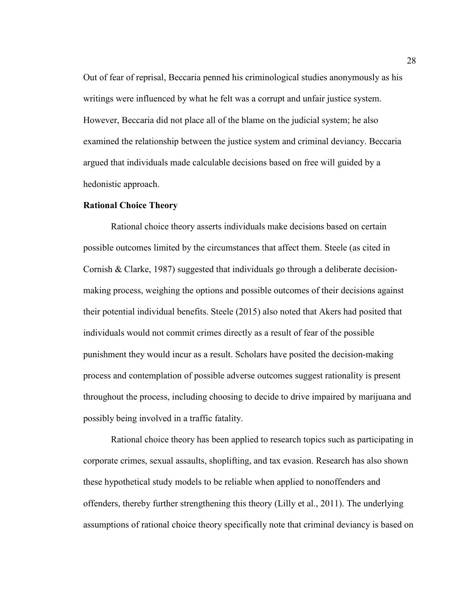Out of fear of reprisal, Beccaria penned his criminological studies anonymously as his writings were influenced by what he felt was a corrupt and unfair justice system. However, Beccaria did not place all of the blame on the judicial system; he also examined the relationship between the justice system and criminal deviancy. Beccaria argued that individuals made calculable decisions based on free will guided by a hedonistic approach.

# **Rational Choice Theory**

 Rational choice theory asserts individuals make decisions based on certain possible outcomes limited by the circumstances that affect them. Steele (as cited in Cornish & Clarke, 1987) suggested that individuals go through a deliberate decisionmaking process, weighing the options and possible outcomes of their decisions against their potential individual benefits. Steele (2015) also noted that Akers had posited that individuals would not commit crimes directly as a result of fear of the possible punishment they would incur as a result. Scholars have posited the decision-making process and contemplation of possible adverse outcomes suggest rationality is present throughout the process, including choosing to decide to drive impaired by marijuana and possibly being involved in a traffic fatality.

 Rational choice theory has been applied to research topics such as participating in corporate crimes, sexual assaults, shoplifting, and tax evasion. Research has also shown these hypothetical study models to be reliable when applied to nonoffenders and offenders, thereby further strengthening this theory (Lilly et al., 2011). The underlying assumptions of rational choice theory specifically note that criminal deviancy is based on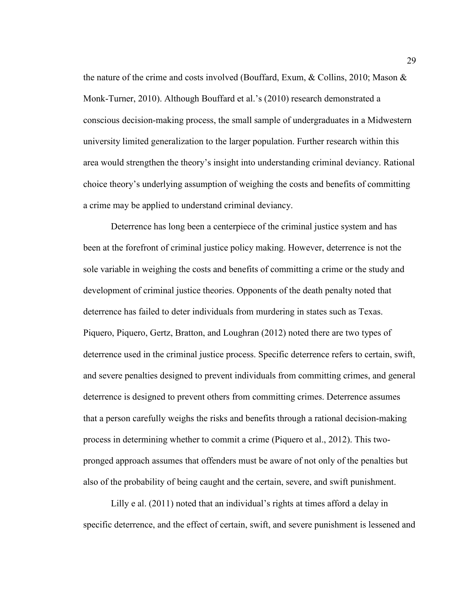the nature of the crime and costs involved (Bouffard, Exum, & Collins, 2010; Mason & Monk-Turner, 2010). Although Bouffard et al.'s (2010) research demonstrated a conscious decision-making process, the small sample of undergraduates in a Midwestern university limited generalization to the larger population. Further research within this area would strengthen the theory's insight into understanding criminal deviancy. Rational choice theory's underlying assumption of weighing the costs and benefits of committing a crime may be applied to understand criminal deviancy.

 Deterrence has long been a centerpiece of the criminal justice system and has been at the forefront of criminal justice policy making. However, deterrence is not the sole variable in weighing the costs and benefits of committing a crime or the study and development of criminal justice theories. Opponents of the death penalty noted that deterrence has failed to deter individuals from murdering in states such as Texas. Piquero, Piquero, Gertz, Bratton, and Loughran (2012) noted there are two types of deterrence used in the criminal justice process. Specific deterrence refers to certain, swift, and severe penalties designed to prevent individuals from committing crimes, and general deterrence is designed to prevent others from committing crimes. Deterrence assumes that a person carefully weighs the risks and benefits through a rational decision-making process in determining whether to commit a crime (Piquero et al., 2012). This twopronged approach assumes that offenders must be aware of not only of the penalties but also of the probability of being caught and the certain, severe, and swift punishment.

Lilly e al. (2011) noted that an individual's rights at times afford a delay in specific deterrence, and the effect of certain, swift, and severe punishment is lessened and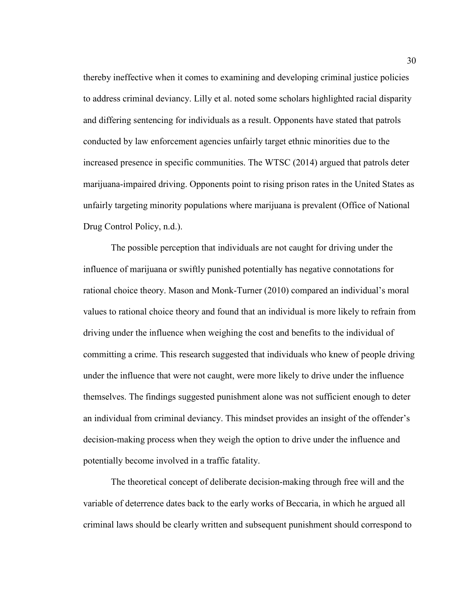thereby ineffective when it comes to examining and developing criminal justice policies to address criminal deviancy. Lilly et al. noted some scholars highlighted racial disparity and differing sentencing for individuals as a result. Opponents have stated that patrols conducted by law enforcement agencies unfairly target ethnic minorities due to the increased presence in specific communities. The WTSC (2014) argued that patrols deter marijuana-impaired driving. Opponents point to rising prison rates in the United States as unfairly targeting minority populations where marijuana is prevalent (Office of National Drug Control Policy, n.d.).

 The possible perception that individuals are not caught for driving under the influence of marijuana or swiftly punished potentially has negative connotations for rational choice theory. Mason and Monk-Turner (2010) compared an individual's moral values to rational choice theory and found that an individual is more likely to refrain from driving under the influence when weighing the cost and benefits to the individual of committing a crime. This research suggested that individuals who knew of people driving under the influence that were not caught, were more likely to drive under the influence themselves. The findings suggested punishment alone was not sufficient enough to deter an individual from criminal deviancy. This mindset provides an insight of the offender's decision-making process when they weigh the option to drive under the influence and potentially become involved in a traffic fatality.

The theoretical concept of deliberate decision-making through free will and the variable of deterrence dates back to the early works of Beccaria, in which he argued all criminal laws should be clearly written and subsequent punishment should correspond to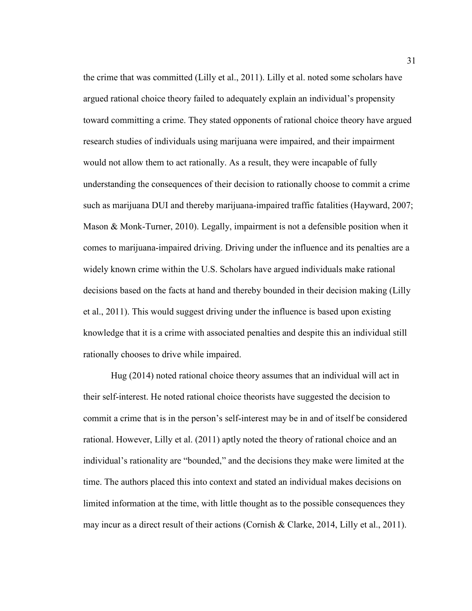the crime that was committed (Lilly et al., 2011). Lilly et al. noted some scholars have argued rational choice theory failed to adequately explain an individual's propensity toward committing a crime. They stated opponents of rational choice theory have argued research studies of individuals using marijuana were impaired, and their impairment would not allow them to act rationally. As a result, they were incapable of fully understanding the consequences of their decision to rationally choose to commit a crime such as marijuana DUI and thereby marijuana-impaired traffic fatalities (Hayward, 2007; Mason & Monk-Turner, 2010). Legally, impairment is not a defensible position when it comes to marijuana-impaired driving. Driving under the influence and its penalties are a widely known crime within the U.S. Scholars have argued individuals make rational decisions based on the facts at hand and thereby bounded in their decision making (Lilly et al., 2011). This would suggest driving under the influence is based upon existing knowledge that it is a crime with associated penalties and despite this an individual still rationally chooses to drive while impaired.

Hug (2014) noted rational choice theory assumes that an individual will act in their self-interest. He noted rational choice theorists have suggested the decision to commit a crime that is in the person's self-interest may be in and of itself be considered rational. However, Lilly et al. (2011) aptly noted the theory of rational choice and an individual's rationality are "bounded," and the decisions they make were limited at the time. The authors placed this into context and stated an individual makes decisions on limited information at the time, with little thought as to the possible consequences they may incur as a direct result of their actions (Cornish & Clarke, 2014, Lilly et al., 2011).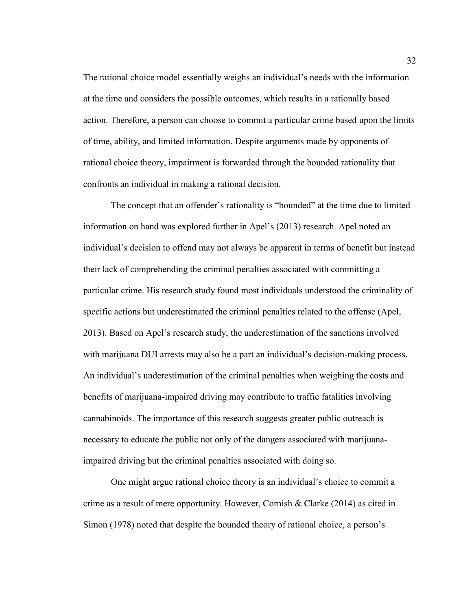The rational choice model essentially weighs an individual's needs with the information at the time and considers the possible outcomes, which results in a rationally based action. Therefore, a person can choose to commit a particular crime based upon the limits of time, ability, and limited information. Despite arguments made by opponents of rational choice theory, impairment is forwarded through the bounded rationality that confronts an individual in making a rational decision.

The concept that an offender's rationality is "bounded" at the time due to limited information on hand was explored further in Apel's (2013) research. Apel noted an individual's decision to offend may not always be apparent in terms of benefit but instead their lack of comprehending the criminal penalties associated with committing a particular crime. His research study found most individuals understood the criminality of specific actions but underestimated the criminal penalties related to the offense (Apel, 2013). Based on Apel's research study, the underestimation of the sanctions involved with marijuana DUI arrests may also be a part an individual's decision-making process. An individual's underestimation of the criminal penalties when weighing the costs and benefits of marijuana-impaired driving may contribute to traffic fatalities involving cannabinoids. The importance of this research suggests greater public outreach is necessary to educate the public not only of the dangers associated with marijuanaimpaired driving but the criminal penalties associated with doing so.

One might argue rational choice theory is an individual's choice to commit a crime as a result of mere opportunity. However, Cornish & Clarke (2014) as cited in Simon (1978) noted that despite the bounded theory of rational choice, a person's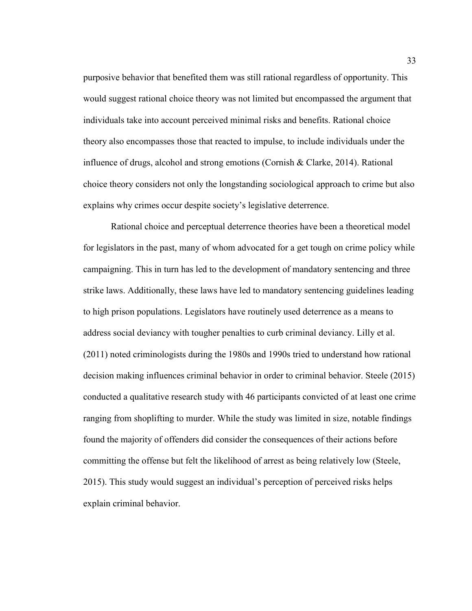purposive behavior that benefited them was still rational regardless of opportunity. This would suggest rational choice theory was not limited but encompassed the argument that individuals take into account perceived minimal risks and benefits. Rational choice theory also encompasses those that reacted to impulse, to include individuals under the influence of drugs, alcohol and strong emotions (Cornish & Clarke, 2014). Rational choice theory considers not only the longstanding sociological approach to crime but also explains why crimes occur despite society's legislative deterrence.

Rational choice and perceptual deterrence theories have been a theoretical model for legislators in the past, many of whom advocated for a get tough on crime policy while campaigning. This in turn has led to the development of mandatory sentencing and three strike laws. Additionally, these laws have led to mandatory sentencing guidelines leading to high prison populations. Legislators have routinely used deterrence as a means to address social deviancy with tougher penalties to curb criminal deviancy. Lilly et al. (2011) noted criminologists during the 1980s and 1990s tried to understand how rational decision making influences criminal behavior in order to criminal behavior. Steele (2015) conducted a qualitative research study with 46 participants convicted of at least one crime ranging from shoplifting to murder. While the study was limited in size, notable findings found the majority of offenders did consider the consequences of their actions before committing the offense but felt the likelihood of arrest as being relatively low (Steele, 2015). This study would suggest an individual's perception of perceived risks helps explain criminal behavior.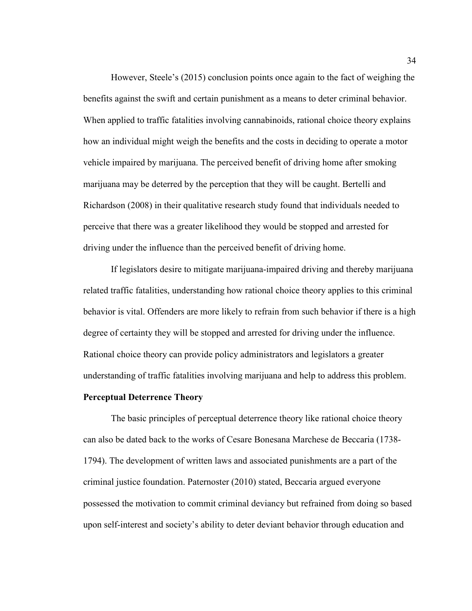However, Steele's (2015) conclusion points once again to the fact of weighing the benefits against the swift and certain punishment as a means to deter criminal behavior. When applied to traffic fatalities involving cannabinoids, rational choice theory explains how an individual might weigh the benefits and the costs in deciding to operate a motor vehicle impaired by marijuana. The perceived benefit of driving home after smoking marijuana may be deterred by the perception that they will be caught. Bertelli and Richardson (2008) in their qualitative research study found that individuals needed to perceive that there was a greater likelihood they would be stopped and arrested for driving under the influence than the perceived benefit of driving home.

 If legislators desire to mitigate marijuana-impaired driving and thereby marijuana related traffic fatalities, understanding how rational choice theory applies to this criminal behavior is vital. Offenders are more likely to refrain from such behavior if there is a high degree of certainty they will be stopped and arrested for driving under the influence. Rational choice theory can provide policy administrators and legislators a greater understanding of traffic fatalities involving marijuana and help to address this problem.

# **Perceptual Deterrence Theory**

 The basic principles of perceptual deterrence theory like rational choice theory can also be dated back to the works of Cesare Bonesana Marchese de Beccaria (1738- 1794). The development of written laws and associated punishments are a part of the criminal justice foundation. Paternoster (2010) stated, Beccaria argued everyone possessed the motivation to commit criminal deviancy but refrained from doing so based upon self-interest and society's ability to deter deviant behavior through education and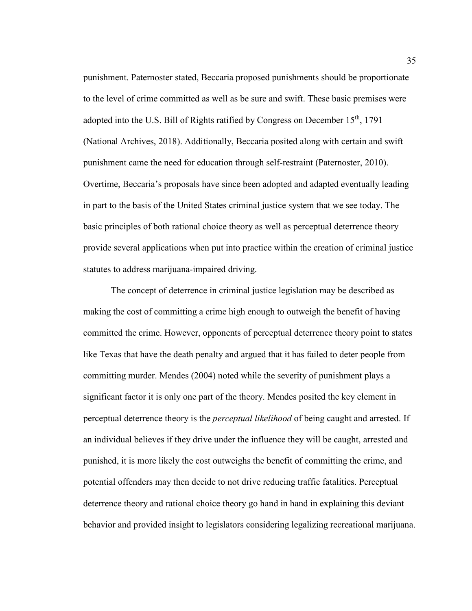punishment. Paternoster stated, Beccaria proposed punishments should be proportionate to the level of crime committed as well as be sure and swift. These basic premises were adopted into the U.S. Bill of Rights ratified by Congress on December  $15<sup>th</sup>$ , 1791 (National Archives, 2018). Additionally, Beccaria posited along with certain and swift punishment came the need for education through self-restraint (Paternoster, 2010). Overtime, Beccaria's proposals have since been adopted and adapted eventually leading in part to the basis of the United States criminal justice system that we see today. The basic principles of both rational choice theory as well as perceptual deterrence theory provide several applications when put into practice within the creation of criminal justice statutes to address marijuana-impaired driving.

 The concept of deterrence in criminal justice legislation may be described as making the cost of committing a crime high enough to outweigh the benefit of having committed the crime. However, opponents of perceptual deterrence theory point to states like Texas that have the death penalty and argued that it has failed to deter people from committing murder. Mendes (2004) noted while the severity of punishment plays a significant factor it is only one part of the theory. Mendes posited the key element in perceptual deterrence theory is the *perceptual likelihood* of being caught and arrested. If an individual believes if they drive under the influence they will be caught, arrested and punished, it is more likely the cost outweighs the benefit of committing the crime, and potential offenders may then decide to not drive reducing traffic fatalities. Perceptual deterrence theory and rational choice theory go hand in hand in explaining this deviant behavior and provided insight to legislators considering legalizing recreational marijuana.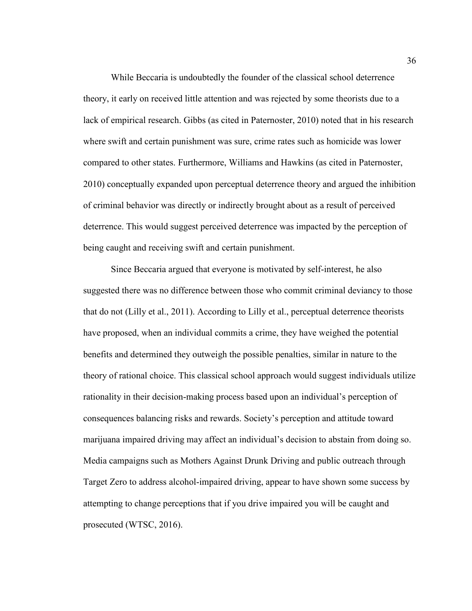While Beccaria is undoubtedly the founder of the classical school deterrence theory, it early on received little attention and was rejected by some theorists due to a lack of empirical research. Gibbs (as cited in Paternoster, 2010) noted that in his research where swift and certain punishment was sure, crime rates such as homicide was lower compared to other states. Furthermore, Williams and Hawkins (as cited in Paternoster, 2010) conceptually expanded upon perceptual deterrence theory and argued the inhibition of criminal behavior was directly or indirectly brought about as a result of perceived deterrence. This would suggest perceived deterrence was impacted by the perception of being caught and receiving swift and certain punishment.

Since Beccaria argued that everyone is motivated by self-interest, he also suggested there was no difference between those who commit criminal deviancy to those that do not (Lilly et al., 2011). According to Lilly et al., perceptual deterrence theorists have proposed, when an individual commits a crime, they have weighed the potential benefits and determined they outweigh the possible penalties, similar in nature to the theory of rational choice. This classical school approach would suggest individuals utilize rationality in their decision-making process based upon an individual's perception of consequences balancing risks and rewards. Society's perception and attitude toward marijuana impaired driving may affect an individual's decision to abstain from doing so. Media campaigns such as Mothers Against Drunk Driving and public outreach through Target Zero to address alcohol-impaired driving, appear to have shown some success by attempting to change perceptions that if you drive impaired you will be caught and prosecuted (WTSC, 2016).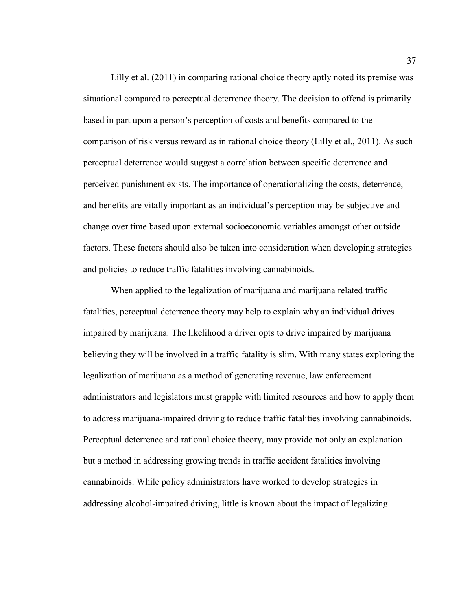Lilly et al. (2011) in comparing rational choice theory aptly noted its premise was situational compared to perceptual deterrence theory. The decision to offend is primarily based in part upon a person's perception of costs and benefits compared to the comparison of risk versus reward as in rational choice theory (Lilly et al., 2011). As such perceptual deterrence would suggest a correlation between specific deterrence and perceived punishment exists. The importance of operationalizing the costs, deterrence, and benefits are vitally important as an individual's perception may be subjective and change over time based upon external socioeconomic variables amongst other outside factors. These factors should also be taken into consideration when developing strategies and policies to reduce traffic fatalities involving cannabinoids.

 When applied to the legalization of marijuana and marijuana related traffic fatalities, perceptual deterrence theory may help to explain why an individual drives impaired by marijuana. The likelihood a driver opts to drive impaired by marijuana believing they will be involved in a traffic fatality is slim. With many states exploring the legalization of marijuana as a method of generating revenue, law enforcement administrators and legislators must grapple with limited resources and how to apply them to address marijuana-impaired driving to reduce traffic fatalities involving cannabinoids. Perceptual deterrence and rational choice theory, may provide not only an explanation but a method in addressing growing trends in traffic accident fatalities involving cannabinoids. While policy administrators have worked to develop strategies in addressing alcohol-impaired driving, little is known about the impact of legalizing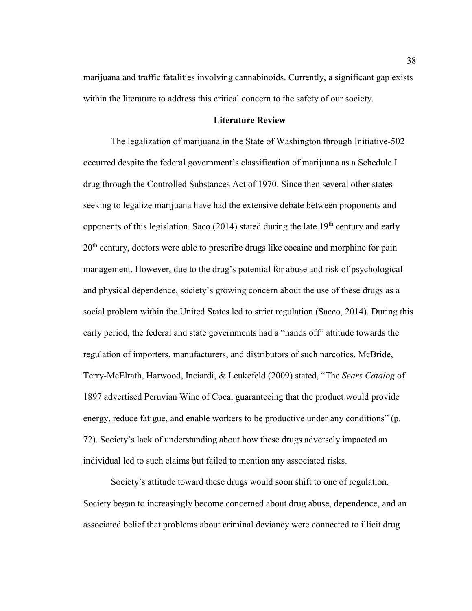marijuana and traffic fatalities involving cannabinoids. Currently, a significant gap exists within the literature to address this critical concern to the safety of our society.

# **Literature Review**

The legalization of marijuana in the State of Washington through Initiative-502 occurred despite the federal government's classification of marijuana as a Schedule I drug through the Controlled Substances Act of 1970. Since then several other states seeking to legalize marijuana have had the extensive debate between proponents and opponents of this legislation. Saco (2014) stated during the late  $19<sup>th</sup>$  century and early 20<sup>th</sup> century, doctors were able to prescribe drugs like cocaine and morphine for pain management. However, due to the drug's potential for abuse and risk of psychological and physical dependence, society's growing concern about the use of these drugs as a social problem within the United States led to strict regulation (Sacco, 2014). During this early period, the federal and state governments had a "hands off" attitude towards the regulation of importers, manufacturers, and distributors of such narcotics. McBride, Terry-McElrath, Harwood, Inciardi, & Leukefeld (2009) stated, "The *Sears Catalog* of 1897 advertised Peruvian Wine of Coca, guaranteeing that the product would provide energy, reduce fatigue, and enable workers to be productive under any conditions" (p. 72). Society's lack of understanding about how these drugs adversely impacted an individual led to such claims but failed to mention any associated risks.

Society's attitude toward these drugs would soon shift to one of regulation. Society began to increasingly become concerned about drug abuse, dependence, and an associated belief that problems about criminal deviancy were connected to illicit drug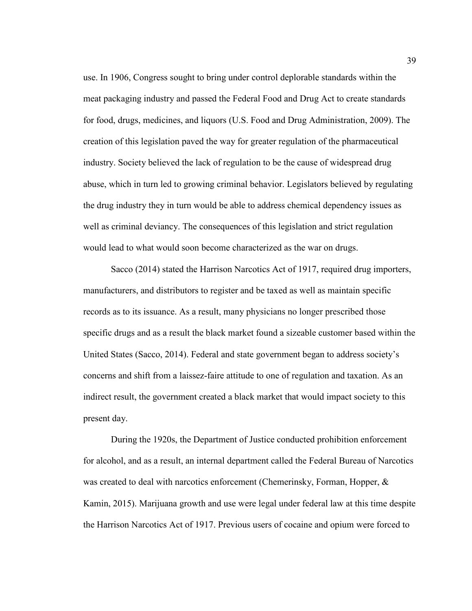use. In 1906, Congress sought to bring under control deplorable standards within the meat packaging industry and passed the Federal Food and Drug Act to create standards for food, drugs, medicines, and liquors (U.S. Food and Drug Administration, 2009). The creation of this legislation paved the way for greater regulation of the pharmaceutical industry. Society believed the lack of regulation to be the cause of widespread drug abuse, which in turn led to growing criminal behavior. Legislators believed by regulating the drug industry they in turn would be able to address chemical dependency issues as well as criminal deviancy. The consequences of this legislation and strict regulation would lead to what would soon become characterized as the war on drugs.

Sacco (2014) stated the Harrison Narcotics Act of 1917, required drug importers, manufacturers, and distributors to register and be taxed as well as maintain specific records as to its issuance. As a result, many physicians no longer prescribed those specific drugs and as a result the black market found a sizeable customer based within the United States (Sacco, 2014). Federal and state government began to address society's concerns and shift from a laissez-faire attitude to one of regulation and taxation. As an indirect result, the government created a black market that would impact society to this present day.

During the 1920s, the Department of Justice conducted prohibition enforcement for alcohol, and as a result, an internal department called the Federal Bureau of Narcotics was created to deal with narcotics enforcement (Chemerinsky, Forman, Hopper, & Kamin, 2015). Marijuana growth and use were legal under federal law at this time despite the Harrison Narcotics Act of 1917. Previous users of cocaine and opium were forced to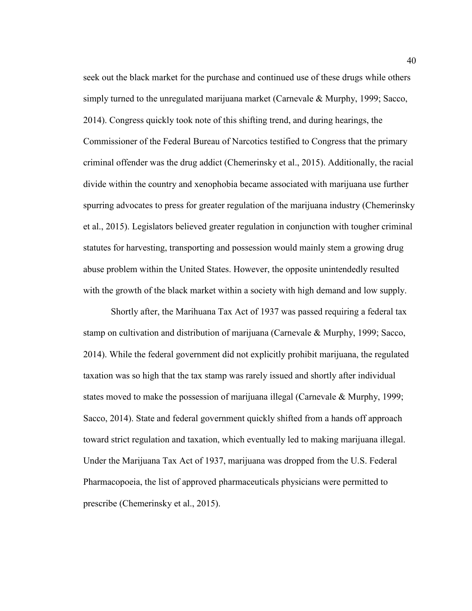seek out the black market for the purchase and continued use of these drugs while others simply turned to the unregulated marijuana market (Carnevale & Murphy, 1999; Sacco, 2014). Congress quickly took note of this shifting trend, and during hearings, the Commissioner of the Federal Bureau of Narcotics testified to Congress that the primary criminal offender was the drug addict (Chemerinsky et al., 2015). Additionally, the racial divide within the country and xenophobia became associated with marijuana use further spurring advocates to press for greater regulation of the marijuana industry (Chemerinsky et al., 2015). Legislators believed greater regulation in conjunction with tougher criminal statutes for harvesting, transporting and possession would mainly stem a growing drug abuse problem within the United States. However, the opposite unintendedly resulted with the growth of the black market within a society with high demand and low supply.

Shortly after, the Marihuana Tax Act of 1937 was passed requiring a federal tax stamp on cultivation and distribution of marijuana (Carnevale & Murphy, 1999; Sacco, 2014). While the federal government did not explicitly prohibit marijuana, the regulated taxation was so high that the tax stamp was rarely issued and shortly after individual states moved to make the possession of marijuana illegal (Carnevale & Murphy, 1999; Sacco, 2014). State and federal government quickly shifted from a hands off approach toward strict regulation and taxation, which eventually led to making marijuana illegal. Under the Marijuana Tax Act of 1937, marijuana was dropped from the U.S. Federal Pharmacopoeia, the list of approved pharmaceuticals physicians were permitted to prescribe (Chemerinsky et al., 2015).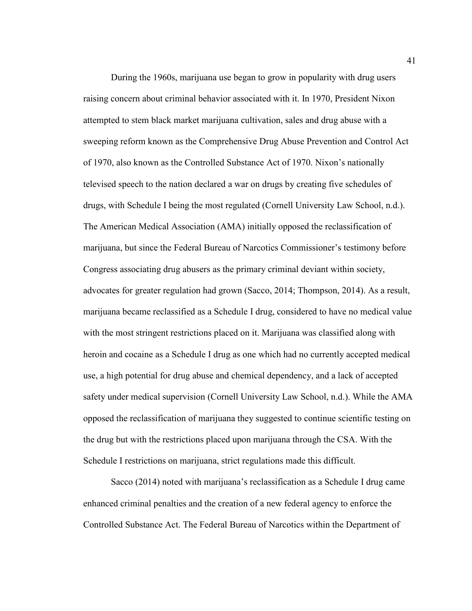During the 1960s, marijuana use began to grow in popularity with drug users raising concern about criminal behavior associated with it. In 1970, President Nixon attempted to stem black market marijuana cultivation, sales and drug abuse with a sweeping reform known as the Comprehensive Drug Abuse Prevention and Control Act of 1970, also known as the Controlled Substance Act of 1970. Nixon's nationally televised speech to the nation declared a war on drugs by creating five schedules of drugs, with Schedule I being the most regulated (Cornell University Law School, n.d.). The American Medical Association (AMA) initially opposed the reclassification of marijuana, but since the Federal Bureau of Narcotics Commissioner's testimony before Congress associating drug abusers as the primary criminal deviant within society, advocates for greater regulation had grown (Sacco, 2014; Thompson, 2014). As a result, marijuana became reclassified as a Schedule I drug, considered to have no medical value with the most stringent restrictions placed on it. Marijuana was classified along with heroin and cocaine as a Schedule I drug as one which had no currently accepted medical use, a high potential for drug abuse and chemical dependency, and a lack of accepted safety under medical supervision (Cornell University Law School, n.d.). While the AMA opposed the reclassification of marijuana they suggested to continue scientific testing on the drug but with the restrictions placed upon marijuana through the CSA. With the Schedule I restrictions on marijuana, strict regulations made this difficult.

Sacco (2014) noted with marijuana's reclassification as a Schedule I drug came enhanced criminal penalties and the creation of a new federal agency to enforce the Controlled Substance Act. The Federal Bureau of Narcotics within the Department of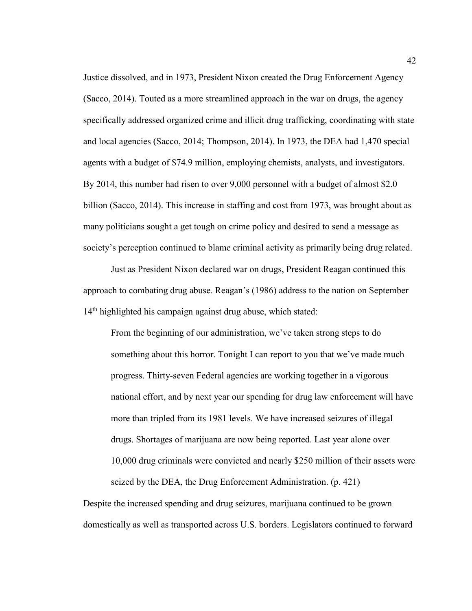Justice dissolved, and in 1973, President Nixon created the Drug Enforcement Agency (Sacco, 2014). Touted as a more streamlined approach in the war on drugs, the agency specifically addressed organized crime and illicit drug trafficking, coordinating with state and local agencies (Sacco, 2014; Thompson, 2014). In 1973, the DEA had 1,470 special agents with a budget of \$74.9 million, employing chemists, analysts, and investigators. By 2014, this number had risen to over 9,000 personnel with a budget of almost \$2.0 billion (Sacco, 2014). This increase in staffing and cost from 1973, was brought about as many politicians sought a get tough on crime policy and desired to send a message as society's perception continued to blame criminal activity as primarily being drug related.

Just as President Nixon declared war on drugs, President Reagan continued this approach to combating drug abuse. Reagan's (1986) address to the nation on September 14<sup>th</sup> highlighted his campaign against drug abuse, which stated:

From the beginning of our administration, we've taken strong steps to do something about this horror. Tonight I can report to you that we've made much progress. Thirty-seven Federal agencies are working together in a vigorous national effort, and by next year our spending for drug law enforcement will have more than tripled from its 1981 levels. We have increased seizures of illegal drugs. Shortages of marijuana are now being reported. Last year alone over 10,000 drug criminals were convicted and nearly \$250 million of their assets were seized by the DEA, the Drug Enforcement Administration. (p. 421)

Despite the increased spending and drug seizures, marijuana continued to be grown domestically as well as transported across U.S. borders. Legislators continued to forward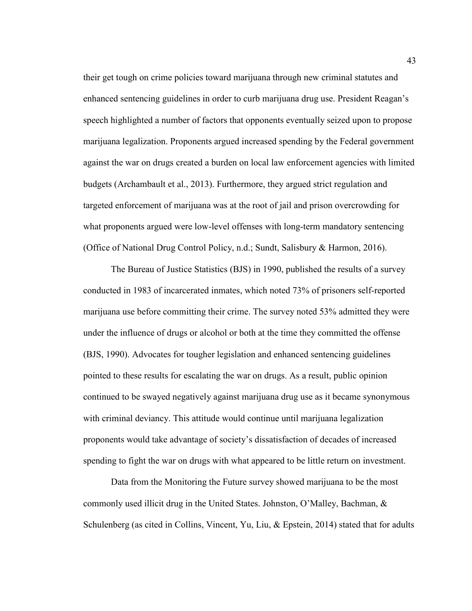their get tough on crime policies toward marijuana through new criminal statutes and enhanced sentencing guidelines in order to curb marijuana drug use. President Reagan's speech highlighted a number of factors that opponents eventually seized upon to propose marijuana legalization. Proponents argued increased spending by the Federal government against the war on drugs created a burden on local law enforcement agencies with limited budgets (Archambault et al., 2013). Furthermore, they argued strict regulation and targeted enforcement of marijuana was at the root of jail and prison overcrowding for what proponents argued were low-level offenses with long-term mandatory sentencing (Office of National Drug Control Policy, n.d.; Sundt, Salisbury & Harmon, 2016).

The Bureau of Justice Statistics (BJS) in 1990, published the results of a survey conducted in 1983 of incarcerated inmates, which noted 73% of prisoners self-reported marijuana use before committing their crime. The survey noted 53% admitted they were under the influence of drugs or alcohol or both at the time they committed the offense (BJS, 1990). Advocates for tougher legislation and enhanced sentencing guidelines pointed to these results for escalating the war on drugs. As a result, public opinion continued to be swayed negatively against marijuana drug use as it became synonymous with criminal deviancy. This attitude would continue until marijuana legalization proponents would take advantage of society's dissatisfaction of decades of increased spending to fight the war on drugs with what appeared to be little return on investment.

Data from the Monitoring the Future survey showed marijuana to be the most commonly used illicit drug in the United States. Johnston, O'Malley, Bachman, & Schulenberg (as cited in Collins, Vincent, Yu, Liu, & Epstein, 2014) stated that for adults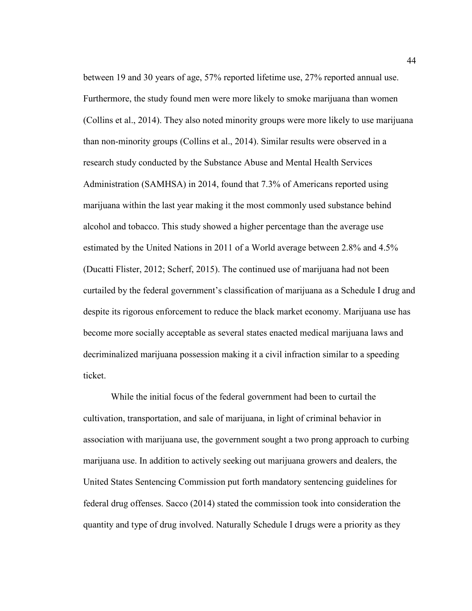between 19 and 30 years of age, 57% reported lifetime use, 27% reported annual use. Furthermore, the study found men were more likely to smoke marijuana than women (Collins et al., 2014). They also noted minority groups were more likely to use marijuana than non-minority groups (Collins et al., 2014). Similar results were observed in a research study conducted by the Substance Abuse and Mental Health Services Administration (SAMHSA) in 2014, found that 7.3% of Americans reported using marijuana within the last year making it the most commonly used substance behind alcohol and tobacco. This study showed a higher percentage than the average use estimated by the United Nations in 2011 of a World average between 2.8% and 4.5% (Ducatti Flister, 2012; Scherf, 2015). The continued use of marijuana had not been curtailed by the federal government's classification of marijuana as a Schedule I drug and despite its rigorous enforcement to reduce the black market economy. Marijuana use has become more socially acceptable as several states enacted medical marijuana laws and decriminalized marijuana possession making it a civil infraction similar to a speeding ticket.

While the initial focus of the federal government had been to curtail the cultivation, transportation, and sale of marijuana, in light of criminal behavior in association with marijuana use, the government sought a two prong approach to curbing marijuana use. In addition to actively seeking out marijuana growers and dealers, the United States Sentencing Commission put forth mandatory sentencing guidelines for federal drug offenses. Sacco (2014) stated the commission took into consideration the quantity and type of drug involved. Naturally Schedule I drugs were a priority as they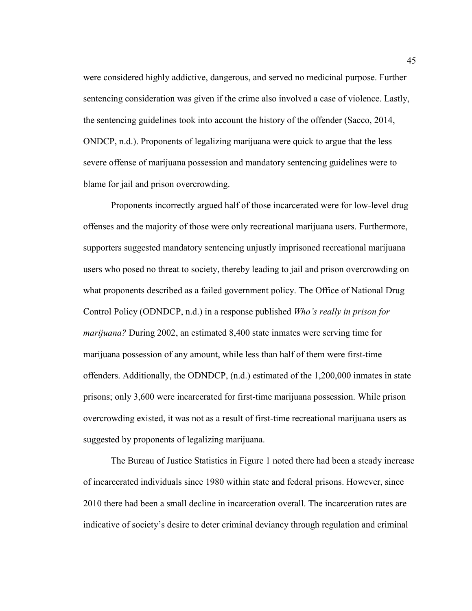were considered highly addictive, dangerous, and served no medicinal purpose. Further sentencing consideration was given if the crime also involved a case of violence. Lastly, the sentencing guidelines took into account the history of the offender (Sacco, 2014, ONDCP, n.d.). Proponents of legalizing marijuana were quick to argue that the less severe offense of marijuana possession and mandatory sentencing guidelines were to blame for jail and prison overcrowding.

Proponents incorrectly argued half of those incarcerated were for low-level drug offenses and the majority of those were only recreational marijuana users. Furthermore, supporters suggested mandatory sentencing unjustly imprisoned recreational marijuana users who posed no threat to society, thereby leading to jail and prison overcrowding on what proponents described as a failed government policy. The Office of National Drug Control Policy (ODNDCP, n.d.) in a response published *Who's really in prison for marijuana?* During 2002, an estimated 8,400 state inmates were serving time for marijuana possession of any amount, while less than half of them were first-time offenders. Additionally, the ODNDCP, (n.d.) estimated of the 1,200,000 inmates in state prisons; only 3,600 were incarcerated for first-time marijuana possession. While prison overcrowding existed, it was not as a result of first-time recreational marijuana users as suggested by proponents of legalizing marijuana.

The Bureau of Justice Statistics in Figure 1 noted there had been a steady increase of incarcerated individuals since 1980 within state and federal prisons. However, since 2010 there had been a small decline in incarceration overall. The incarceration rates are indicative of society's desire to deter criminal deviancy through regulation and criminal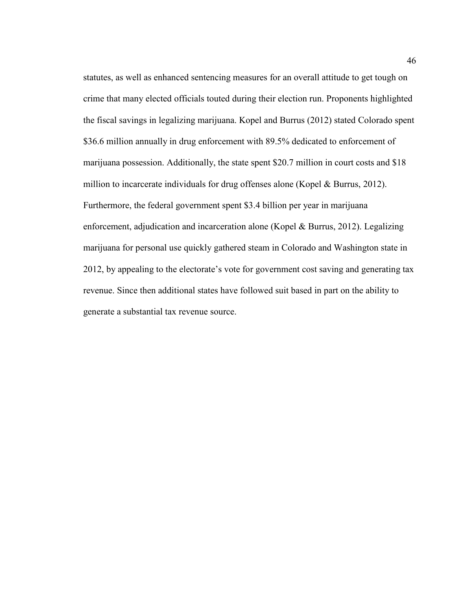statutes, as well as enhanced sentencing measures for an overall attitude to get tough on crime that many elected officials touted during their election run. Proponents highlighted the fiscal savings in legalizing marijuana. Kopel and Burrus (2012) stated Colorado spent \$36.6 million annually in drug enforcement with 89.5% dedicated to enforcement of marijuana possession. Additionally, the state spent \$20.7 million in court costs and \$18 million to incarcerate individuals for drug offenses alone (Kopel & Burrus, 2012). Furthermore, the federal government spent \$3.4 billion per year in marijuana enforcement, adjudication and incarceration alone (Kopel & Burrus, 2012). Legalizing marijuana for personal use quickly gathered steam in Colorado and Washington state in 2012, by appealing to the electorate's vote for government cost saving and generating tax revenue. Since then additional states have followed suit based in part on the ability to generate a substantial tax revenue source.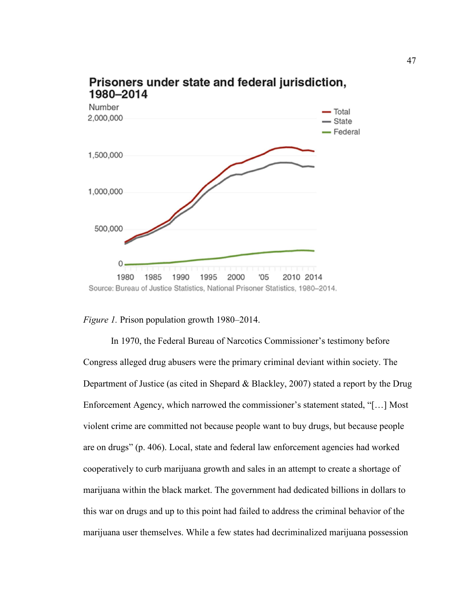

# Prisoners under state and federal jurisdiction, 1980-2014

*Figure 1.* Prison population growth 1980–2014.

In 1970, the Federal Bureau of Narcotics Commissioner's testimony before Congress alleged drug abusers were the primary criminal deviant within society. The Department of Justice (as cited in Shepard & Blackley, 2007) stated a report by the Drug Enforcement Agency, which narrowed the commissioner's statement stated, "[…] Most violent crime are committed not because people want to buy drugs, but because people are on drugs" (p. 406). Local, state and federal law enforcement agencies had worked cooperatively to curb marijuana growth and sales in an attempt to create a shortage of marijuana within the black market. The government had dedicated billions in dollars to this war on drugs and up to this point had failed to address the criminal behavior of the marijuana user themselves. While a few states had decriminalized marijuana possession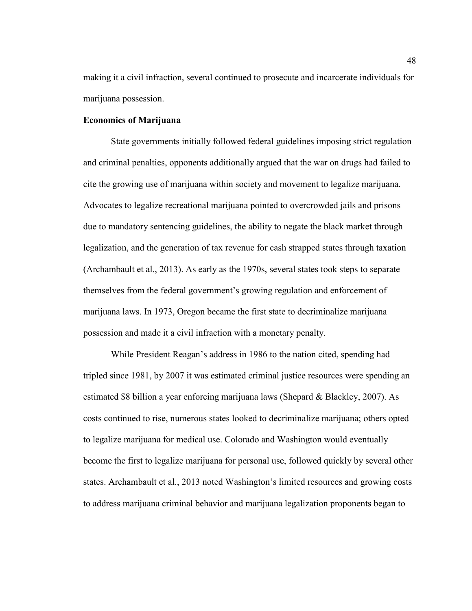making it a civil infraction, several continued to prosecute and incarcerate individuals for marijuana possession.

# **Economics of Marijuana**

State governments initially followed federal guidelines imposing strict regulation and criminal penalties, opponents additionally argued that the war on drugs had failed to cite the growing use of marijuana within society and movement to legalize marijuana. Advocates to legalize recreational marijuana pointed to overcrowded jails and prisons due to mandatory sentencing guidelines, the ability to negate the black market through legalization, and the generation of tax revenue for cash strapped states through taxation (Archambault et al., 2013). As early as the 1970s, several states took steps to separate themselves from the federal government's growing regulation and enforcement of marijuana laws. In 1973, Oregon became the first state to decriminalize marijuana possession and made it a civil infraction with a monetary penalty.

While President Reagan's address in 1986 to the nation cited, spending had tripled since 1981, by 2007 it was estimated criminal justice resources were spending an estimated \$8 billion a year enforcing marijuana laws (Shepard & Blackley, 2007). As costs continued to rise, numerous states looked to decriminalize marijuana; others opted to legalize marijuana for medical use. Colorado and Washington would eventually become the first to legalize marijuana for personal use, followed quickly by several other states. Archambault et al., 2013 noted Washington's limited resources and growing costs to address marijuana criminal behavior and marijuana legalization proponents began to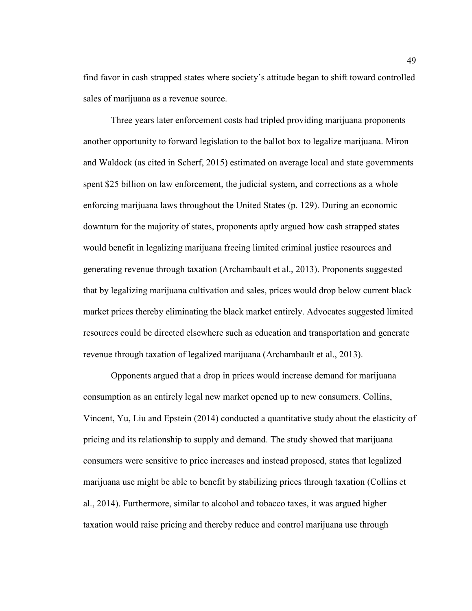find favor in cash strapped states where society's attitude began to shift toward controlled sales of marijuana as a revenue source.

Three years later enforcement costs had tripled providing marijuana proponents another opportunity to forward legislation to the ballot box to legalize marijuana. Miron and Waldock (as cited in Scherf, 2015) estimated on average local and state governments spent \$25 billion on law enforcement, the judicial system, and corrections as a whole enforcing marijuana laws throughout the United States (p. 129). During an economic downturn for the majority of states, proponents aptly argued how cash strapped states would benefit in legalizing marijuana freeing limited criminal justice resources and generating revenue through taxation (Archambault et al., 2013). Proponents suggested that by legalizing marijuana cultivation and sales, prices would drop below current black market prices thereby eliminating the black market entirely. Advocates suggested limited resources could be directed elsewhere such as education and transportation and generate revenue through taxation of legalized marijuana (Archambault et al., 2013).

Opponents argued that a drop in prices would increase demand for marijuana consumption as an entirely legal new market opened up to new consumers. Collins, Vincent, Yu, Liu and Epstein (2014) conducted a quantitative study about the elasticity of pricing and its relationship to supply and demand. The study showed that marijuana consumers were sensitive to price increases and instead proposed, states that legalized marijuana use might be able to benefit by stabilizing prices through taxation (Collins et al., 2014). Furthermore, similar to alcohol and tobacco taxes, it was argued higher taxation would raise pricing and thereby reduce and control marijuana use through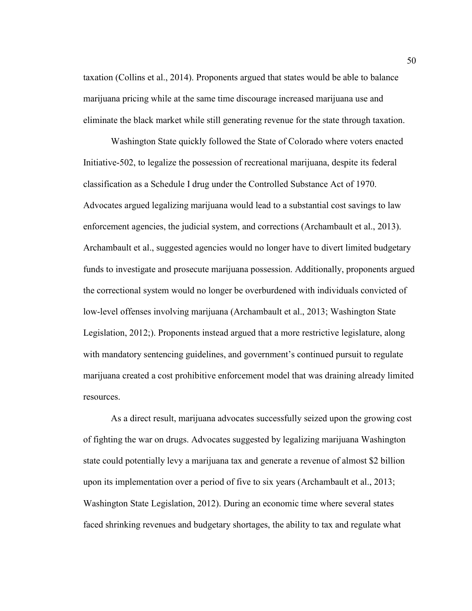taxation (Collins et al., 2014). Proponents argued that states would be able to balance marijuana pricing while at the same time discourage increased marijuana use and eliminate the black market while still generating revenue for the state through taxation.

Washington State quickly followed the State of Colorado where voters enacted Initiative-502, to legalize the possession of recreational marijuana, despite its federal classification as a Schedule I drug under the Controlled Substance Act of 1970. Advocates argued legalizing marijuana would lead to a substantial cost savings to law enforcement agencies, the judicial system, and corrections (Archambault et al., 2013). Archambault et al., suggested agencies would no longer have to divert limited budgetary funds to investigate and prosecute marijuana possession. Additionally, proponents argued the correctional system would no longer be overburdened with individuals convicted of low-level offenses involving marijuana (Archambault et al., 2013; Washington State Legislation, 2012;). Proponents instead argued that a more restrictive legislature, along with mandatory sentencing guidelines, and government's continued pursuit to regulate marijuana created a cost prohibitive enforcement model that was draining already limited resources.

As a direct result, marijuana advocates successfully seized upon the growing cost of fighting the war on drugs. Advocates suggested by legalizing marijuana Washington state could potentially levy a marijuana tax and generate a revenue of almost \$2 billion upon its implementation over a period of five to six years (Archambault et al., 2013; Washington State Legislation, 2012). During an economic time where several states faced shrinking revenues and budgetary shortages, the ability to tax and regulate what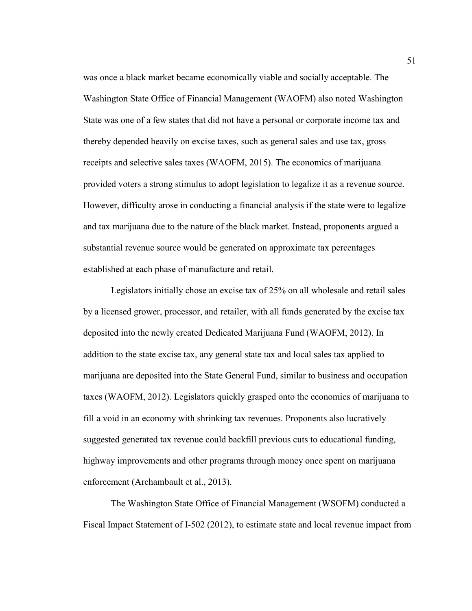was once a black market became economically viable and socially acceptable. The Washington State Office of Financial Management (WAOFM) also noted Washington State was one of a few states that did not have a personal or corporate income tax and thereby depended heavily on excise taxes, such as general sales and use tax, gross receipts and selective sales taxes (WAOFM, 2015). The economics of marijuana provided voters a strong stimulus to adopt legislation to legalize it as a revenue source. However, difficulty arose in conducting a financial analysis if the state were to legalize and tax marijuana due to the nature of the black market. Instead, proponents argued a substantial revenue source would be generated on approximate tax percentages established at each phase of manufacture and retail.

Legislators initially chose an excise tax of 25% on all wholesale and retail sales by a licensed grower, processor, and retailer, with all funds generated by the excise tax deposited into the newly created Dedicated Marijuana Fund (WAOFM, 2012). In addition to the state excise tax, any general state tax and local sales tax applied to marijuana are deposited into the State General Fund, similar to business and occupation taxes (WAOFM, 2012). Legislators quickly grasped onto the economics of marijuana to fill a void in an economy with shrinking tax revenues. Proponents also lucratively suggested generated tax revenue could backfill previous cuts to educational funding, highway improvements and other programs through money once spent on marijuana enforcement (Archambault et al., 2013).

The Washington State Office of Financial Management (WSOFM) conducted a Fiscal Impact Statement of I-502 (2012), to estimate state and local revenue impact from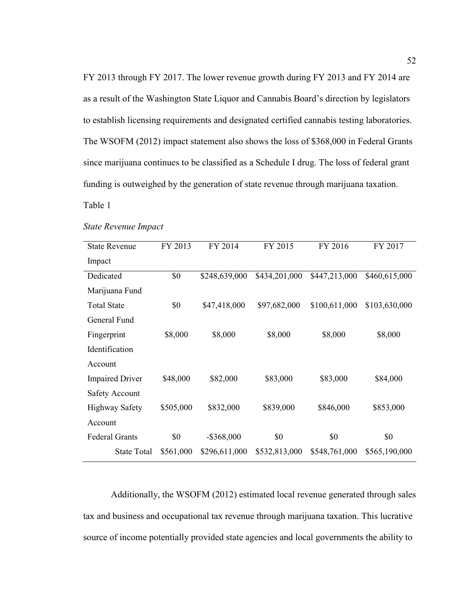FY 2013 through FY 2017. The lower revenue growth during FY 2013 and FY 2014 are as a result of the Washington State Liquor and Cannabis Board's direction by legislators to establish licensing requirements and designated certified cannabis testing laboratories. The WSOFM (2012) impact statement also shows the loss of \$368,000 in Federal Grants since marijuana continues to be classified as a Schedule I drug. The loss of federal grant funding is outweighed by the generation of state revenue through marijuana taxation.

Table 1

#### *State Revenue Impact*

| <b>State Revenue</b>   | FY 2013   | FY 2014       | FY 2015       | FY 2016       | FY 2017       |
|------------------------|-----------|---------------|---------------|---------------|---------------|
| Impact                 |           |               |               |               |               |
| Dedicated              | \$0       | \$248,639,000 | \$434,201,000 | \$447,213,000 | \$460,615,000 |
| Marijuana Fund         |           |               |               |               |               |
| <b>Total State</b>     | \$0       | \$47,418,000  | \$97,682,000  | \$100,611,000 | \$103,630,000 |
| General Fund           |           |               |               |               |               |
| Fingerprint            | \$8,000   | \$8,000       | \$8,000       | \$8,000       | \$8,000       |
| Identification         |           |               |               |               |               |
| Account                |           |               |               |               |               |
| <b>Impaired Driver</b> | \$48,000  | \$82,000      | \$83,000      | \$83,000      | \$84,000      |
| <b>Safety Account</b>  |           |               |               |               |               |
| <b>Highway Safety</b>  | \$505,000 | \$832,000     | \$839,000     | \$846,000     | \$853,000     |
| Account                |           |               |               |               |               |
| <b>Federal Grants</b>  | \$0       | $-$ \$368,000 | \$0           | \$0           | \$0           |
| State Total            | \$561,000 | \$296,611,000 | \$532,813,000 | \$548,761,000 | \$565,190,000 |

Additionally, the WSOFM (2012) estimated local revenue generated through sales tax and business and occupational tax revenue through marijuana taxation. This lucrative source of income potentially provided state agencies and local governments the ability to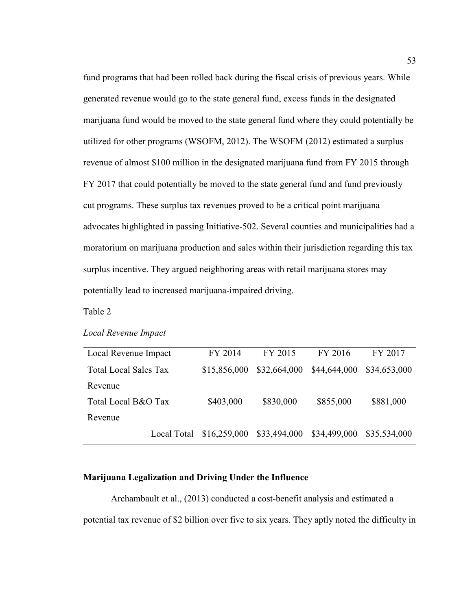fund programs that had been rolled back during the fiscal crisis of previous years. While generated revenue would go to the state general fund, excess funds in the designated marijuana fund would be moved to the state general fund where they could potentially be utilized for other programs (WSOFM, 2012). The WSOFM (2012) estimated a surplus revenue of almost \$100 million in the designated marijuana fund from FY 2015 through FY 2017 that could potentially be moved to the state general fund and fund previously cut programs. These surplus tax revenues proved to be a critical point marijuana advocates highlighted in passing Initiative-502. Several counties and municipalities had a moratorium on marijuana production and sales within their jurisdiction regarding this tax surplus incentive. They argued neighboring areas with retail marijuana stores may potentially lead to increased marijuana-impaired driving.

Table 2

|  | Local Revenue Impact |  |
|--|----------------------|--|
|--|----------------------|--|

| Local Revenue Impact         | FY 2014      | FY 2015      | FY 2016      | FY 2017      |
|------------------------------|--------------|--------------|--------------|--------------|
| <b>Total Local Sales Tax</b> | \$15,856,000 | \$32,664,000 | \$44,644,000 | \$34,653,000 |
| Revenue                      |              |              |              |              |
| Total Local B&O Tax          | \$403,000    | \$830,000    | \$855,000    | \$881,000    |
| Revenue                      |              |              |              |              |
| Local Total                  | \$16,259,000 | \$33,494,000 | \$34,499,000 | \$35,534,000 |

# **Marijuana Legalization and Driving Under the Influence**

Archambault et al., (2013) conducted a cost-benefit analysis and estimated a potential tax revenue of \$2 billion over five to six years. They aptly noted the difficulty in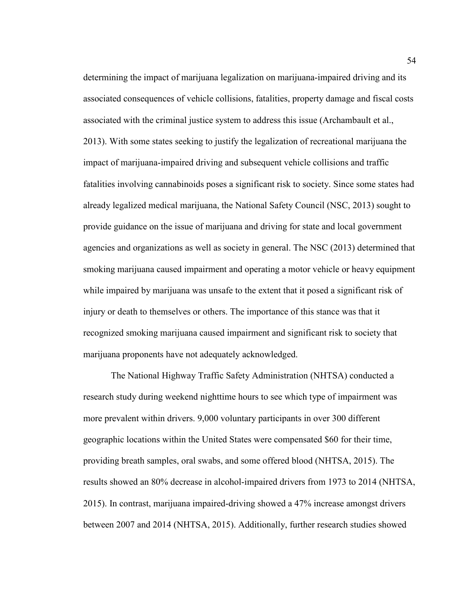determining the impact of marijuana legalization on marijuana-impaired driving and its associated consequences of vehicle collisions, fatalities, property damage and fiscal costs associated with the criminal justice system to address this issue (Archambault et al., 2013). With some states seeking to justify the legalization of recreational marijuana the impact of marijuana-impaired driving and subsequent vehicle collisions and traffic fatalities involving cannabinoids poses a significant risk to society. Since some states had already legalized medical marijuana, the National Safety Council (NSC, 2013) sought to provide guidance on the issue of marijuana and driving for state and local government agencies and organizations as well as society in general. The NSC (2013) determined that smoking marijuana caused impairment and operating a motor vehicle or heavy equipment while impaired by marijuana was unsafe to the extent that it posed a significant risk of injury or death to themselves or others. The importance of this stance was that it recognized smoking marijuana caused impairment and significant risk to society that marijuana proponents have not adequately acknowledged.

The National Highway Traffic Safety Administration (NHTSA) conducted a research study during weekend nighttime hours to see which type of impairment was more prevalent within drivers. 9,000 voluntary participants in over 300 different geographic locations within the United States were compensated \$60 for their time, providing breath samples, oral swabs, and some offered blood (NHTSA, 2015). The results showed an 80% decrease in alcohol-impaired drivers from 1973 to 2014 (NHTSA, 2015). In contrast, marijuana impaired-driving showed a 47% increase amongst drivers between 2007 and 2014 (NHTSA, 2015). Additionally, further research studies showed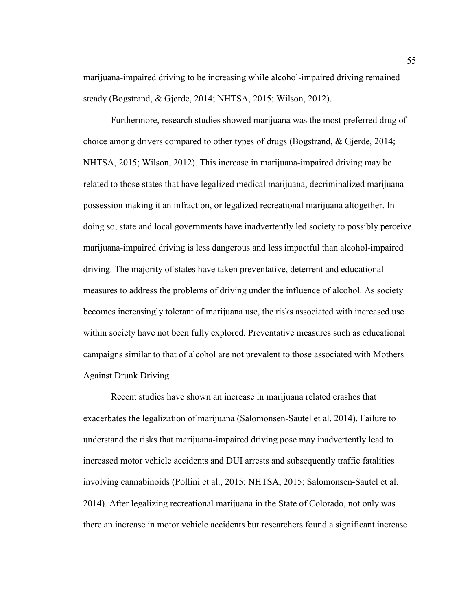marijuana-impaired driving to be increasing while alcohol-impaired driving remained steady (Bogstrand, & Gjerde, 2014; NHTSA, 2015; Wilson, 2012).

Furthermore, research studies showed marijuana was the most preferred drug of choice among drivers compared to other types of drugs (Bogstrand, & Gjerde, 2014; NHTSA, 2015; Wilson, 2012). This increase in marijuana-impaired driving may be related to those states that have legalized medical marijuana, decriminalized marijuana possession making it an infraction, or legalized recreational marijuana altogether. In doing so, state and local governments have inadvertently led society to possibly perceive marijuana-impaired driving is less dangerous and less impactful than alcohol-impaired driving. The majority of states have taken preventative, deterrent and educational measures to address the problems of driving under the influence of alcohol. As society becomes increasingly tolerant of marijuana use, the risks associated with increased use within society have not been fully explored. Preventative measures such as educational campaigns similar to that of alcohol are not prevalent to those associated with Mothers Against Drunk Driving.

Recent studies have shown an increase in marijuana related crashes that exacerbates the legalization of marijuana (Salomonsen-Sautel et al. 2014). Failure to understand the risks that marijuana-impaired driving pose may inadvertently lead to increased motor vehicle accidents and DUI arrests and subsequently traffic fatalities involving cannabinoids (Pollini et al., 2015; NHTSA, 2015; Salomonsen-Sautel et al. 2014). After legalizing recreational marijuana in the State of Colorado, not only was there an increase in motor vehicle accidents but researchers found a significant increase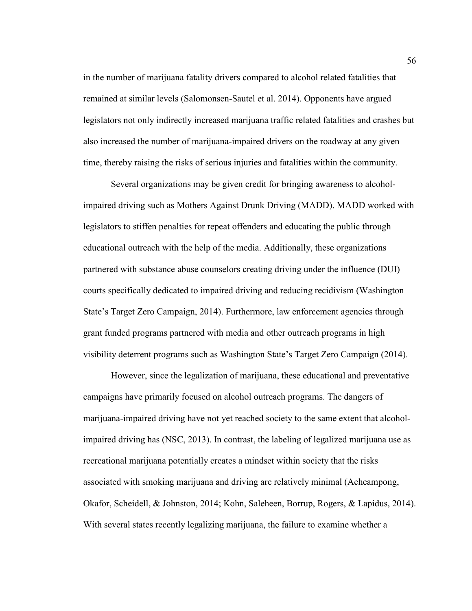in the number of marijuana fatality drivers compared to alcohol related fatalities that remained at similar levels (Salomonsen-Sautel et al. 2014). Opponents have argued legislators not only indirectly increased marijuana traffic related fatalities and crashes but also increased the number of marijuana-impaired drivers on the roadway at any given time, thereby raising the risks of serious injuries and fatalities within the community.

Several organizations may be given credit for bringing awareness to alcoholimpaired driving such as Mothers Against Drunk Driving (MADD). MADD worked with legislators to stiffen penalties for repeat offenders and educating the public through educational outreach with the help of the media. Additionally, these organizations partnered with substance abuse counselors creating driving under the influence (DUI) courts specifically dedicated to impaired driving and reducing recidivism (Washington State's Target Zero Campaign, 2014). Furthermore, law enforcement agencies through grant funded programs partnered with media and other outreach programs in high visibility deterrent programs such as Washington State's Target Zero Campaign (2014).

However, since the legalization of marijuana, these educational and preventative campaigns have primarily focused on alcohol outreach programs. The dangers of marijuana-impaired driving have not yet reached society to the same extent that alcoholimpaired driving has (NSC, 2013). In contrast, the labeling of legalized marijuana use as recreational marijuana potentially creates a mindset within society that the risks associated with smoking marijuana and driving are relatively minimal (Acheampong, Okafor, Scheidell, & Johnston, 2014; Kohn, Saleheen, Borrup, Rogers, & Lapidus, 2014). With several states recently legalizing marijuana, the failure to examine whether a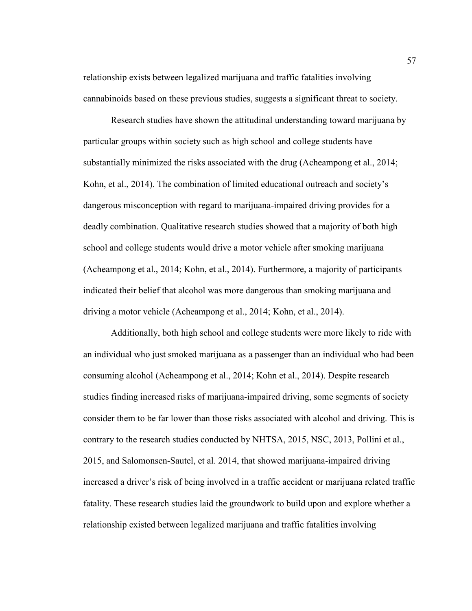relationship exists between legalized marijuana and traffic fatalities involving cannabinoids based on these previous studies, suggests a significant threat to society.

Research studies have shown the attitudinal understanding toward marijuana by particular groups within society such as high school and college students have substantially minimized the risks associated with the drug (Acheampong et al., 2014; Kohn, et al., 2014). The combination of limited educational outreach and society's dangerous misconception with regard to marijuana-impaired driving provides for a deadly combination. Qualitative research studies showed that a majority of both high school and college students would drive a motor vehicle after smoking marijuana (Acheampong et al., 2014; Kohn, et al., 2014). Furthermore, a majority of participants indicated their belief that alcohol was more dangerous than smoking marijuana and driving a motor vehicle (Acheampong et al., 2014; Kohn, et al., 2014).

Additionally, both high school and college students were more likely to ride with an individual who just smoked marijuana as a passenger than an individual who had been consuming alcohol (Acheampong et al., 2014; Kohn et al., 2014). Despite research studies finding increased risks of marijuana-impaired driving, some segments of society consider them to be far lower than those risks associated with alcohol and driving. This is contrary to the research studies conducted by NHTSA, 2015, NSC, 2013, Pollini et al., 2015, and Salomonsen-Sautel, et al. 2014, that showed marijuana-impaired driving increased a driver's risk of being involved in a traffic accident or marijuana related traffic fatality. These research studies laid the groundwork to build upon and explore whether a relationship existed between legalized marijuana and traffic fatalities involving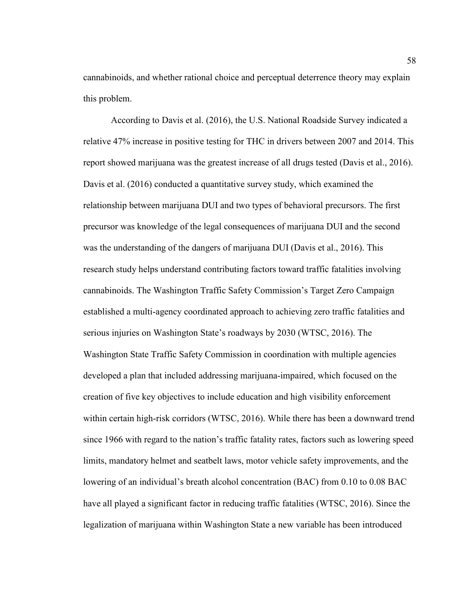cannabinoids, and whether rational choice and perceptual deterrence theory may explain this problem.

According to Davis et al. (2016), the U.S. National Roadside Survey indicated a relative 47% increase in positive testing for THC in drivers between 2007 and 2014. This report showed marijuana was the greatest increase of all drugs tested (Davis et al., 2016). Davis et al. (2016) conducted a quantitative survey study, which examined the relationship between marijuana DUI and two types of behavioral precursors. The first precursor was knowledge of the legal consequences of marijuana DUI and the second was the understanding of the dangers of marijuana DUI (Davis et al., 2016). This research study helps understand contributing factors toward traffic fatalities involving cannabinoids. The Washington Traffic Safety Commission's Target Zero Campaign established a multi-agency coordinated approach to achieving zero traffic fatalities and serious injuries on Washington State's roadways by 2030 (WTSC, 2016). The Washington State Traffic Safety Commission in coordination with multiple agencies developed a plan that included addressing marijuana-impaired, which focused on the creation of five key objectives to include education and high visibility enforcement within certain high-risk corridors (WTSC, 2016). While there has been a downward trend since 1966 with regard to the nation's traffic fatality rates, factors such as lowering speed limits, mandatory helmet and seatbelt laws, motor vehicle safety improvements, and the lowering of an individual's breath alcohol concentration (BAC) from 0.10 to 0.08 BAC have all played a significant factor in reducing traffic fatalities (WTSC, 2016). Since the legalization of marijuana within Washington State a new variable has been introduced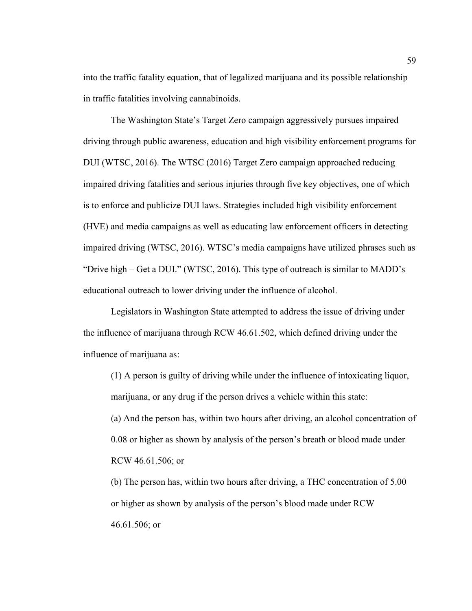into the traffic fatality equation, that of legalized marijuana and its possible relationship in traffic fatalities involving cannabinoids.

The Washington State's Target Zero campaign aggressively pursues impaired driving through public awareness, education and high visibility enforcement programs for DUI (WTSC, 2016). The WTSC (2016) Target Zero campaign approached reducing impaired driving fatalities and serious injuries through five key objectives, one of which is to enforce and publicize DUI laws. Strategies included high visibility enforcement (HVE) and media campaigns as well as educating law enforcement officers in detecting impaired driving (WTSC, 2016). WTSC's media campaigns have utilized phrases such as "Drive high – Get a DUI." (WTSC, 2016). This type of outreach is similar to MADD's educational outreach to lower driving under the influence of alcohol.

Legislators in Washington State attempted to address the issue of driving under the influence of marijuana through RCW 46.61.502, which defined driving under the influence of marijuana as:

(1) A person is guilty of driving while under the influence of intoxicating liquor, marijuana, or any drug if the person drives a vehicle within this state:

(a) And the person has, within two hours after driving, an alcohol concentration of 0.08 or higher as shown by analysis of the person's breath or blood made under RCW 46.61.506; or

(b) The person has, within two hours after driving, a THC concentration of 5.00 or higher as shown by analysis of the person's blood made under RCW 46.61.506; or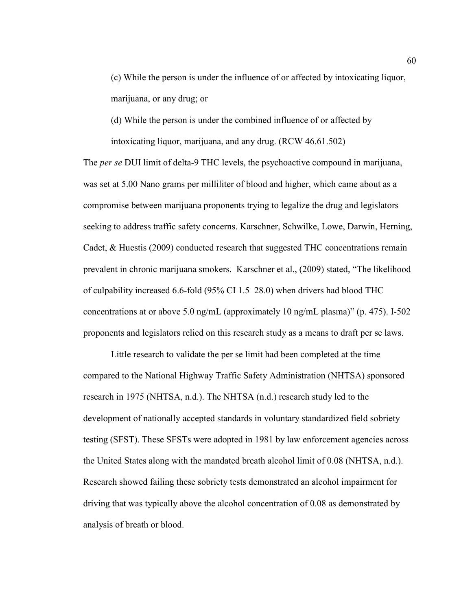(c) While the person is under the influence of or affected by intoxicating liquor, marijuana, or any drug; or

(d) While the person is under the combined influence of or affected by intoxicating liquor, marijuana, and any drug. (RCW 46.61.502)

The *per se* DUI limit of delta-9 THC levels, the psychoactive compound in marijuana, was set at 5.00 Nano grams per milliliter of blood and higher, which came about as a compromise between marijuana proponents trying to legalize the drug and legislators seeking to address traffic safety concerns. Karschner, Schwilke, Lowe, Darwin, Herning, Cadet, & Huestis (2009) conducted research that suggested THC concentrations remain prevalent in chronic marijuana smokers. Karschner et al., (2009) stated, "The likelihood of culpability increased 6.6-fold (95% CI 1.5–28.0) when drivers had blood THC concentrations at or above 5.0 ng/mL (approximately 10 ng/mL plasma)" (p. 475). I-502 proponents and legislators relied on this research study as a means to draft per se laws.

Little research to validate the per se limit had been completed at the time compared to the National Highway Traffic Safety Administration (NHTSA) sponsored research in 1975 (NHTSA, n.d.). The NHTSA (n.d.) research study led to the development of nationally accepted standards in voluntary standardized field sobriety testing (SFST). These SFSTs were adopted in 1981 by law enforcement agencies across the United States along with the mandated breath alcohol limit of 0.08 (NHTSA, n.d.). Research showed failing these sobriety tests demonstrated an alcohol impairment for driving that was typically above the alcohol concentration of 0.08 as demonstrated by analysis of breath or blood.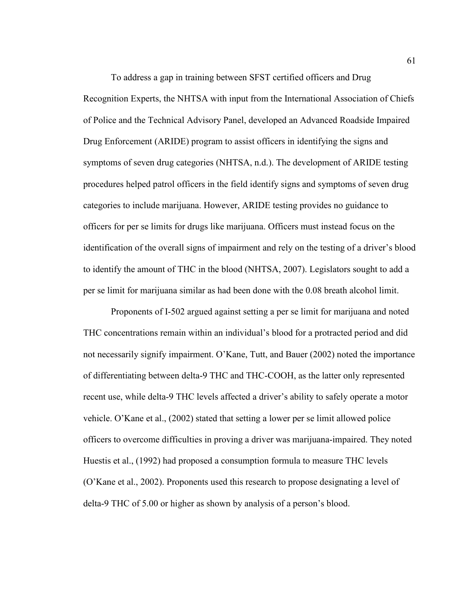To address a gap in training between SFST certified officers and Drug Recognition Experts, the NHTSA with input from the International Association of Chiefs of Police and the Technical Advisory Panel, developed an Advanced Roadside Impaired Drug Enforcement (ARIDE) program to assist officers in identifying the signs and symptoms of seven drug categories (NHTSA, n.d.). The development of ARIDE testing procedures helped patrol officers in the field identify signs and symptoms of seven drug categories to include marijuana. However, ARIDE testing provides no guidance to officers for per se limits for drugs like marijuana. Officers must instead focus on the identification of the overall signs of impairment and rely on the testing of a driver's blood to identify the amount of THC in the blood (NHTSA, 2007). Legislators sought to add a per se limit for marijuana similar as had been done with the 0.08 breath alcohol limit.

Proponents of I-502 argued against setting a per se limit for marijuana and noted THC concentrations remain within an individual's blood for a protracted period and did not necessarily signify impairment. O'Kane, Tutt, and Bauer (2002) noted the importance of differentiating between delta-9 THC and THC-COOH, as the latter only represented recent use, while delta-9 THC levels affected a driver's ability to safely operate a motor vehicle. O'Kane et al., (2002) stated that setting a lower per se limit allowed police officers to overcome difficulties in proving a driver was marijuana-impaired. They noted Huestis et al., (1992) had proposed a consumption formula to measure THC levels (O'Kane et al., 2002). Proponents used this research to propose designating a level of delta-9 THC of 5.00 or higher as shown by analysis of a person's blood.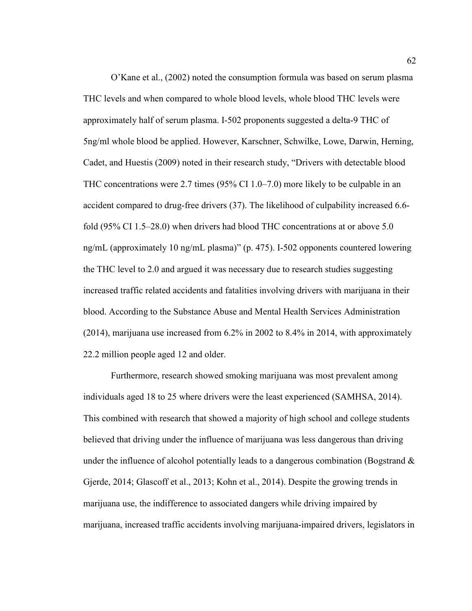O'Kane et al., (2002) noted the consumption formula was based on serum plasma THC levels and when compared to whole blood levels, whole blood THC levels were approximately half of serum plasma. I-502 proponents suggested a delta-9 THC of 5ng/ml whole blood be applied. However, Karschner, Schwilke, Lowe, Darwin, Herning, Cadet, and Huestis (2009) noted in their research study, "Drivers with detectable blood THC concentrations were 2.7 times (95% CI 1.0–7.0) more likely to be culpable in an accident compared to drug-free drivers (37). The likelihood of culpability increased 6.6 fold (95% CI 1.5–28.0) when drivers had blood THC concentrations at or above 5.0 ng/mL (approximately 10 ng/mL plasma)" (p. 475). I-502 opponents countered lowering the THC level to 2.0 and argued it was necessary due to research studies suggesting increased traffic related accidents and fatalities involving drivers with marijuana in their blood. According to the Substance Abuse and Mental Health Services Administration (2014), marijuana use increased from 6.2% in 2002 to 8.4% in 2014, with approximately 22.2 million people aged 12 and older.

Furthermore, research showed smoking marijuana was most prevalent among individuals aged 18 to 25 where drivers were the least experienced (SAMHSA, 2014). This combined with research that showed a majority of high school and college students believed that driving under the influence of marijuana was less dangerous than driving under the influence of alcohol potentially leads to a dangerous combination (Bogstrand  $\&$ Gjerde, 2014; Glascoff et al., 2013; Kohn et al., 2014). Despite the growing trends in marijuana use, the indifference to associated dangers while driving impaired by marijuana, increased traffic accidents involving marijuana-impaired drivers, legislators in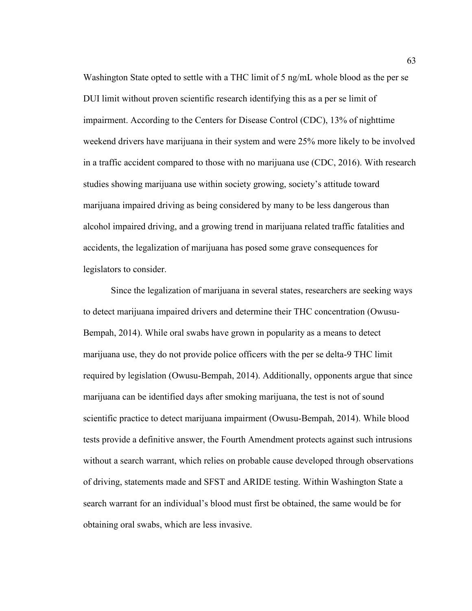Washington State opted to settle with a THC limit of 5 ng/mL whole blood as the per se DUI limit without proven scientific research identifying this as a per se limit of impairment. According to the Centers for Disease Control (CDC), 13% of nighttime weekend drivers have marijuana in their system and were 25% more likely to be involved in a traffic accident compared to those with no marijuana use (CDC, 2016). With research studies showing marijuana use within society growing, society's attitude toward marijuana impaired driving as being considered by many to be less dangerous than alcohol impaired driving, and a growing trend in marijuana related traffic fatalities and accidents, the legalization of marijuana has posed some grave consequences for legislators to consider.

Since the legalization of marijuana in several states, researchers are seeking ways to detect marijuana impaired drivers and determine their THC concentration (Owusu-Bempah, 2014). While oral swabs have grown in popularity as a means to detect marijuana use, they do not provide police officers with the per se delta-9 THC limit required by legislation (Owusu-Bempah, 2014). Additionally, opponents argue that since marijuana can be identified days after smoking marijuana, the test is not of sound scientific practice to detect marijuana impairment (Owusu-Bempah, 2014). While blood tests provide a definitive answer, the Fourth Amendment protects against such intrusions without a search warrant, which relies on probable cause developed through observations of driving, statements made and SFST and ARIDE testing. Within Washington State a search warrant for an individual's blood must first be obtained, the same would be for obtaining oral swabs, which are less invasive.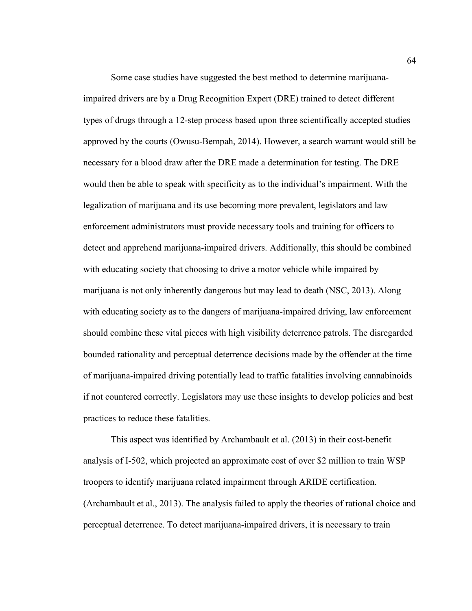Some case studies have suggested the best method to determine marijuanaimpaired drivers are by a Drug Recognition Expert (DRE) trained to detect different types of drugs through a 12-step process based upon three scientifically accepted studies approved by the courts (Owusu-Bempah, 2014). However, a search warrant would still be necessary for a blood draw after the DRE made a determination for testing. The DRE would then be able to speak with specificity as to the individual's impairment. With the legalization of marijuana and its use becoming more prevalent, legislators and law enforcement administrators must provide necessary tools and training for officers to detect and apprehend marijuana-impaired drivers. Additionally, this should be combined with educating society that choosing to drive a motor vehicle while impaired by marijuana is not only inherently dangerous but may lead to death (NSC, 2013). Along with educating society as to the dangers of marijuana-impaired driving, law enforcement should combine these vital pieces with high visibility deterrence patrols. The disregarded bounded rationality and perceptual deterrence decisions made by the offender at the time of marijuana-impaired driving potentially lead to traffic fatalities involving cannabinoids if not countered correctly. Legislators may use these insights to develop policies and best practices to reduce these fatalities.

This aspect was identified by Archambault et al. (2013) in their cost-benefit analysis of I-502, which projected an approximate cost of over \$2 million to train WSP troopers to identify marijuana related impairment through ARIDE certification. (Archambault et al., 2013). The analysis failed to apply the theories of rational choice and perceptual deterrence. To detect marijuana-impaired drivers, it is necessary to train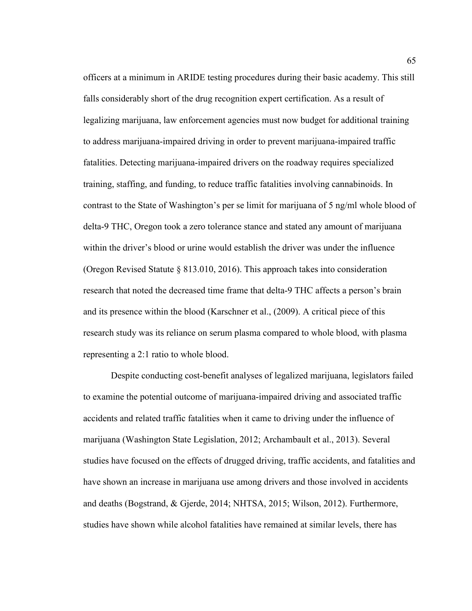officers at a minimum in ARIDE testing procedures during their basic academy. This still falls considerably short of the drug recognition expert certification. As a result of legalizing marijuana, law enforcement agencies must now budget for additional training to address marijuana-impaired driving in order to prevent marijuana-impaired traffic fatalities. Detecting marijuana-impaired drivers on the roadway requires specialized training, staffing, and funding, to reduce traffic fatalities involving cannabinoids. In contrast to the State of Washington's per se limit for marijuana of 5 ng/ml whole blood of delta-9 THC, Oregon took a zero tolerance stance and stated any amount of marijuana within the driver's blood or urine would establish the driver was under the influence (Oregon Revised Statute § 813.010, 2016). This approach takes into consideration research that noted the decreased time frame that delta-9 THC affects a person's brain and its presence within the blood (Karschner et al., (2009). A critical piece of this research study was its reliance on serum plasma compared to whole blood, with plasma representing a 2:1 ratio to whole blood.

Despite conducting cost-benefit analyses of legalized marijuana, legislators failed to examine the potential outcome of marijuana-impaired driving and associated traffic accidents and related traffic fatalities when it came to driving under the influence of marijuana (Washington State Legislation, 2012; Archambault et al., 2013). Several studies have focused on the effects of drugged driving, traffic accidents, and fatalities and have shown an increase in marijuana use among drivers and those involved in accidents and deaths (Bogstrand, & Gjerde, 2014; NHTSA, 2015; Wilson, 2012). Furthermore, studies have shown while alcohol fatalities have remained at similar levels, there has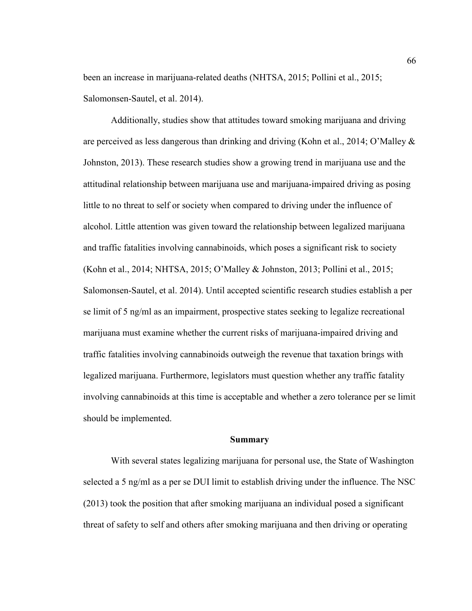been an increase in marijuana-related deaths (NHTSA, 2015; Pollini et al., 2015; Salomonsen-Sautel, et al. 2014).

Additionally, studies show that attitudes toward smoking marijuana and driving are perceived as less dangerous than drinking and driving (Kohn et al., 2014; O'Malley & Johnston, 2013). These research studies show a growing trend in marijuana use and the attitudinal relationship between marijuana use and marijuana-impaired driving as posing little to no threat to self or society when compared to driving under the influence of alcohol. Little attention was given toward the relationship between legalized marijuana and traffic fatalities involving cannabinoids, which poses a significant risk to society (Kohn et al., 2014; NHTSA, 2015; O'Malley & Johnston, 2013; Pollini et al., 2015; Salomonsen-Sautel, et al. 2014). Until accepted scientific research studies establish a per se limit of 5 ng/ml as an impairment, prospective states seeking to legalize recreational marijuana must examine whether the current risks of marijuana-impaired driving and traffic fatalities involving cannabinoids outweigh the revenue that taxation brings with legalized marijuana. Furthermore, legislators must question whether any traffic fatality involving cannabinoids at this time is acceptable and whether a zero tolerance per se limit should be implemented.

#### **Summary**

With several states legalizing marijuana for personal use, the State of Washington selected a 5 ng/ml as a per se DUI limit to establish driving under the influence. The NSC (2013) took the position that after smoking marijuana an individual posed a significant threat of safety to self and others after smoking marijuana and then driving or operating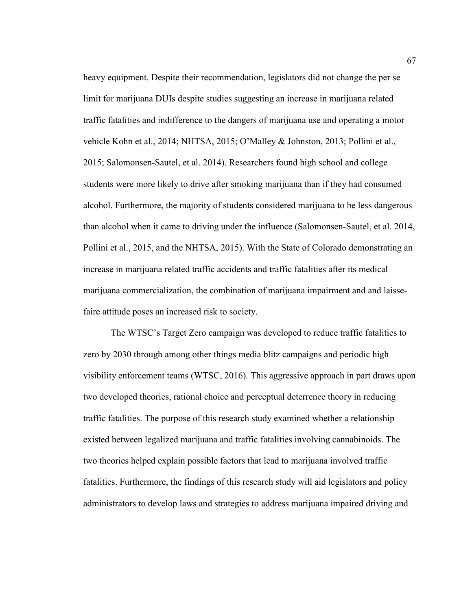heavy equipment. Despite their recommendation, legislators did not change the per se limit for marijuana DUIs despite studies suggesting an increase in marijuana related traffic fatalities and indifference to the dangers of marijuana use and operating a motor vehicle Kohn et al., 2014; NHTSA, 2015; O'Malley & Johnston, 2013; Pollini et al., 2015; Salomonsen-Sautel, et al. 2014). Researchers found high school and college students were more likely to drive after smoking marijuana than if they had consumed alcohol. Furthermore, the majority of students considered marijuana to be less dangerous than alcohol when it came to driving under the influence (Salomonsen-Sautel, et al. 2014, Pollini et al., 2015, and the NHTSA, 2015). With the State of Colorado demonstrating an increase in marijuana related traffic accidents and traffic fatalities after its medical marijuana commercialization, the combination of marijuana impairment and and laissefaire attitude poses an increased risk to society.

The WTSC's Target Zero campaign was developed to reduce traffic fatalities to zero by 2030 through among other things media blitz campaigns and periodic high visibility enforcement teams (WTSC, 2016). This aggressive approach in part draws upon two developed theories, rational choice and perceptual deterrence theory in reducing traffic fatalities. The purpose of this research study examined whether a relationship existed between legalized marijuana and traffic fatalities involving cannabinoids. The two theories helped explain possible factors that lead to marijuana involved traffic fatalities. Furthermore, the findings of this research study will aid legislators and policy administrators to develop laws and strategies to address marijuana impaired driving and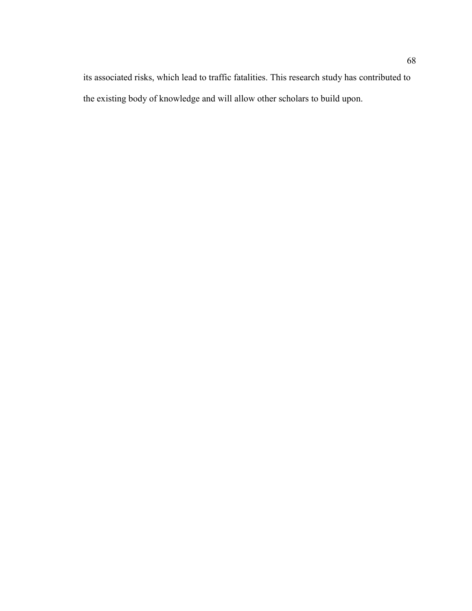its associated risks, which lead to traffic fatalities. This research study has contributed to the existing body of knowledge and will allow other scholars to build upon.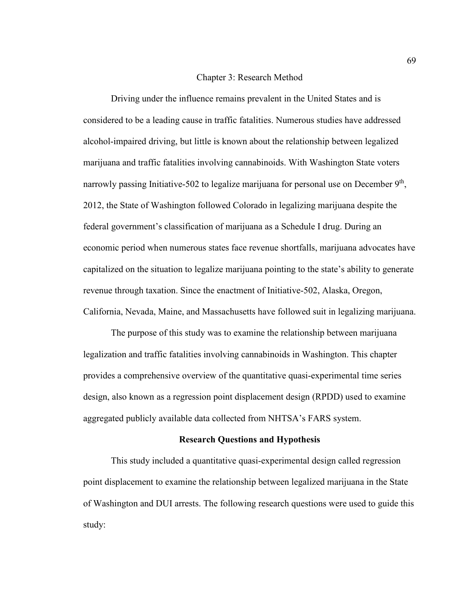### Chapter 3: Research Method

Driving under the influence remains prevalent in the United States and is considered to be a leading cause in traffic fatalities. Numerous studies have addressed alcohol-impaired driving, but little is known about the relationship between legalized marijuana and traffic fatalities involving cannabinoids. With Washington State voters narrowly passing Initiative-502 to legalize marijuana for personal use on December 9<sup>th</sup>, 2012, the State of Washington followed Colorado in legalizing marijuana despite the federal government's classification of marijuana as a Schedule I drug. During an economic period when numerous states face revenue shortfalls, marijuana advocates have capitalized on the situation to legalize marijuana pointing to the state's ability to generate revenue through taxation. Since the enactment of Initiative-502, Alaska, Oregon, California, Nevada, Maine, and Massachusetts have followed suit in legalizing marijuana.

The purpose of this study was to examine the relationship between marijuana legalization and traffic fatalities involving cannabinoids in Washington. This chapter provides a comprehensive overview of the quantitative quasi-experimental time series design, also known as a regression point displacement design (RPDD) used to examine aggregated publicly available data collected from NHTSA's FARS system.

## **Research Questions and Hypothesis**

This study included a quantitative quasi-experimental design called regression point displacement to examine the relationship between legalized marijuana in the State of Washington and DUI arrests. The following research questions were used to guide this study: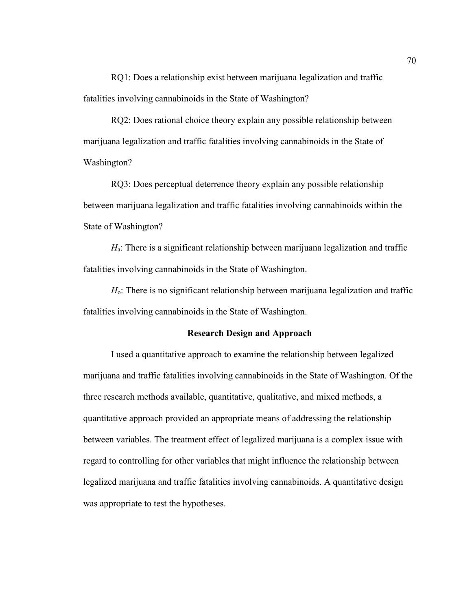RQ1: Does a relationship exist between marijuana legalization and traffic fatalities involving cannabinoids in the State of Washington?

RQ2: Does rational choice theory explain any possible relationship between marijuana legalization and traffic fatalities involving cannabinoids in the State of Washington?

RQ3: Does perceptual deterrence theory explain any possible relationship between marijuana legalization and traffic fatalities involving cannabinoids within the State of Washington?

*H*a: There is a significant relationship between marijuana legalization and traffic fatalities involving cannabinoids in the State of Washington.

*H*o: There is no significant relationship between marijuana legalization and traffic fatalities involving cannabinoids in the State of Washington.

## **Research Design and Approach**

I used a quantitative approach to examine the relationship between legalized marijuana and traffic fatalities involving cannabinoids in the State of Washington. Of the three research methods available, quantitative, qualitative, and mixed methods, a quantitative approach provided an appropriate means of addressing the relationship between variables. The treatment effect of legalized marijuana is a complex issue with regard to controlling for other variables that might influence the relationship between legalized marijuana and traffic fatalities involving cannabinoids. A quantitative design was appropriate to test the hypotheses.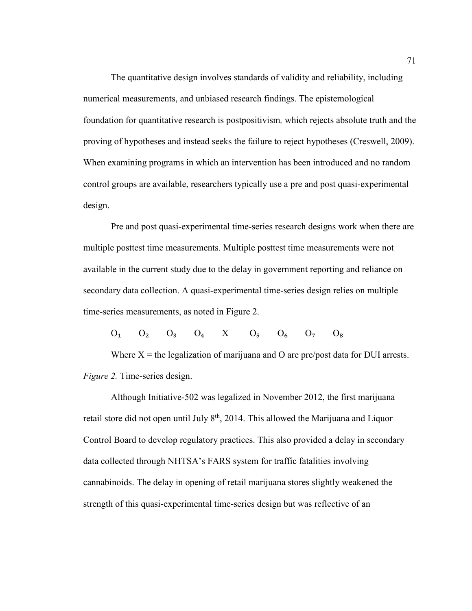The quantitative design involves standards of validity and reliability, including numerical measurements, and unbiased research findings. The epistemological foundation for quantitative research is postpositivism*,* which rejects absolute truth and the proving of hypotheses and instead seeks the failure to reject hypotheses (Creswell, 2009). When examining programs in which an intervention has been introduced and no random control groups are available, researchers typically use a pre and post quasi-experimental design.

Pre and post quasi-experimental time-series research designs work when there are multiple posttest time measurements. Multiple posttest time measurements were not available in the current study due to the delay in government reporting and reliance on secondary data collection. A quasi-experimental time-series design relies on multiple time-series measurements, as noted in Figure 2.

 $O_1$   $O_2$   $O_3$   $O_4$   $X$   $O_5$   $O_6$   $O_7$   $O_8$ 

Where  $X =$  the legalization of marijuana and O are pre/post data for DUI arrests. *Figure 2.* Time-series design.

Although Initiative-502 was legalized in November 2012, the first marijuana retail store did not open until July  $8<sup>th</sup>$ , 2014. This allowed the Marijuana and Liquor Control Board to develop regulatory practices. This also provided a delay in secondary data collected through NHTSA's FARS system for traffic fatalities involving cannabinoids. The delay in opening of retail marijuana stores slightly weakened the strength of this quasi-experimental time-series design but was reflective of an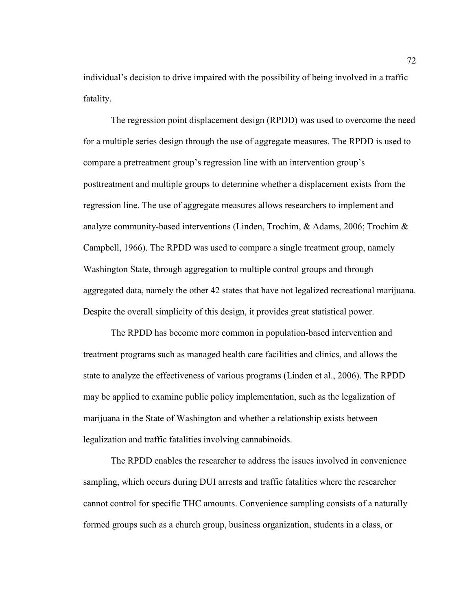individual's decision to drive impaired with the possibility of being involved in a traffic fatality.

The regression point displacement design (RPDD) was used to overcome the need for a multiple series design through the use of aggregate measures. The RPDD is used to compare a pretreatment group's regression line with an intervention group's posttreatment and multiple groups to determine whether a displacement exists from the regression line. The use of aggregate measures allows researchers to implement and analyze community-based interventions (Linden, Trochim, & Adams, 2006; Trochim & Campbell, 1966). The RPDD was used to compare a single treatment group, namely Washington State, through aggregation to multiple control groups and through aggregated data, namely the other 42 states that have not legalized recreational marijuana. Despite the overall simplicity of this design, it provides great statistical power.

The RPDD has become more common in population-based intervention and treatment programs such as managed health care facilities and clinics, and allows the state to analyze the effectiveness of various programs (Linden et al., 2006). The RPDD may be applied to examine public policy implementation, such as the legalization of marijuana in the State of Washington and whether a relationship exists between legalization and traffic fatalities involving cannabinoids.

The RPDD enables the researcher to address the issues involved in convenience sampling, which occurs during DUI arrests and traffic fatalities where the researcher cannot control for specific THC amounts. Convenience sampling consists of a naturally formed groups such as a church group, business organization, students in a class, or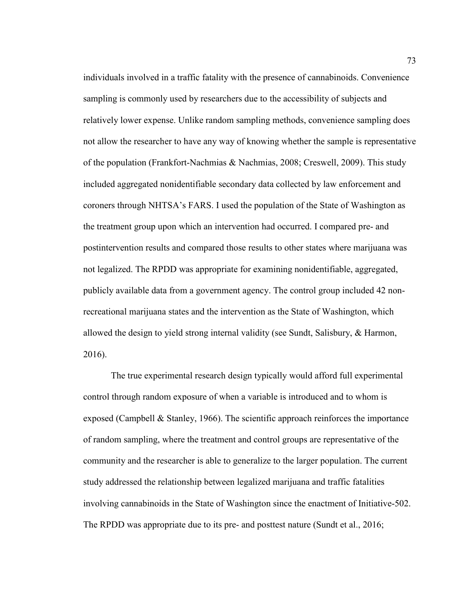individuals involved in a traffic fatality with the presence of cannabinoids. Convenience sampling is commonly used by researchers due to the accessibility of subjects and relatively lower expense. Unlike random sampling methods, convenience sampling does not allow the researcher to have any way of knowing whether the sample is representative of the population (Frankfort-Nachmias & Nachmias, 2008; Creswell, 2009). This study included aggregated nonidentifiable secondary data collected by law enforcement and coroners through NHTSA's FARS. I used the population of the State of Washington as the treatment group upon which an intervention had occurred. I compared pre- and postintervention results and compared those results to other states where marijuana was not legalized. The RPDD was appropriate for examining nonidentifiable, aggregated, publicly available data from a government agency. The control group included 42 nonrecreational marijuana states and the intervention as the State of Washington, which allowed the design to yield strong internal validity (see Sundt, Salisbury, & Harmon, 2016).

The true experimental research design typically would afford full experimental control through random exposure of when a variable is introduced and to whom is exposed (Campbell & Stanley, 1966). The scientific approach reinforces the importance of random sampling, where the treatment and control groups are representative of the community and the researcher is able to generalize to the larger population. The current study addressed the relationship between legalized marijuana and traffic fatalities involving cannabinoids in the State of Washington since the enactment of Initiative-502. The RPDD was appropriate due to its pre- and posttest nature (Sundt et al., 2016;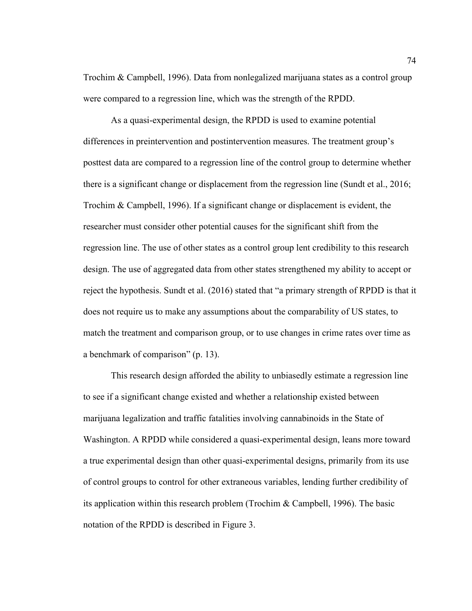Trochim & Campbell, 1996). Data from nonlegalized marijuana states as a control group were compared to a regression line, which was the strength of the RPDD.

As a quasi-experimental design, the RPDD is used to examine potential differences in preintervention and postintervention measures. The treatment group's posttest data are compared to a regression line of the control group to determine whether there is a significant change or displacement from the regression line (Sundt et al., 2016; Trochim & Campbell, 1996). If a significant change or displacement is evident, the researcher must consider other potential causes for the significant shift from the regression line. The use of other states as a control group lent credibility to this research design. The use of aggregated data from other states strengthened my ability to accept or reject the hypothesis. Sundt et al. (2016) stated that "a primary strength of RPDD is that it does not require us to make any assumptions about the comparability of US states, to match the treatment and comparison group, or to use changes in crime rates over time as a benchmark of comparison" (p. 13).

This research design afforded the ability to unbiasedly estimate a regression line to see if a significant change existed and whether a relationship existed between marijuana legalization and traffic fatalities involving cannabinoids in the State of Washington. A RPDD while considered a quasi-experimental design, leans more toward a true experimental design than other quasi-experimental designs, primarily from its use of control groups to control for other extraneous variables, lending further credibility of its application within this research problem (Trochim & Campbell, 1996). The basic notation of the RPDD is described in Figure 3.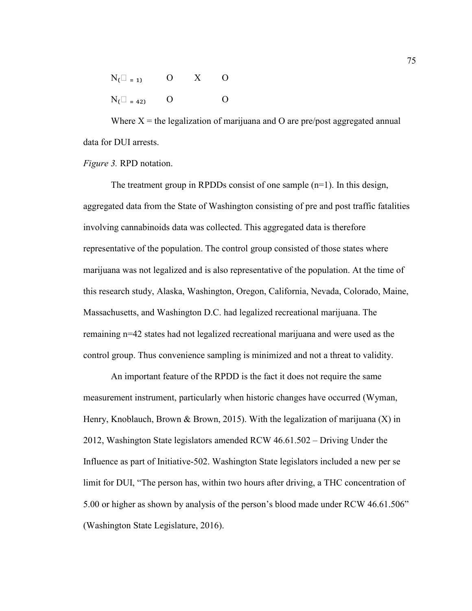| $N_{\text{t}}$ = 1) | $\overline{O}$ | $X \quad 0$ |          |
|---------------------|----------------|-------------|----------|
| $N_{\text{I}} = 42$ | $\Omega$       |             | $\Omega$ |

Where  $X =$  the legalization of marijuana and O are pre/post aggregated annual data for DUI arrests.

*Figure 3.* RPD notation.

The treatment group in RPDDs consist of one sample  $(n=1)$ . In this design, aggregated data from the State of Washington consisting of pre and post traffic fatalities involving cannabinoids data was collected. This aggregated data is therefore representative of the population. The control group consisted of those states where marijuana was not legalized and is also representative of the population. At the time of this research study, Alaska, Washington, Oregon, California, Nevada, Colorado, Maine, Massachusetts, and Washington D.C. had legalized recreational marijuana. The remaining n=42 states had not legalized recreational marijuana and were used as the control group. Thus convenience sampling is minimized and not a threat to validity.

An important feature of the RPDD is the fact it does not require the same measurement instrument, particularly when historic changes have occurred (Wyman, Henry, Knoblauch, Brown & Brown, 2015). With the legalization of marijuana  $(X)$  in 2012, Washington State legislators amended RCW 46.61.502 – Driving Under the Influence as part of Initiative-502. Washington State legislators included a new per se limit for DUI, "The person has, within two hours after driving, a THC concentration of 5.00 or higher as shown by analysis of the person's blood made under RCW 46.61.506" (Washington State Legislature, 2016).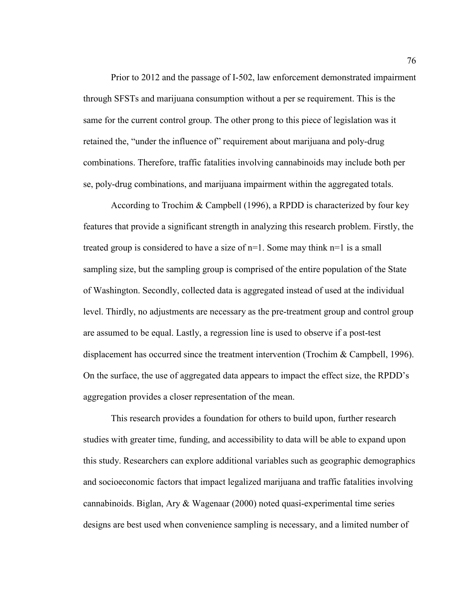Prior to 2012 and the passage of I-502, law enforcement demonstrated impairment through SFSTs and marijuana consumption without a per se requirement. This is the same for the current control group. The other prong to this piece of legislation was it retained the, "under the influence of" requirement about marijuana and poly-drug combinations. Therefore, traffic fatalities involving cannabinoids may include both per se, poly-drug combinations, and marijuana impairment within the aggregated totals.

According to Trochim & Campbell (1996), a RPDD is characterized by four key features that provide a significant strength in analyzing this research problem. Firstly, the treated group is considered to have a size of  $n=1$ . Some may think  $n=1$  is a small sampling size, but the sampling group is comprised of the entire population of the State of Washington. Secondly, collected data is aggregated instead of used at the individual level. Thirdly, no adjustments are necessary as the pre-treatment group and control group are assumed to be equal. Lastly, a regression line is used to observe if a post-test displacement has occurred since the treatment intervention (Trochim & Campbell, 1996). On the surface, the use of aggregated data appears to impact the effect size, the RPDD's aggregation provides a closer representation of the mean.

This research provides a foundation for others to build upon, further research studies with greater time, funding, and accessibility to data will be able to expand upon this study. Researchers can explore additional variables such as geographic demographics and socioeconomic factors that impact legalized marijuana and traffic fatalities involving cannabinoids. Biglan, Ary & Wagenaar (2000) noted quasi-experimental time series designs are best used when convenience sampling is necessary, and a limited number of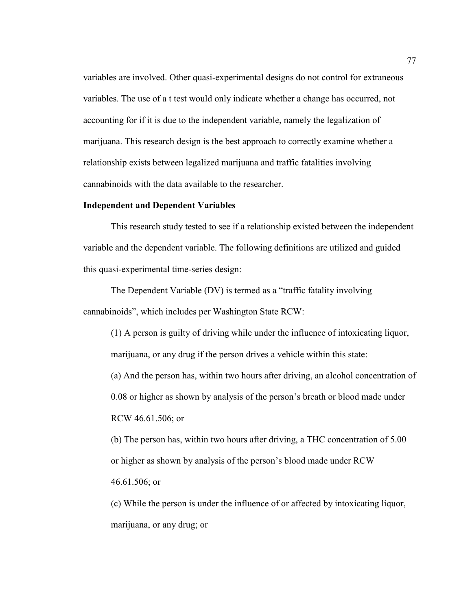variables are involved. Other quasi-experimental designs do not control for extraneous variables. The use of a t test would only indicate whether a change has occurred, not accounting for if it is due to the independent variable, namely the legalization of marijuana. This research design is the best approach to correctly examine whether a relationship exists between legalized marijuana and traffic fatalities involving cannabinoids with the data available to the researcher.

## **Independent and Dependent Variables**

This research study tested to see if a relationship existed between the independent variable and the dependent variable. The following definitions are utilized and guided this quasi-experimental time-series design:

The Dependent Variable (DV) is termed as a "traffic fatality involving cannabinoids", which includes per Washington State RCW:

(1) A person is guilty of driving while under the influence of intoxicating liquor, marijuana, or any drug if the person drives a vehicle within this state: (a) And the person has, within two hours after driving, an alcohol concentration of 0.08 or higher as shown by analysis of the person's breath or blood made under RCW 46.61.506; or

(b) The person has, within two hours after driving, a THC concentration of 5.00 or higher as shown by analysis of the person's blood made under RCW 46.61.506; or

(c) While the person is under the influence of or affected by intoxicating liquor, marijuana, or any drug; or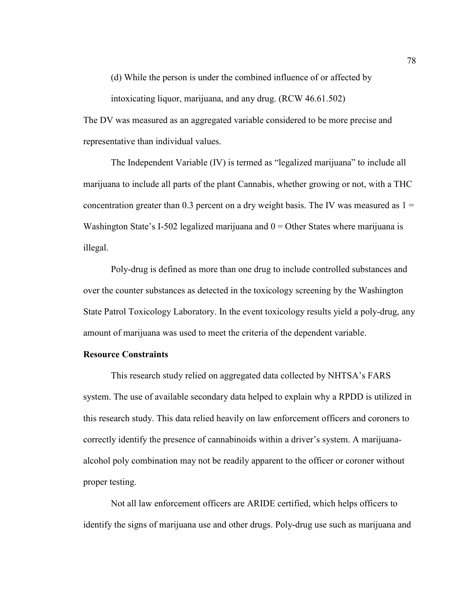(d) While the person is under the combined influence of or affected by

intoxicating liquor, marijuana, and any drug. (RCW 46.61.502)

The DV was measured as an aggregated variable considered to be more precise and representative than individual values.

The Independent Variable (IV) is termed as "legalized marijuana" to include all marijuana to include all parts of the plant Cannabis, whether growing or not, with a THC concentration greater than 0.3 percent on a dry weight basis. The IV was measured as  $1 =$ Washington State's I-502 legalized marijuana and  $0 =$ Other States where marijuana is illegal.

Poly-drug is defined as more than one drug to include controlled substances and over the counter substances as detected in the toxicology screening by the Washington State Patrol Toxicology Laboratory. In the event toxicology results yield a poly-drug, any amount of marijuana was used to meet the criteria of the dependent variable.

## **Resource Constraints**

This research study relied on aggregated data collected by NHTSA's FARS system. The use of available secondary data helped to explain why a RPDD is utilized in this research study. This data relied heavily on law enforcement officers and coroners to correctly identify the presence of cannabinoids within a driver's system. A marijuanaalcohol poly combination may not be readily apparent to the officer or coroner without proper testing.

Not all law enforcement officers are ARIDE certified, which helps officers to identify the signs of marijuana use and other drugs. Poly-drug use such as marijuana and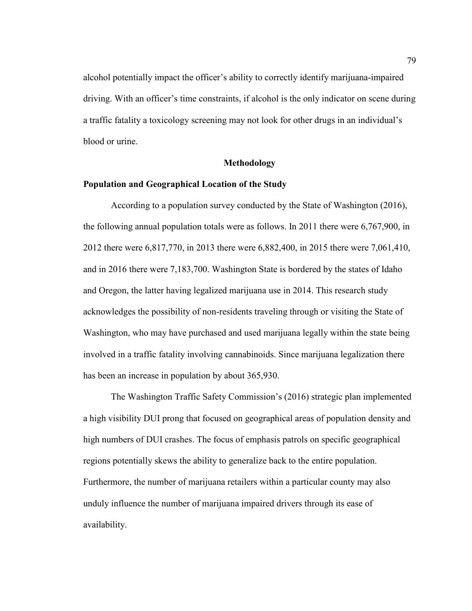alcohol potentially impact the officer's ability to correctly identify marijuana-impaired driving. With an officer's time constraints, if alcohol is the only indicator on scene during a traffic fatality a toxicology screening may not look for other drugs in an individual's blood or urine.

## **Methodology**

# **Population and Geographical Location of the Study**

According to a population survey conducted by the State of Washington (2016), the following annual population totals were as follows. In 2011 there were 6,767,900, in 2012 there were 6,817,770, in 2013 there were 6,882,400, in 2015 there were 7,061,410, and in 2016 there were 7,183,700. Washington State is bordered by the states of Idaho and Oregon, the latter having legalized marijuana use in 2014. This research study acknowledges the possibility of non-residents traveling through or visiting the State of Washington, who may have purchased and used marijuana legally within the state being involved in a traffic fatality involving cannabinoids. Since marijuana legalization there has been an increase in population by about 365,930.

The Washington Traffic Safety Commission's (2016) strategic plan implemented a high visibility DUI prong that focused on geographical areas of population density and high numbers of DUI crashes. The focus of emphasis patrols on specific geographical regions potentially skews the ability to generalize back to the entire population. Furthermore, the number of marijuana retailers within a particular county may also unduly influence the number of marijuana impaired drivers through its ease of availability.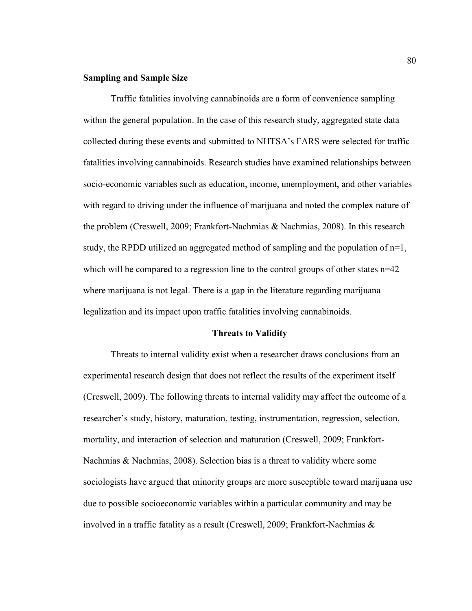## **Sampling and Sample Size**

Traffic fatalities involving cannabinoids are a form of convenience sampling within the general population. In the case of this research study, aggregated state data collected during these events and submitted to NHTSA's FARS were selected for traffic fatalities involving cannabinoids. Research studies have examined relationships between socio-economic variables such as education, income, unemployment, and other variables with regard to driving under the influence of marijuana and noted the complex nature of the problem (Creswell, 2009; Frankfort-Nachmias & Nachmias, 2008). In this research study, the RPDD utilized an aggregated method of sampling and the population of n=1, which will be compared to a regression line to the control groups of other states  $n=42$ where marijuana is not legal. There is a gap in the literature regarding marijuana legalization and its impact upon traffic fatalities involving cannabinoids.

## **Threats to Validity**

Threats to internal validity exist when a researcher draws conclusions from an experimental research design that does not reflect the results of the experiment itself (Creswell, 2009). The following threats to internal validity may affect the outcome of a researcher's study, history, maturation, testing, instrumentation, regression, selection, mortality, and interaction of selection and maturation (Creswell, 2009; Frankfort-Nachmias & Nachmias, 2008). Selection bias is a threat to validity where some sociologists have argued that minority groups are more susceptible toward marijuana use due to possible socioeconomic variables within a particular community and may be involved in a traffic fatality as a result (Creswell, 2009; Frankfort-Nachmias &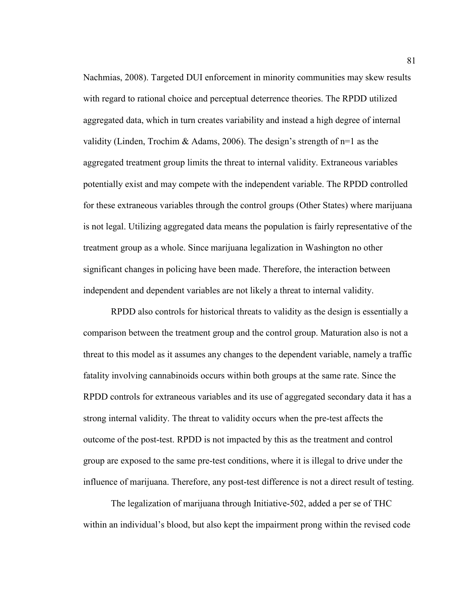Nachmias, 2008). Targeted DUI enforcement in minority communities may skew results with regard to rational choice and perceptual deterrence theories. The RPDD utilized aggregated data, which in turn creates variability and instead a high degree of internal validity (Linden, Trochim & Adams, 2006). The design's strength of  $n=1$  as the aggregated treatment group limits the threat to internal validity. Extraneous variables potentially exist and may compete with the independent variable. The RPDD controlled for these extraneous variables through the control groups (Other States) where marijuana is not legal. Utilizing aggregated data means the population is fairly representative of the treatment group as a whole. Since marijuana legalization in Washington no other significant changes in policing have been made. Therefore, the interaction between independent and dependent variables are not likely a threat to internal validity.

RPDD also controls for historical threats to validity as the design is essentially a comparison between the treatment group and the control group. Maturation also is not a threat to this model as it assumes any changes to the dependent variable, namely a traffic fatality involving cannabinoids occurs within both groups at the same rate. Since the RPDD controls for extraneous variables and its use of aggregated secondary data it has a strong internal validity. The threat to validity occurs when the pre-test affects the outcome of the post-test. RPDD is not impacted by this as the treatment and control group are exposed to the same pre-test conditions, where it is illegal to drive under the influence of marijuana. Therefore, any post-test difference is not a direct result of testing.

The legalization of marijuana through Initiative-502, added a per se of THC within an individual's blood, but also kept the impairment prong within the revised code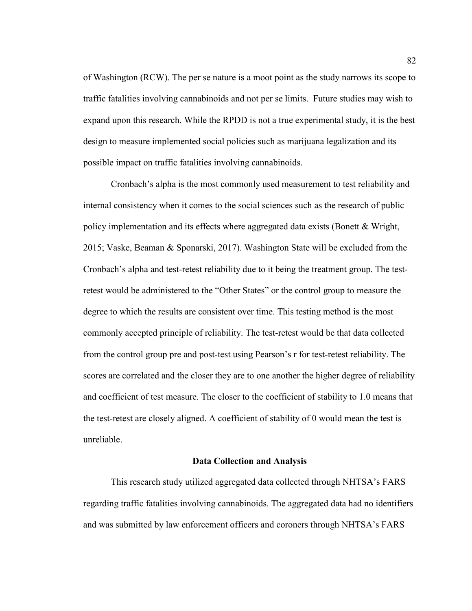of Washington (RCW). The per se nature is a moot point as the study narrows its scope to traffic fatalities involving cannabinoids and not per se limits. Future studies may wish to expand upon this research. While the RPDD is not a true experimental study, it is the best design to measure implemented social policies such as marijuana legalization and its possible impact on traffic fatalities involving cannabinoids.

Cronbach's alpha is the most commonly used measurement to test reliability and internal consistency when it comes to the social sciences such as the research of public policy implementation and its effects where aggregated data exists (Bonett & Wright, 2015; Vaske, Beaman & Sponarski, 2017). Washington State will be excluded from the Cronbach's alpha and test-retest reliability due to it being the treatment group. The testretest would be administered to the "Other States" or the control group to measure the degree to which the results are consistent over time. This testing method is the most commonly accepted principle of reliability. The test-retest would be that data collected from the control group pre and post-test using Pearson's r for test-retest reliability. The scores are correlated and the closer they are to one another the higher degree of reliability and coefficient of test measure. The closer to the coefficient of stability to 1.0 means that the test-retest are closely aligned. A coefficient of stability of 0 would mean the test is unreliable.

#### **Data Collection and Analysis**

This research study utilized aggregated data collected through NHTSA's FARS regarding traffic fatalities involving cannabinoids. The aggregated data had no identifiers and was submitted by law enforcement officers and coroners through NHTSA's FARS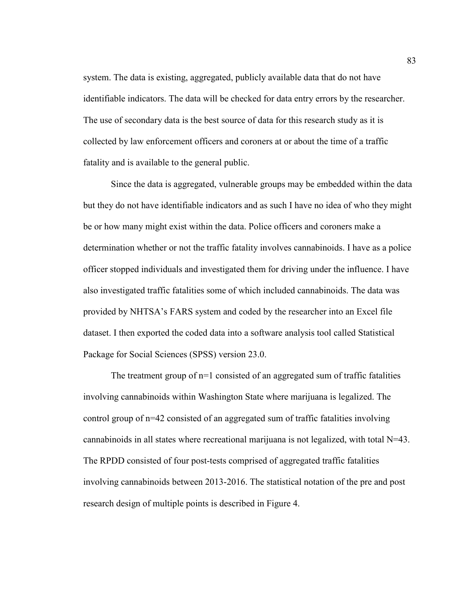system. The data is existing, aggregated, publicly available data that do not have identifiable indicators. The data will be checked for data entry errors by the researcher. The use of secondary data is the best source of data for this research study as it is collected by law enforcement officers and coroners at or about the time of a traffic fatality and is available to the general public.

Since the data is aggregated, vulnerable groups may be embedded within the data but they do not have identifiable indicators and as such I have no idea of who they might be or how many might exist within the data. Police officers and coroners make a determination whether or not the traffic fatality involves cannabinoids. I have as a police officer stopped individuals and investigated them for driving under the influence. I have also investigated traffic fatalities some of which included cannabinoids. The data was provided by NHTSA's FARS system and coded by the researcher into an Excel file dataset. I then exported the coded data into a software analysis tool called Statistical Package for Social Sciences (SPSS) version 23.0.

The treatment group of n=1 consisted of an aggregated sum of traffic fatalities involving cannabinoids within Washington State where marijuana is legalized. The control group of n=42 consisted of an aggregated sum of traffic fatalities involving cannabinoids in all states where recreational marijuana is not legalized, with total  $N=43$ . The RPDD consisted of four post-tests comprised of aggregated traffic fatalities involving cannabinoids between 2013-2016. The statistical notation of the pre and post research design of multiple points is described in Figure 4.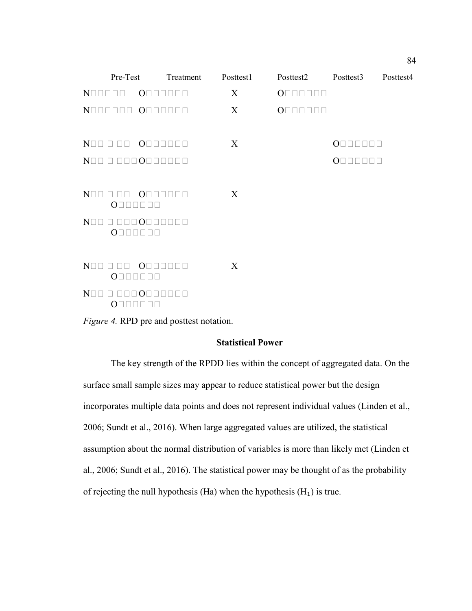| Pre-Test                                                                           |                                             | Treatment | Posttest1 | Posttest2                                     | Posttest3                                         | Posttest4 |  |
|------------------------------------------------------------------------------------|---------------------------------------------|-----------|-----------|-----------------------------------------------|---------------------------------------------------|-----------|--|
| $N\square\square\square\square\square\square$                                      | $O \square \square \square \square \square$ |           | X         | $O \square \square \square \square \square$   |                                                   |           |  |
| NOODOOO OOOOOOO                                                                    |                                             |           | X         | $O\square\square\square\square\square\square$ |                                                   |           |  |
|                                                                                    |                                             |           |           |                                               |                                                   |           |  |
|                                                                                    |                                             |           | X         |                                               | $O \square \square$<br>$\Box$<br>$\Box$<br>$\Box$ |           |  |
| NOO O OOOOOOOOO                                                                    |                                             |           |           |                                               | $O \square$                                       |           |  |
|                                                                                    |                                             |           |           |                                               |                                                   |           |  |
| $N\Box\Box$<br>$O\square$                                                          | O <sub>1</sub>                              |           | X         |                                               |                                                   |           |  |
| $N\square$<br>$O\square$                                                           | $\Box$ $\cap$                               |           |           |                                               |                                                   |           |  |
|                                                                                    |                                             |           |           |                                               |                                                   |           |  |
| $N \square \square \square \square$<br>$O \square \square \square \square \square$ | $O \square \square \square \square \square$ |           | X         |                                               |                                                   |           |  |
| $N\Box\Box$<br>n nnn Onnnnnn<br>$O\square$                                         |                                             |           |           |                                               |                                                   |           |  |
| <i>Figure 4.</i> RPD pre and posttest notation.                                    |                                             |           |           |                                               |                                                   |           |  |

# **Statistical Power**

The key strength of the RPDD lies within the concept of aggregated data. On the surface small sample sizes may appear to reduce statistical power but the design incorporates multiple data points and does not represent individual values (Linden et al., 2006; Sundt et al., 2016). When large aggregated values are utilized, the statistical assumption about the normal distribution of variables is more than likely met (Linden et al., 2006; Sundt et al., 2016). The statistical power may be thought of as the probability of rejecting the null hypothesis (Ha) when the hypothesis  $(H_1)$  is true.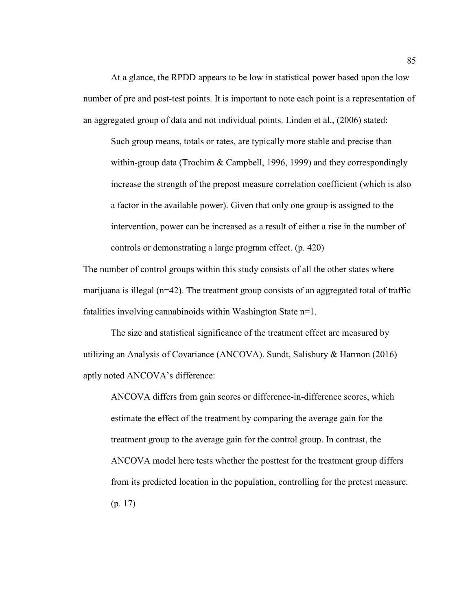At a glance, the RPDD appears to be low in statistical power based upon the low number of pre and post-test points. It is important to note each point is a representation of an aggregated group of data and not individual points. Linden et al., (2006) stated:

Such group means, totals or rates, are typically more stable and precise than within-group data (Trochim & Campbell, 1996, 1999) and they correspondingly increase the strength of the prepost measure correlation coefficient (which is also a factor in the available power). Given that only one group is assigned to the intervention, power can be increased as a result of either a rise in the number of controls or demonstrating a large program effect. (p. 420)

The number of control groups within this study consists of all the other states where marijuana is illegal (n=42). The treatment group consists of an aggregated total of traffic fatalities involving cannabinoids within Washington State n=1.

The size and statistical significance of the treatment effect are measured by utilizing an Analysis of Covariance (ANCOVA). Sundt, Salisbury & Harmon (2016) aptly noted ANCOVA's difference:

ANCOVA differs from gain scores or difference-in-difference scores, which estimate the effect of the treatment by comparing the average gain for the treatment group to the average gain for the control group. In contrast, the ANCOVA model here tests whether the posttest for the treatment group differs from its predicted location in the population, controlling for the pretest measure. (p. 17)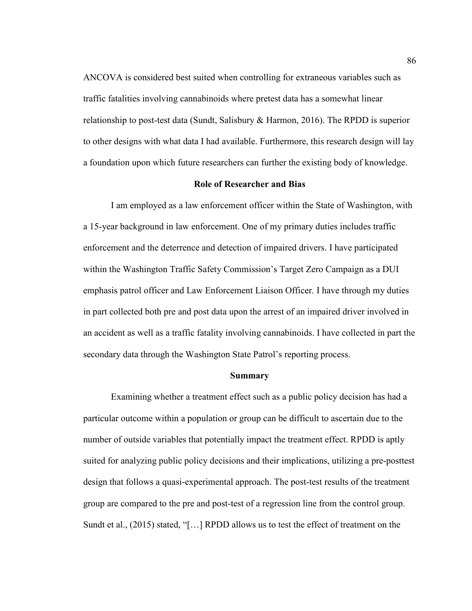ANCOVA is considered best suited when controlling for extraneous variables such as traffic fatalities involving cannabinoids where pretest data has a somewhat linear relationship to post-test data (Sundt, Salisbury & Harmon, 2016). The RPDD is superior to other designs with what data I had available. Furthermore, this research design will lay a foundation upon which future researchers can further the existing body of knowledge.

# **Role of Researcher and Bias**

I am employed as a law enforcement officer within the State of Washington, with a 15-year background in law enforcement. One of my primary duties includes traffic enforcement and the deterrence and detection of impaired drivers. I have participated within the Washington Traffic Safety Commission's Target Zero Campaign as a DUI emphasis patrol officer and Law Enforcement Liaison Officer. I have through my duties in part collected both pre and post data upon the arrest of an impaired driver involved in an accident as well as a traffic fatality involving cannabinoids. I have collected in part the secondary data through the Washington State Patrol's reporting process.

### **Summary**

Examining whether a treatment effect such as a public policy decision has had a particular outcome within a population or group can be difficult to ascertain due to the number of outside variables that potentially impact the treatment effect. RPDD is aptly suited for analyzing public policy decisions and their implications, utilizing a pre-posttest design that follows a quasi-experimental approach. The post-test results of the treatment group are compared to the pre and post-test of a regression line from the control group. Sundt et al., (2015) stated, "[…] RPDD allows us to test the effect of treatment on the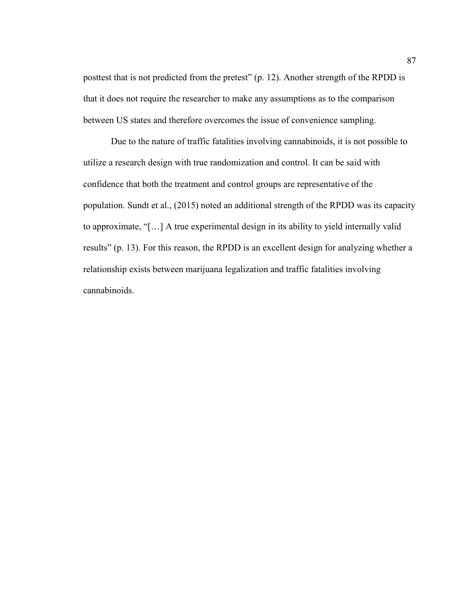posttest that is not predicted from the pretest" (p. 12). Another strength of the RPDD is that it does not require the researcher to make any assumptions as to the comparison between US states and therefore overcomes the issue of convenience sampling.

Due to the nature of traffic fatalities involving cannabinoids, it is not possible to utilize a research design with true randomization and control. It can be said with confidence that both the treatment and control groups are representative of the population. Sundt et al., (2015) noted an additional strength of the RPDD was its capacity to approximate, "[…] A true experimental design in its ability to yield internally valid results" (p. 13). For this reason, the RPDD is an excellent design for analyzing whether a relationship exists between marijuana legalization and traffic fatalities involving cannabinoids.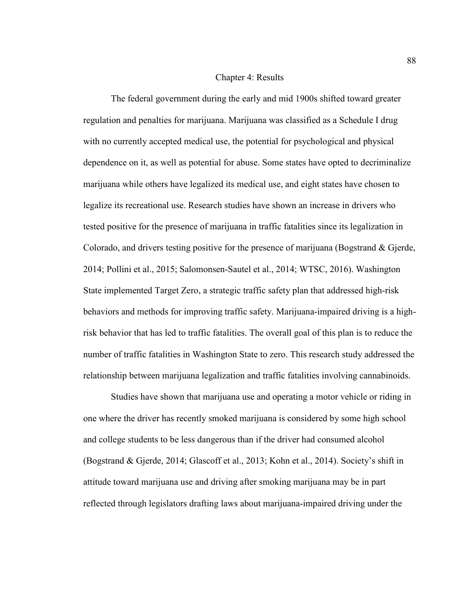## Chapter 4: Results

The federal government during the early and mid 1900s shifted toward greater regulation and penalties for marijuana. Marijuana was classified as a Schedule I drug with no currently accepted medical use, the potential for psychological and physical dependence on it, as well as potential for abuse. Some states have opted to decriminalize marijuana while others have legalized its medical use, and eight states have chosen to legalize its recreational use. Research studies have shown an increase in drivers who tested positive for the presence of marijuana in traffic fatalities since its legalization in Colorado, and drivers testing positive for the presence of marijuana (Bogstrand & Gjerde, 2014; Pollini et al., 2015; Salomonsen-Sautel et al., 2014; WTSC, 2016). Washington State implemented Target Zero, a strategic traffic safety plan that addressed high-risk behaviors and methods for improving traffic safety. Marijuana-impaired driving is a highrisk behavior that has led to traffic fatalities. The overall goal of this plan is to reduce the number of traffic fatalities in Washington State to zero. This research study addressed the relationship between marijuana legalization and traffic fatalities involving cannabinoids.

Studies have shown that marijuana use and operating a motor vehicle or riding in one where the driver has recently smoked marijuana is considered by some high school and college students to be less dangerous than if the driver had consumed alcohol (Bogstrand & Gjerde, 2014; Glascoff et al., 2013; Kohn et al., 2014). Society's shift in attitude toward marijuana use and driving after smoking marijuana may be in part reflected through legislators drafting laws about marijuana-impaired driving under the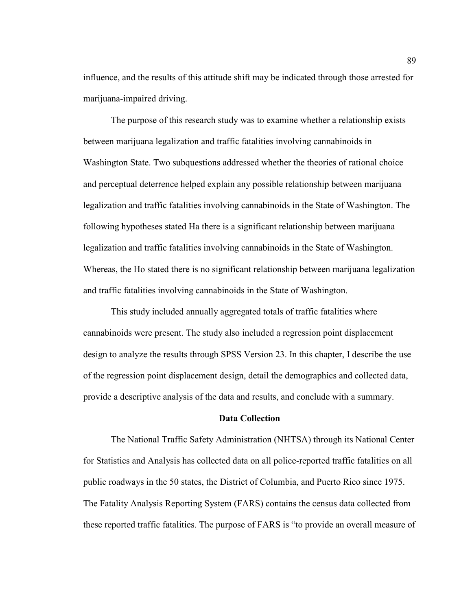influence, and the results of this attitude shift may be indicated through those arrested for marijuana-impaired driving.

The purpose of this research study was to examine whether a relationship exists between marijuana legalization and traffic fatalities involving cannabinoids in Washington State. Two subquestions addressed whether the theories of rational choice and perceptual deterrence helped explain any possible relationship between marijuana legalization and traffic fatalities involving cannabinoids in the State of Washington. The following hypotheses stated Ha there is a significant relationship between marijuana legalization and traffic fatalities involving cannabinoids in the State of Washington. Whereas, the Ho stated there is no significant relationship between marijuana legalization and traffic fatalities involving cannabinoids in the State of Washington.

This study included annually aggregated totals of traffic fatalities where cannabinoids were present. The study also included a regression point displacement design to analyze the results through SPSS Version 23. In this chapter, I describe the use of the regression point displacement design, detail the demographics and collected data, provide a descriptive analysis of the data and results, and conclude with a summary.

## **Data Collection**

The National Traffic Safety Administration (NHTSA) through its National Center for Statistics and Analysis has collected data on all police-reported traffic fatalities on all public roadways in the 50 states, the District of Columbia, and Puerto Rico since 1975. The Fatality Analysis Reporting System (FARS) contains the census data collected from these reported traffic fatalities. The purpose of FARS is "to provide an overall measure of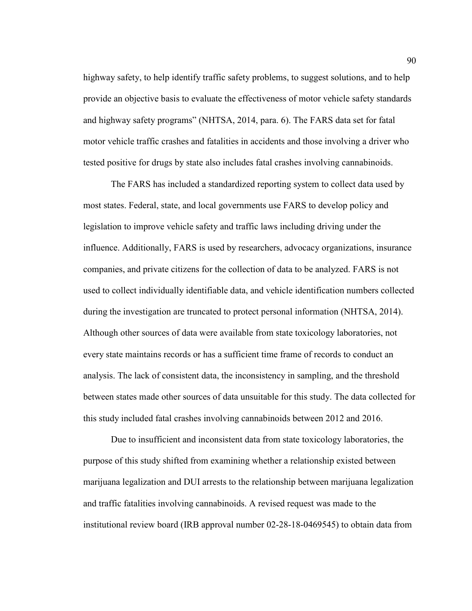highway safety, to help identify traffic safety problems, to suggest solutions, and to help provide an objective basis to evaluate the effectiveness of motor vehicle safety standards and highway safety programs" (NHTSA, 2014, para. 6). The FARS data set for fatal motor vehicle traffic crashes and fatalities in accidents and those involving a driver who tested positive for drugs by state also includes fatal crashes involving cannabinoids.

 The FARS has included a standardized reporting system to collect data used by most states. Federal, state, and local governments use FARS to develop policy and legislation to improve vehicle safety and traffic laws including driving under the influence. Additionally, FARS is used by researchers, advocacy organizations, insurance companies, and private citizens for the collection of data to be analyzed. FARS is not used to collect individually identifiable data, and vehicle identification numbers collected during the investigation are truncated to protect personal information (NHTSA, 2014). Although other sources of data were available from state toxicology laboratories, not every state maintains records or has a sufficient time frame of records to conduct an analysis. The lack of consistent data, the inconsistency in sampling, and the threshold between states made other sources of data unsuitable for this study. The data collected for this study included fatal crashes involving cannabinoids between 2012 and 2016.

 Due to insufficient and inconsistent data from state toxicology laboratories, the purpose of this study shifted from examining whether a relationship existed between marijuana legalization and DUI arrests to the relationship between marijuana legalization and traffic fatalities involving cannabinoids. A revised request was made to the institutional review board (IRB approval number 02-28-18-0469545) to obtain data from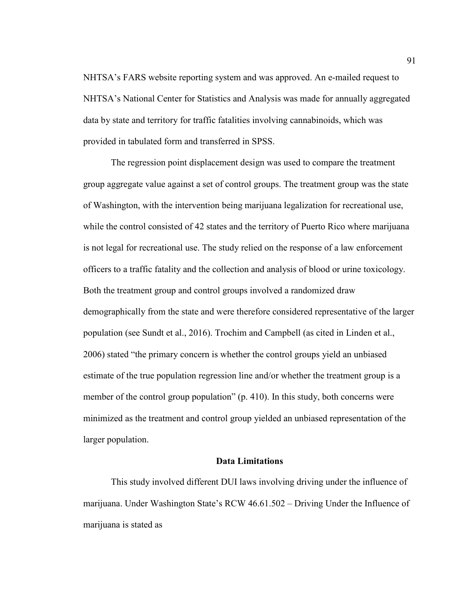NHTSA's FARS website reporting system and was approved. An e-mailed request to NHTSA's National Center for Statistics and Analysis was made for annually aggregated data by state and territory for traffic fatalities involving cannabinoids, which was provided in tabulated form and transferred in SPSS.

 The regression point displacement design was used to compare the treatment group aggregate value against a set of control groups. The treatment group was the state of Washington, with the intervention being marijuana legalization for recreational use, while the control consisted of 42 states and the territory of Puerto Rico where marijuana is not legal for recreational use. The study relied on the response of a law enforcement officers to a traffic fatality and the collection and analysis of blood or urine toxicology. Both the treatment group and control groups involved a randomized draw demographically from the state and were therefore considered representative of the larger population (see Sundt et al., 2016). Trochim and Campbell (as cited in Linden et al., 2006) stated "the primary concern is whether the control groups yield an unbiased estimate of the true population regression line and/or whether the treatment group is a member of the control group population" (p. 410). In this study, both concerns were minimized as the treatment and control group yielded an unbiased representation of the larger population.

### **Data Limitations**

 This study involved different DUI laws involving driving under the influence of marijuana. Under Washington State's RCW 46.61.502 – Driving Under the Influence of marijuana is stated as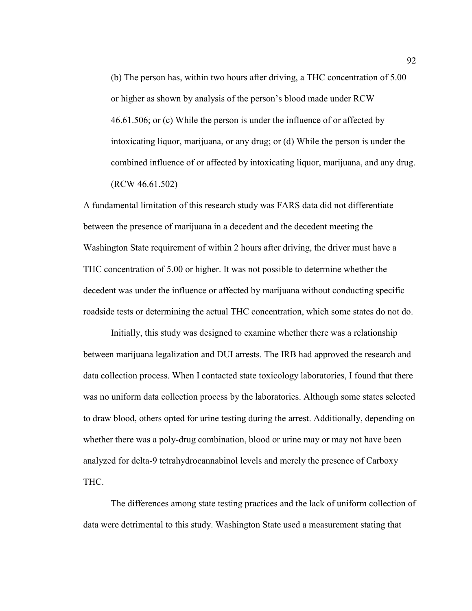(b) The person has, within two hours after driving, a THC concentration of 5.00 or higher as shown by analysis of the person's blood made under RCW 46.61.506; or (c) While the person is under the influence of or affected by intoxicating liquor, marijuana, or any drug; or (d) While the person is under the combined influence of or affected by intoxicating liquor, marijuana, and any drug. (RCW 46.61.502)

A fundamental limitation of this research study was FARS data did not differentiate between the presence of marijuana in a decedent and the decedent meeting the Washington State requirement of within 2 hours after driving, the driver must have a THC concentration of 5.00 or higher. It was not possible to determine whether the decedent was under the influence or affected by marijuana without conducting specific roadside tests or determining the actual THC concentration, which some states do not do.

 Initially, this study was designed to examine whether there was a relationship between marijuana legalization and DUI arrests. The IRB had approved the research and data collection process. When I contacted state toxicology laboratories, I found that there was no uniform data collection process by the laboratories. Although some states selected to draw blood, others opted for urine testing during the arrest. Additionally, depending on whether there was a poly-drug combination, blood or urine may or may not have been analyzed for delta-9 tetrahydrocannabinol levels and merely the presence of Carboxy THC.

 The differences among state testing practices and the lack of uniform collection of data were detrimental to this study. Washington State used a measurement stating that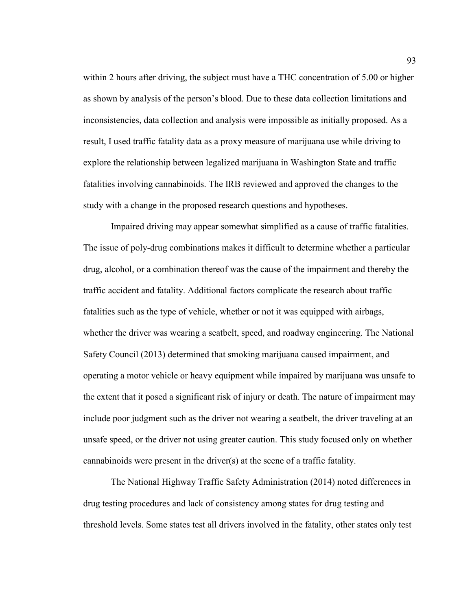within 2 hours after driving, the subject must have a THC concentration of 5.00 or higher as shown by analysis of the person's blood. Due to these data collection limitations and inconsistencies, data collection and analysis were impossible as initially proposed. As a result, I used traffic fatality data as a proxy measure of marijuana use while driving to explore the relationship between legalized marijuana in Washington State and traffic fatalities involving cannabinoids. The IRB reviewed and approved the changes to the study with a change in the proposed research questions and hypotheses.

Impaired driving may appear somewhat simplified as a cause of traffic fatalities. The issue of poly-drug combinations makes it difficult to determine whether a particular drug, alcohol, or a combination thereof was the cause of the impairment and thereby the traffic accident and fatality. Additional factors complicate the research about traffic fatalities such as the type of vehicle, whether or not it was equipped with airbags, whether the driver was wearing a seatbelt, speed, and roadway engineering. The National Safety Council (2013) determined that smoking marijuana caused impairment, and operating a motor vehicle or heavy equipment while impaired by marijuana was unsafe to the extent that it posed a significant risk of injury or death. The nature of impairment may include poor judgment such as the driver not wearing a seatbelt, the driver traveling at an unsafe speed, or the driver not using greater caution. This study focused only on whether cannabinoids were present in the driver(s) at the scene of a traffic fatality.

 The National Highway Traffic Safety Administration (2014) noted differences in drug testing procedures and lack of consistency among states for drug testing and threshold levels. Some states test all drivers involved in the fatality, other states only test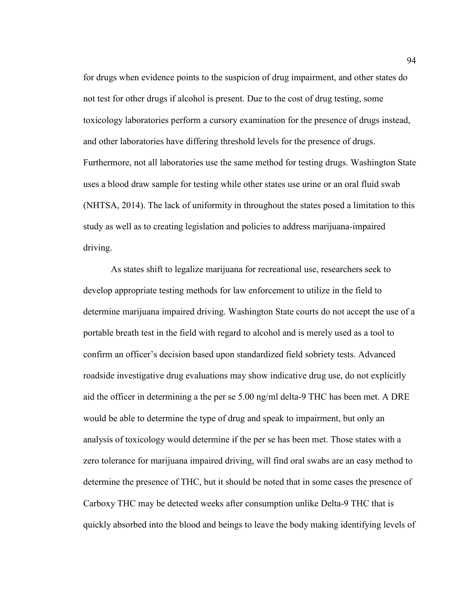for drugs when evidence points to the suspicion of drug impairment, and other states do not test for other drugs if alcohol is present. Due to the cost of drug testing, some toxicology laboratories perform a cursory examination for the presence of drugs instead, and other laboratories have differing threshold levels for the presence of drugs. Furthermore, not all laboratories use the same method for testing drugs. Washington State uses a blood draw sample for testing while other states use urine or an oral fluid swab (NHTSA, 2014). The lack of uniformity in throughout the states posed a limitation to this study as well as to creating legislation and policies to address marijuana-impaired driving.

 As states shift to legalize marijuana for recreational use, researchers seek to develop appropriate testing methods for law enforcement to utilize in the field to determine marijuana impaired driving. Washington State courts do not accept the use of a portable breath test in the field with regard to alcohol and is merely used as a tool to confirm an officer's decision based upon standardized field sobriety tests. Advanced roadside investigative drug evaluations may show indicative drug use, do not explicitly aid the officer in determining a the per se 5.00 ng/ml delta-9 THC has been met. A DRE would be able to determine the type of drug and speak to impairment, but only an analysis of toxicology would determine if the per se has been met. Those states with a zero tolerance for marijuana impaired driving, will find oral swabs are an easy method to determine the presence of THC, but it should be noted that in some cases the presence of Carboxy THC may be detected weeks after consumption unlike Delta-9 THC that is quickly absorbed into the blood and beings to leave the body making identifying levels of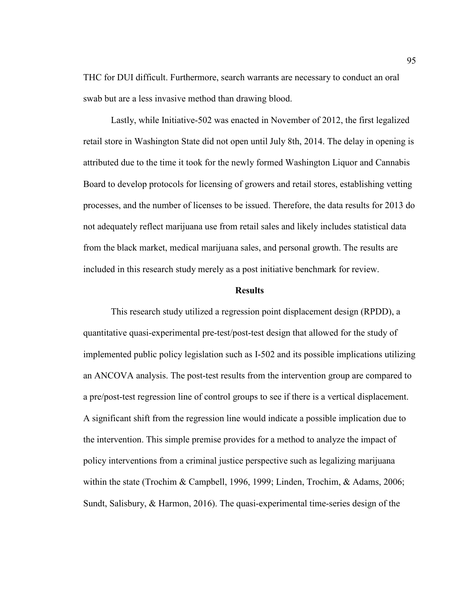THC for DUI difficult. Furthermore, search warrants are necessary to conduct an oral swab but are a less invasive method than drawing blood.

 Lastly, while Initiative-502 was enacted in November of 2012, the first legalized retail store in Washington State did not open until July 8th, 2014. The delay in opening is attributed due to the time it took for the newly formed Washington Liquor and Cannabis Board to develop protocols for licensing of growers and retail stores, establishing vetting processes, and the number of licenses to be issued. Therefore, the data results for 2013 do not adequately reflect marijuana use from retail sales and likely includes statistical data from the black market, medical marijuana sales, and personal growth. The results are included in this research study merely as a post initiative benchmark for review.

## **Results**

 This research study utilized a regression point displacement design (RPDD), a quantitative quasi-experimental pre-test/post-test design that allowed for the study of implemented public policy legislation such as I-502 and its possible implications utilizing an ANCOVA analysis. The post-test results from the intervention group are compared to a pre/post-test regression line of control groups to see if there is a vertical displacement. A significant shift from the regression line would indicate a possible implication due to the intervention. This simple premise provides for a method to analyze the impact of policy interventions from a criminal justice perspective such as legalizing marijuana within the state (Trochim & Campbell, 1996, 1999; Linden, Trochim, & Adams, 2006; Sundt, Salisbury, & Harmon, 2016). The quasi-experimental time-series design of the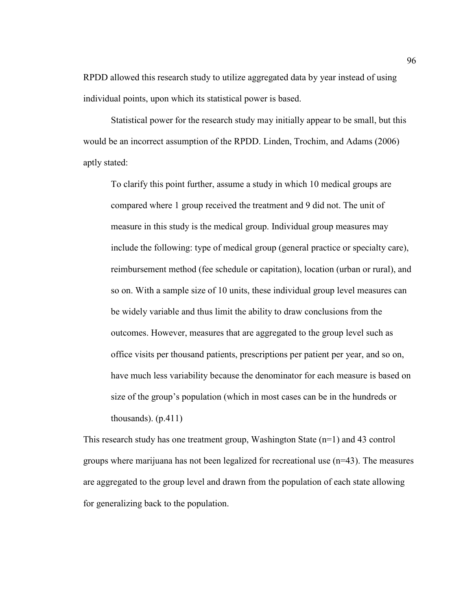RPDD allowed this research study to utilize aggregated data by year instead of using individual points, upon which its statistical power is based.

 Statistical power for the research study may initially appear to be small, but this would be an incorrect assumption of the RPDD. Linden, Trochim, and Adams (2006) aptly stated:

To clarify this point further, assume a study in which 10 medical groups are compared where 1 group received the treatment and 9 did not. The unit of measure in this study is the medical group. Individual group measures may include the following: type of medical group (general practice or specialty care), reimbursement method (fee schedule or capitation), location (urban or rural), and so on. With a sample size of 10 units, these individual group level measures can be widely variable and thus limit the ability to draw conclusions from the outcomes. However, measures that are aggregated to the group level such as office visits per thousand patients, prescriptions per patient per year, and so on, have much less variability because the denominator for each measure is based on size of the group's population (which in most cases can be in the hundreds or thousands).  $(p.411)$ 

This research study has one treatment group, Washington State (n=1) and 43 control groups where marijuana has not been legalized for recreational use  $(n=43)$ . The measures are aggregated to the group level and drawn from the population of each state allowing for generalizing back to the population.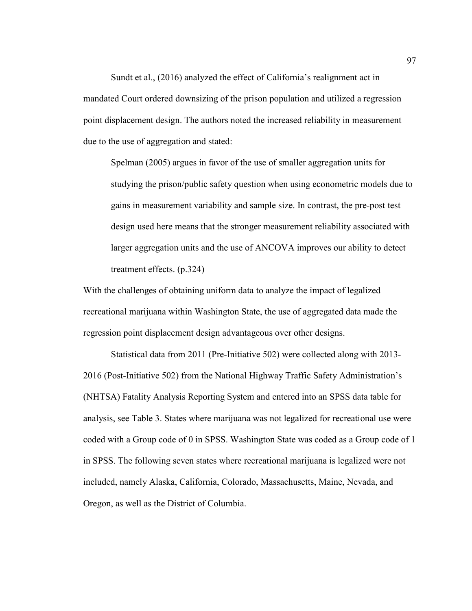Sundt et al., (2016) analyzed the effect of California's realignment act in mandated Court ordered downsizing of the prison population and utilized a regression point displacement design. The authors noted the increased reliability in measurement due to the use of aggregation and stated:

Spelman (2005) argues in favor of the use of smaller aggregation units for studying the prison/public safety question when using econometric models due to gains in measurement variability and sample size. In contrast, the pre-post test design used here means that the stronger measurement reliability associated with larger aggregation units and the use of ANCOVA improves our ability to detect treatment effects. (p.324)

With the challenges of obtaining uniform data to analyze the impact of legalized recreational marijuana within Washington State, the use of aggregated data made the regression point displacement design advantageous over other designs.

 Statistical data from 2011 (Pre-Initiative 502) were collected along with 2013- 2016 (Post-Initiative 502) from the National Highway Traffic Safety Administration's (NHTSA) Fatality Analysis Reporting System and entered into an SPSS data table for analysis, see Table 3. States where marijuana was not legalized for recreational use were coded with a Group code of 0 in SPSS. Washington State was coded as a Group code of 1 in SPSS. The following seven states where recreational marijuana is legalized were not included, namely Alaska, California, Colorado, Massachusetts, Maine, Nevada, and Oregon, as well as the District of Columbia.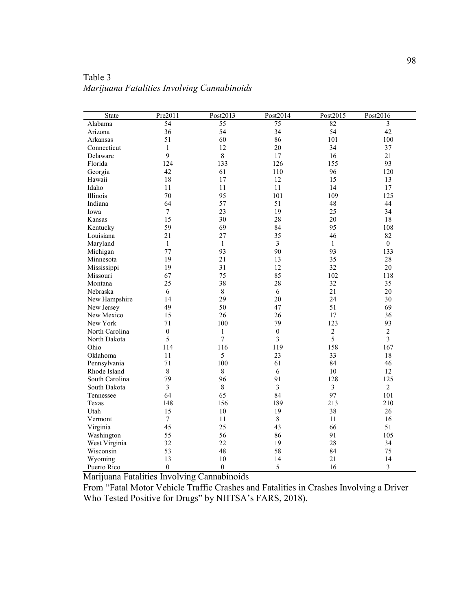| <b>State</b>   | Pre2011          | Post2013     | Post2014         | Post2015       | Post2016                |
|----------------|------------------|--------------|------------------|----------------|-------------------------|
| Alabama        | 54               | 55           | 75               | 82             | 3                       |
| Arizona        | 36               | 54           | 34               | 54             | 42                      |
| Arkansas       | 51               | 60           | 86               | 101            | 100                     |
| Connecticut    | $\mathbf{1}$     | 12           | 20               | 34             | 37                      |
| Delaware       | 9                | $\,8\,$      | 17               | 16             | 21                      |
| Florida        | 124              | 133          | 126              | 155            | 93                      |
| Georgia        | 42               | 61           | 110              | 96             | 120                     |
| Hawaii         | 18               | 17           | 12               | 15             | 13                      |
| Idaho          | 11               | 11           | 11               | 14             | 17                      |
| Illinois       | 70               | 95           | 101              | 109            | 125                     |
| Indiana        | 64               | 57           | 51               | 48             | 44                      |
| Iowa           | $\boldsymbol{7}$ | 23           | 19               | 25             | 34                      |
| Kansas         | 15               | 30           | 28               | 20             | 18                      |
| Kentucky       | 59               | 69           | 84               | 95             | 108                     |
| Louisiana      | 21               | 27           | 35               | 46             | 82                      |
| Maryland       | $\mathbf{1}$     | $\mathbf{1}$ | $\overline{3}$   | $\mathbf{1}$   | $\boldsymbol{0}$        |
| Michigan       | 77               | 93           | 90               | 93             | 133                     |
| Minnesota      | 19               | 21           | 13               | 35             | 28                      |
| Mississippi    | 19               | 31           | 12               | 32             | 20                      |
| Missouri       | 67               | 75           | 85               | 102            | 118                     |
| Montana        | 25               | 38           | 28               | 32             | 35                      |
| Nebraska       | 6                | $\,8\,$      | 6                | 21             | 20                      |
| New Hampshire  | 14               | 29           | 20               | 24             | 30                      |
| New Jersey     | 49               | 50           | 47               | 51             | 69                      |
| New Mexico     | 15               | 26           | 26               | 17             | 36                      |
| New York       | 71               | 100          | 79               | 123            | 93                      |
| North Carolina | $\boldsymbol{0}$ | $\mathbf{1}$ | $\boldsymbol{0}$ | $\sqrt{2}$     | $\overline{c}$          |
| North Dakota   | 5                | $\tau$       | $\overline{3}$   | 5              | $\overline{\mathbf{3}}$ |
| Ohio           | 114              | 116          | 119              | 158            | 167                     |
| Oklahoma       | 11               | 5            | 23               | 33             | 18                      |
| Pennsylvania   | 71               | 100          | 61               | 84             | 46                      |
| Rhode Island   | $\,8\,$          | $8\,$        | 6                | 10             | 12                      |
| South Carolina | 79               | 96           | 91               | 128            | 125                     |
| South Dakota   | $\overline{3}$   | $\,8\,$      | $\overline{3}$   | $\mathfrak{Z}$ | $\overline{2}$          |
| Tennessee      | 64               | 65           | 84               | 97             | 101                     |
| Texas          | 148              | 156          | 189              | 213            | 210                     |
| Utah           | 15               | 10           | 19               | 38             | 26                      |
| Vermont        | $\overline{7}$   | 11           | $\,8\,$          | 11             | 16                      |
| Virginia       | 45               | 25           | 43               | 66             | 51                      |
| Washington     | 55               | 56           | 86               | 91             | 105                     |
| West Virginia  | 32               | 22           | 19               | 28             | 34                      |
| Wisconsin      | 53               | 48           | 58               | 84             | 75                      |
| Wyoming        | 13               | 10           | 14               | 21             | 14                      |
| Puerto Rico    | $\theta$         | $\mathbf{0}$ | 5                | 16             | 3                       |

Table 3 *Marijuana Fatalities Involving Cannabinoids*

Marijuana Fatalities Involving Cannabinoids

From "Fatal Motor Vehicle Traffic Crashes and Fatalities in Crashes Involving a Driver Who Tested Positive for Drugs" by NHTSA's FARS, 2018).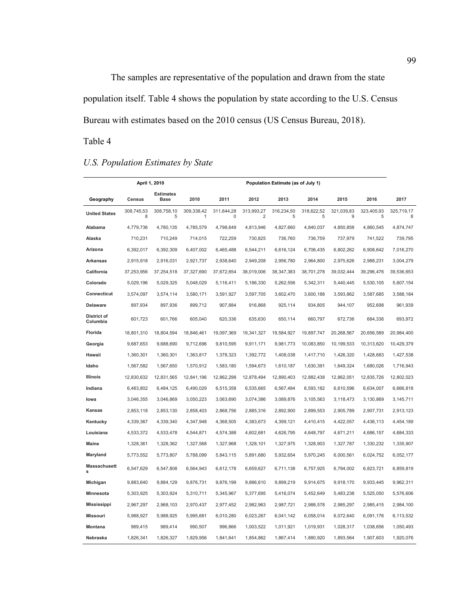The samples are representative of the population and drawn from the state population itself. Table 4 shows the population by state according to the U.S. Census Bureau with estimates based on the 2010 census (US Census Bureau, 2018).

# Table 4

## *U.S. Population Estimates by State*

|                         | April 1, 2010   |                                 |                 | Population Estimate (as of July 1) |                              |                 |                 |                 |                 |            |  |
|-------------------------|-----------------|---------------------------------|-----------------|------------------------------------|------------------------------|-----------------|-----------------|-----------------|-----------------|------------|--|
| Geography               | <b>Census</b>   | <b>Estimates</b><br><b>Base</b> | 2010            | 2011                               | 2012                         | 2013            | 2014            | 2015            | 2016            | 2017       |  |
| <b>United States</b>    | 308,745,53<br>8 | 308,758,10<br>5                 | 309,338,42<br>1 | 311,644,28<br>$\mathbf 0$          | 313,993,27<br>$\overline{2}$ | 316,234,50<br>5 | 318,622,52<br>5 | 321,039,83<br>9 | 323,405,93<br>5 | 325,719,17 |  |
| Alabama                 | 4,779,736       | 4,780,135                       | 4,785,579       | 4,798,649                          | 4,813,946                    | 4,827,660       | 4,840,037       | 4,850,858       | 4,860,545       | 4,874,747  |  |
| Alaska                  | 710,231         | 710,249                         | 714,015         | 722,259                            | 730,825                      | 736,760         | 736,759         | 737,979         | 741,522         | 739,795    |  |
| Arizona                 | 6,392,017       | 6,392,309                       | 6,407,002       | 6,465,488                          | 6,544,211                    | 6,616,124       | 6,706,435       | 6,802,262       | 6,908,642       | 7,016,270  |  |
| <b>Arkansas</b>         | 2,915,918       | 2,916,031                       | 2,921,737       | 2,938,640                          | 2,949,208                    | 2,956,780       | 2,964,800       | 2,975,626       | 2,988,231       | 3,004,279  |  |
| California              | 37,253,956      | 37,254,518                      | 37,327,690      | 37,672,654                         | 38,019,006                   | 38,347,383      | 38,701,278      | 39,032,444      | 39,296,476      | 39,536,653 |  |
| Colorado                | 5,029,196       | 5,029,325                       | 5,048,029       | 5,116,411                          | 5,186,330                    | 5,262,556       | 5,342,311       | 5,440,445       | 5,530,105       | 5,607,154  |  |
| Connecticut             | 3,574,097       | 3,574,114                       | 3,580,171       | 3,591,927                          | 3,597,705                    | 3,602,470       | 3,600,188       | 3,593,862       | 3,587,685       | 3,588,184  |  |
| Delaware                | 897,934         | 897,936                         | 899,712         | 907,884                            | 916,868                      | 925,114         | 934,805         | 944,107         | 952,698         | 961,939    |  |
| District of<br>Columbia | 601,723         | 601,766                         | 605,040         | 620,336                            | 635,630                      | 650,114         | 660,797         | 672,736         | 684,336         | 693,972    |  |
| Florida                 | 18,801,310      | 18,804,594                      | 18,846,461      | 19,097,369                         | 19,341,327                   | 19,584,927      | 19,897,747      | 20,268,567      | 20,656,589      | 20,984,400 |  |
| Georgia                 | 9,687,653       | 9,688,690                       | 9,712,696       | 9,810,595                          | 9,911,171                    | 9,981,773       | 10,083,850      | 10,199,533      | 10,313,620      | 10,429,379 |  |
| Hawaii                  | 1,360,301       | 1,360,301                       | 1,363,817       | 1,378,323                          | 1,392,772                    | 1,408,038       | 1,417,710       | 1,426,320       | 1,428,683       | 1,427,538  |  |
| Idaho                   | 1,567,582       | 1,567,650                       | 1,570,912       | 1,583,180                          | 1,594,673                    | 1,610,187       | 1,630,391       | 1,649,324       | 1,680,026       | 1,716,943  |  |
| Illinois                | 12,830,632      | 12,831,565                      | 12,841,196      | 12,862,298                         | 12,878,494                   | 12,890,403      | 12,882,438      | 12,862,051      | 12,835,726      | 12,802,023 |  |
| Indiana                 | 6,483,802       | 6,484,125                       | 6,490,029       | 6,515,358                          | 6,535,665                    | 6,567,484       | 6,593,182       | 6,610,596       | 6,634,007       | 6,666,818  |  |
| lowa                    | 3,046,355       | 3,046,869                       | 3,050,223       | 3,063,690                          | 3,074,386                    | 3,089,876       | 3,105,563       | 3,118,473       | 3,130,869       | 3,145,711  |  |
| Kansas                  | 2,853,118       | 2,853,130                       | 2,858,403       | 2,868,756                          | 2,885,316                    | 2,892,900       | 2,899,553       | 2,905,789       | 2,907,731       | 2,913,123  |  |
| Kentucky                | 4,339,367       | 4,339,340                       | 4,347,948       | 4,368,505                          | 4,383,673                    | 4,399,121       | 4,410,415       | 4,422,057       | 4,436,113       | 4,454,189  |  |
| Louisiana               | 4,533,372       | 4,533,478                       | 4,544,871       | 4,574,388                          | 4,602,681                    | 4,626,795       | 4,648,797       | 4,671,211       | 4,686,157       | 4,684,333  |  |
| <b>Maine</b>            | 1,328,361       | 1,328,362                       | 1,327,568       | 1,327,968                          | 1,328,101                    | 1,327,975       | 1,328,903       | 1,327,787       | 1,330,232       | 1,335,907  |  |
| Maryland                | 5,773,552       | 5,773,807                       | 5,788,099       | 5,843,115                          | 5,891,680                    | 5,932,654       | 5,970,245       | 6,000,561       | 6,024,752       | 6,052,177  |  |
| <b>Massachusett</b>     | 6,547,629       | 6,547,808                       | 6,564,943       | 6,612,178                          | 6,659,627                    | 6,711,138       | 6,757,925       | 6,794,002       | 6,823,721       | 6,859,819  |  |
| Michigan                | 9,883,640       | 9,884,129                       | 9,876,731       | 9,876,199                          | 9,886,610                    | 9,899,219       | 9,914,675       | 9,918,170       | 9,933,445       | 9,962,311  |  |
| Minnesota               | 5,303,925       | 5,303,924                       | 5,310,711       | 5,345,967                          | 5,377,695                    | 5,416,074       | 5,452,649       | 5,483,238       | 5,525,050       | 5,576,606  |  |
| Mississippi             | 2,967,297       | 2,968,103                       | 2,970,437       | 2,977,452                          | 2,982,963                    | 2,987,721       | 2,988,578       | 2,985,297       | 2,985,415       | 2,984,100  |  |
| <b>Missouri</b>         | 5,988,927       | 5,988,925                       | 5,995,681       | 6,010,280                          | 6,023,267                    | 6,041,142       | 6,058,014       | 6,072,640       | 6,091,176       | 6,113,532  |  |
| Montana                 | 989,415         | 989,414                         | 990,507         | 996,866                            | 1,003,522                    | 1,011,921       | 1,019,931       | 1,028,317       | 1,038,656       | 1,050,493  |  |
| Nebraska                | 1,826,341       | 1,826,327                       | 1,829,956       | 1,841,641                          | 1,854,862                    | 1,867,414       | 1,880,920       | 1,893,564       | 1,907,603       | 1,920,076  |  |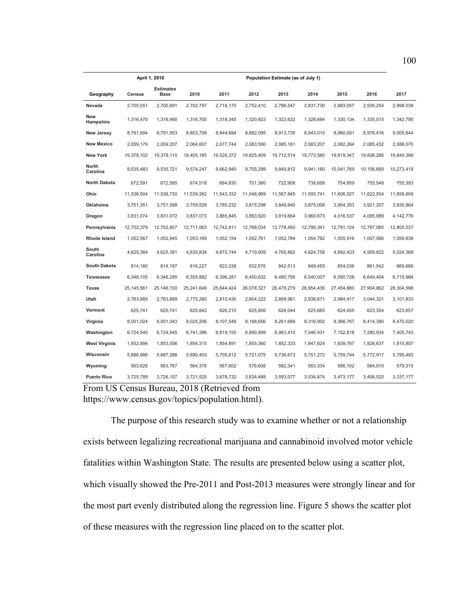|                          |               | April 1, 2010                   |            | Population Estimate (as of July 1) |            |            |            |            |            |            |
|--------------------------|---------------|---------------------------------|------------|------------------------------------|------------|------------|------------|------------|------------|------------|
| Geography                | <b>Census</b> | <b>Estimates</b><br><b>Base</b> | 2010       | 2011                               | 2012       | 2013       | 2014       | 2015       | 2016       | 2017       |
| Nevada                   | 2,700,551     | 2.700.691                       | 2,702,797  | 2,718,170                          | 2.752.410  | 2,786,547  | 2,831,730  | 2,883,057  | 2,939,254  | 2,998,039  |
| New<br>Hampshire         | 1,316,470     | 1,316,460                       | 1,316,700  | 1,318,345                          | 1,320,923  | 1,322,622  | 1,328,684  | 1,330,134  | 1,335,015  | 1,342,795  |
| <b>New Jersey</b>        | 8,791,894     | 8,791,953                       | 8,803,708  | 8,844,694                          | 8,882,095  | 8,913,735  | 8,943,010  | 8,960,001  | 8,978,416  | 9,005,644  |
| <b>New Mexico</b>        | 2,059,179     | 2,059,207                       | 2,064,607  | 2,077,744                          | 2,083,590  | 2,085,161  | 2,083,207  | 2,082,264  | 2,085,432  | 2,088,070  |
| <b>New York</b>          | 19,378,102    | 19,378,110                      | 19,405,185 | 19,526,372                         | 19,625,409 | 19,712,514 | 19,773,580 | 19,819,347 | 19,836,286 | 19,849,399 |
| <b>North</b><br>Carolina | 9,535,483     | 9,535,721                       | 9,574,247  | 9,662,940                          | 9,755,299  | 9,849,812  | 9,941,160  | 10,041,769 | 10,156,689 | 10,273,419 |
| <b>North Dakota</b>      | 672,591       | 672,585                         | 674,518    | 684,830                            | 701,380    | 722,908    | 738,658    | 754,859    | 755,548    | 755,393    |
| Ohio                     | 11,536,504    | 11,536,730                      | 11,539,282 | 11,543,332                         | 11,546,969 | 11,567,845 | 11,593,741 | 11,606,027 | 11,622,554 | 11,658,609 |
| <b>Oklahoma</b>          | 3,751,351     | 3,751,598                       | 3,759,529  | 3,785,232                          | 3,815,298  | 3,849,840  | 3,875,008  | 3,904,353  | 3,921,207  | 3,930,864  |
| Oregon                   | 3,831,074     | 3,831,072                       | 3,837,073  | 3,865,845                          | 3,893,920  | 3,919,664  | 3,960,673  | 4,016,537  | 4,085,989  | 4,142,776  |
| Pennsylvania             | 12,702,379    | 12,702,857                      | 12,711,063 | 12,742,811                         | 12,768,034 | 12,778,450 | 12,790,341 | 12,791,124 | 12,787,085 | 12,805,537 |
| <b>Rhode Island</b>      | 1,052,567     | 1,052,945                       | 1,053,169  | 1,052,154                          | 1,052,761  | 1,052,784  | 1,054,782  | 1,055,916  | 1,057,566  | 1,059,639  |
| South<br>Carolina        | 4,625,364     | 4,625,381                       | 4,635,834  | 4,672,744                          | 4,719,009  | 4,765,862  | 4,824,758  | 4,892,423  | 4,959,822  | 5,024,369  |
| <b>South Dakota</b>      | 814.180       | 814.197                         | 816,227    | 823,338                            | 832.576    | 842.513    | 849.455    | 854.036    | 861,542    | 869.666    |
| <b>Tennessee</b>         | 6,346,105     | 6,346,295                       | 6,355,882  | 6,396,281                          | 6,450,632  | 6,490,795  | 6,540,007  | 6,590,726  | 6,649,404  | 6,715,984  |
| Texas                    | 25, 145, 561  | 25,146,100                      | 25,241,648 | 25,644,424                         | 26,078,327 | 26,479,279 | 26,954,436 | 27,454,880 | 27,904,862 | 28,304,596 |
| Utah                     | 2,763,885     | 2,763,889                       | 2,775,260  | 2,815,430                          | 2,854,222  | 2,899,961  | 2,938,671  | 2,984,917  | 3,044,321  | 3,101,833  |
| Vermont                  | 625,741       | 625,741                         | 625,842    | 626,210                            | 625,606    | 626,044    | 625,665    | 624,455    | 623,354    | 623,657    |
| Virginia                 | 8,001,024     | 8,001,043                       | 8,025,206  | 8,107,548                          | 8,188,656  | 8,261,689  | 8,316,902  | 8,366,767  | 8,414,380  | 8,470,020  |
| Washington               | 6,724,540     | 6,724,545                       | 6,741,386  | 6,819,155                          | 6,890,899  | 6,963,410  | 7,046,931  | 7,152,818  | 7,280,934  | 7,405,743  |
| <b>West Virginia</b>     | 1,852,994     | 1,853,006                       | 1,854,315  | 1,854,891                          | 1,855,360  | 1,852,333  | 1,847,624  | 1,839,767  | 1,828,637  | 1,815,857  |
| Wisconsin                | 5,686,986     | 5,687,288                       | 5,690,403  | 5,705,812                          | 5,721,075  | 5,736,673  | 5,751,272  | 5,759,744  | 5,772,917  | 5,795,483  |
| Wyoming                  | 563,626       | 563.767                         | 564,376    | 567,602                            | 576,608    | 582,341    | 583,334    | 586.102    | 584,910    | 579,315    |
| <b>Puerto Rico</b>       | 3,725,789     | 3,726,157                       | 3,721,525  | 3,678,732                          | 3,634,488  | 3,593,077  | 3,534,874  | 3,473,177  | 3,406,520  | 3,337,177  |

From US Census Bureau, 2018 (Retrieved from https://www.census.gov/topics/population.html).

 The purpose of this research study was to examine whether or not a relationship exists between legalizing recreational marijuana and cannabinoid involved motor vehicle fatalities within Washington State. The results are presented below using a scatter plot, which visually showed the Pre-2011 and Post-2013 measures were strongly linear and for the most part evenly distributed along the regression line. Figure 5 shows the scatter plot of these measures with the regression line placed on to the scatter plot.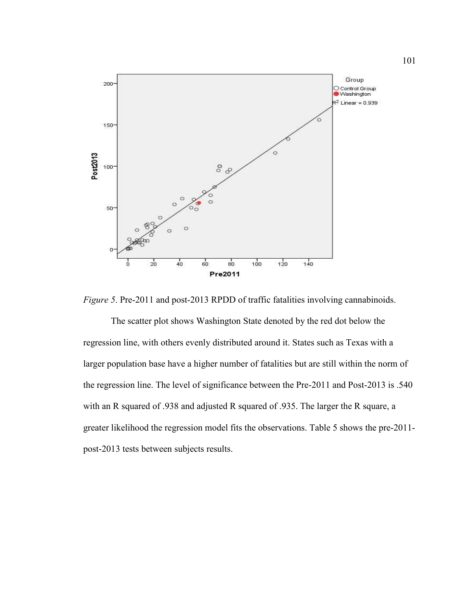

*Figure 5*. Pre-2011 and post-2013 RPDD of traffic fatalities involving cannabinoids.

 The scatter plot shows Washington State denoted by the red dot below the regression line, with others evenly distributed around it. States such as Texas with a larger population base have a higher number of fatalities but are still within the norm of the regression line. The level of significance between the Pre-2011 and Post-2013 is .540 with an R squared of .938 and adjusted R squared of .935. The larger the R square, a greater likelihood the regression model fits the observations. Table 5 shows the pre-2011 post-2013 tests between subjects results.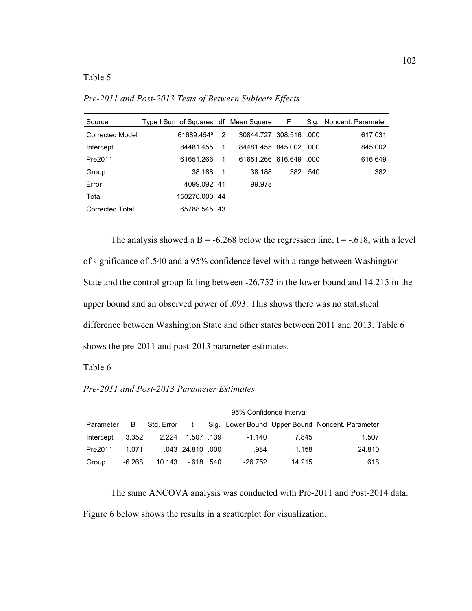### Table 5

| Source                 | Type I Sum of Squares df Mean Square F |    |                        |          | Sig. Noncent. Parameter |
|------------------------|----------------------------------------|----|------------------------|----------|-------------------------|
| Corrected Model        | 61689.454 <sup>a</sup>                 | 2  | 30844.727 308.516 .000 |          | 617.031                 |
| Intercept              | 84481.455                              | 1  | 84481.455 845.002 .000 |          | 845.002                 |
| Pre2011                | 61651.266                              | -1 | 61651.266 616.649 .000 |          | 616.649                 |
| Group                  | 38.188                                 | -1 | 38.188                 | .382.540 | .382                    |
| Error                  | 4099.092 41                            |    | 99.978                 |          |                         |
| Total                  | 150270.000 44                          |    |                        |          |                         |
| <b>Corrected Total</b> | 65788.545 43                           |    |                        |          |                         |

*Pre-2011 and Post-2013 Tests of Between Subjects Effects*

The analysis showed a B = -6.268 below the regression line,  $t = -0.618$ , with a level of significance of .540 and a 95% confidence level with a range between Washington State and the control group falling between -26.752 in the lower bound and 14.215 in the upper bound and an observed power of .093. This shows there was no statistical difference between Washington State and other states between 2011 and 2013. Table 6 shows the pre-2011 and post-2013 parameter estimates.

Table 6

|  | Pre-2011 and Post-2013 Parameter Estimates |  |
|--|--------------------------------------------|--|
|--|--------------------------------------------|--|

|           |          |            | 95% Confidence Interval |  |          |        |                                                 |  |  |  |  |  |
|-----------|----------|------------|-------------------------|--|----------|--------|-------------------------------------------------|--|--|--|--|--|
| Parameter | В        | Std. Error |                         |  |          |        | Sig. Lower Bound Upper Bound Noncent. Parameter |  |  |  |  |  |
| Intercept | 3.352    | 2.224      | 1.507 139               |  | $-1.140$ | 7.845  | 1.507                                           |  |  |  |  |  |
| Pre2011   | 1.071    |            | .043 24.810 .000        |  | .984     | 1.158  | 24.810                                          |  |  |  |  |  |
| Group     | $-6.268$ | 10.143     | -.618 .540              |  | -26.752  | 14.215 | .618                                            |  |  |  |  |  |

 The same ANCOVA analysis was conducted with Pre-2011 and Post-2014 data. Figure 6 below shows the results in a scatterplot for visualization.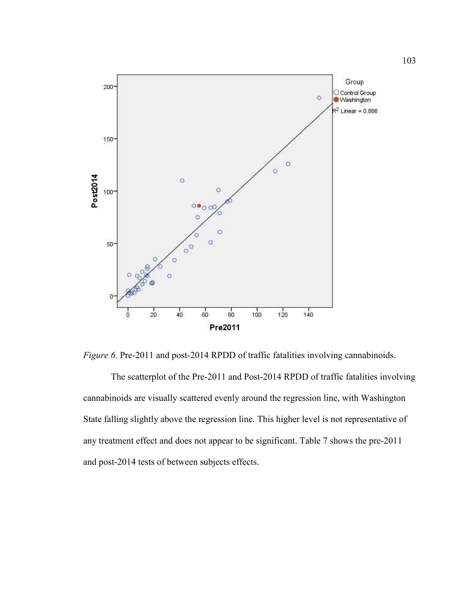

*Figure 6*. Pre-2011 and post-2014 RPDD of traffic fatalities involving cannabinoids.

 The scatterplot of the Pre-2011 and Post-2014 RPDD of traffic fatalities involving cannabinoids are visually scattered evenly around the regression line, with Washington State falling slightly above the regression line. This higher level is not representative of any treatment effect and does not appear to be significant. Table 7 shows the pre-2011 and post-2014 tests of between subjects effects.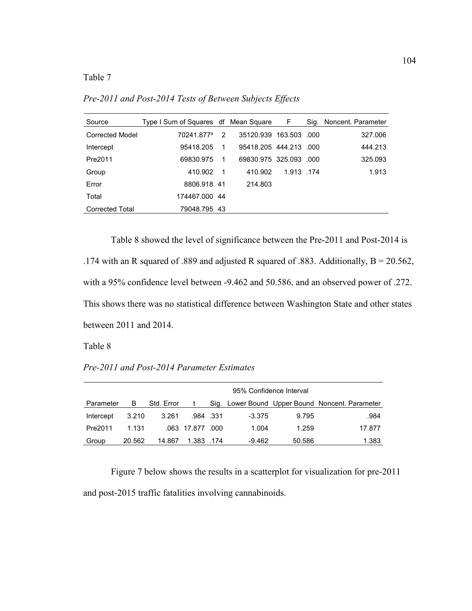Table 7

Source Type I Sum of Squares df Mean Square F Sig. Noncent. Parameter Corrected Model 70241.877<sup>a</sup> 2 35120.939 163.503 .000 327.006 Intercept 95418.205 1 95418.205 444.213 .000 444.213 Pre2011 69830.975 1 69830.975 325.093 .000 325.093 Group 410.902 1 410.902 1.913 .174 1.913 Error 8806.918 41 214.803 Total 174467.000 44 Corrected Total 79048.795 43

*Pre-2011 and Post-2014 Tests of Between Subjects Effects*

 Table 8 showed the level of significance between the Pre-2011 and Post-2014 is .174 with an R squared of .889 and adjusted R squared of .883. Additionally, B = 20.562, with a 95% confidence level between -9.462 and 50.586, and an observed power of .272. This shows there was no statistical difference between Washington State and other states between 2011 and 2014.

Table 8

*Pre-2011 and Post-2014 Parameter Estimates*

|           |        |            | 95% Confidence Interval |          |          |        |                                                 |  |  |  |  |  |
|-----------|--------|------------|-------------------------|----------|----------|--------|-------------------------------------------------|--|--|--|--|--|
| Parameter | в      | Std. Error |                         |          |          |        | Sig. Lower Bound Upper Bound Noncent. Parameter |  |  |  |  |  |
| Intercept | 3.210  | 3.261      |                         | .984.331 | $-3.375$ | 9.795  | .984                                            |  |  |  |  |  |
| Pre2011   | 1.131  |            | .063 17.877 .000        |          | 1.004    | 1.259  | 17.877                                          |  |  |  |  |  |
| Group     | 20.562 | 14.867     | 1.383.174               |          | $-9.462$ | 50.586 | 1.383                                           |  |  |  |  |  |

 Figure 7 below shows the results in a scatterplot for visualization for pre-2011 and post-2015 traffic fatalities involving cannabinoids.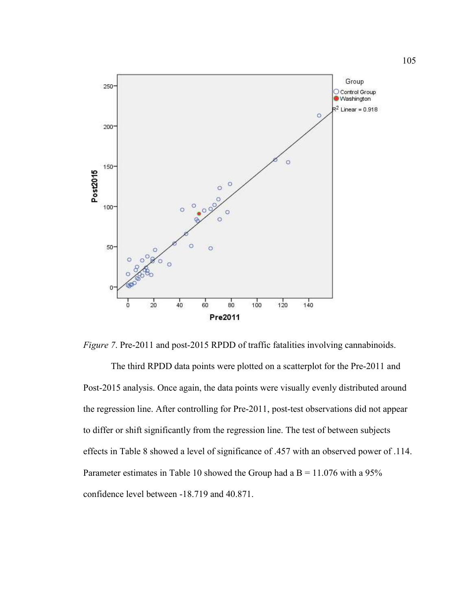

*Figure 7*. Pre-2011 and post-2015 RPDD of traffic fatalities involving cannabinoids.

 The third RPDD data points were plotted on a scatterplot for the Pre-2011 and Post-2015 analysis. Once again, the data points were visually evenly distributed around the regression line. After controlling for Pre-2011, post-test observations did not appear to differ or shift significantly from the regression line. The test of between subjects effects in Table 8 showed a level of significance of .457 with an observed power of .114. Parameter estimates in Table 10 showed the Group had a  $B = 11.076$  with a 95% confidence level between -18.719 and 40.871.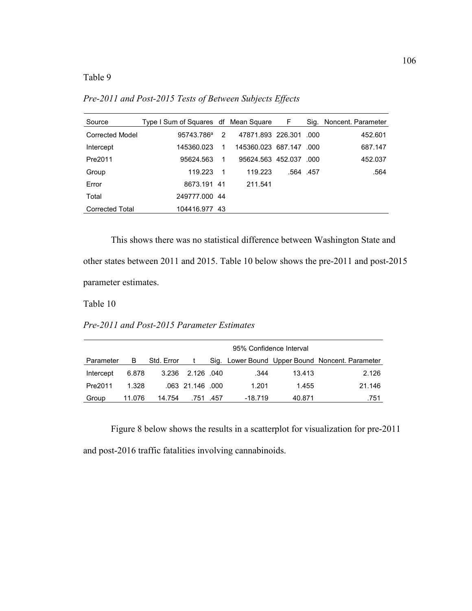Table 9

*Pre-2011 and Post-2015 Tests of Between Subjects Effects* 

| Source                 | Type I Sum of Squares df Mean Square F |             |                        |          | Sig. Noncent. Parameter |
|------------------------|----------------------------------------|-------------|------------------------|----------|-------------------------|
| Corrected Model        | 95743.786 <sup>a</sup>                 | 2           | 47871.893 226.301      | - 000    | 452.601                 |
| Intercept              | 145360.023                             |             | 145360.023 687.147 000 |          | 687.147                 |
| Pre2011                | 95624.563                              | 1           | 95624.563 452.037      | - റററ    | 452.037                 |
| Group                  | 119.223                                | $\mathbf 1$ | 119.223                | .564.457 | .564                    |
| Error                  | 8673.191 41                            |             | 211.541                |          |                         |
| Total                  | 249777.000 44                          |             |                        |          |                         |
| <b>Corrected Total</b> | 104416.977 43                          |             |                        |          |                         |

 This shows there was no statistical difference between Washington State and other states between 2011 and 2015. Table 10 below shows the pre-2011 and post-2015 parameter estimates.

Table 10

*Pre-2011 and Post-2015 Parameter Estimates*

|           |        |            | 95% Confidence Interval |  |         |        |                                                 |  |  |  |  |  |
|-----------|--------|------------|-------------------------|--|---------|--------|-------------------------------------------------|--|--|--|--|--|
| Parameter | В      | Std. Error |                         |  |         |        | Sig. Lower Bound Upper Bound Noncent. Parameter |  |  |  |  |  |
| Intercept | 6.878  | 3.236      | .040 2.126              |  | .344    | 13.413 | 2.126                                           |  |  |  |  |  |
| Pre2011   | 1.328  |            | .063 21.146 .000        |  | 1.201   | 1.455  | 21.146                                          |  |  |  |  |  |
| Group     | 11.076 | 14.754     | .751. .457              |  | -18.719 | 40.871 | .751                                            |  |  |  |  |  |

Figure 8 below shows the results in a scatterplot for visualization for pre-2011

and post-2016 traffic fatalities involving cannabinoids.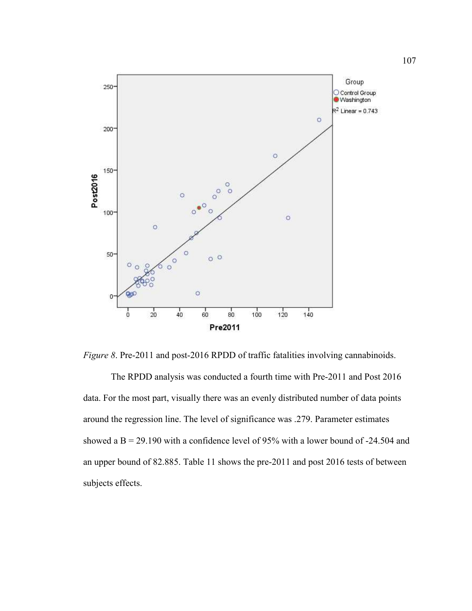

*Figure 8*. Pre-2011 and post-2016 RPDD of traffic fatalities involving cannabinoids.

 The RPDD analysis was conducted a fourth time with Pre-2011 and Post 2016 data. For the most part, visually there was an evenly distributed number of data points around the regression line. The level of significance was .279. Parameter estimates showed a  $B = 29.190$  with a confidence level of 95% with a lower bound of -24.504 and an upper bound of 82.885. Table 11 shows the pre-2011 and post 2016 tests of between subjects effects.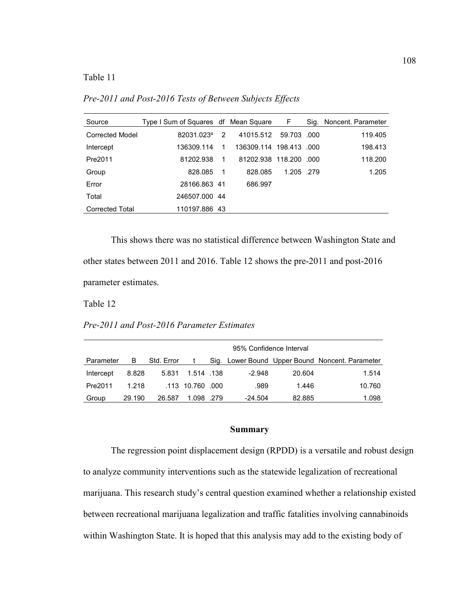Table 11

*Pre-2011 and Post-2016 Tests of Between Subjects Effects* 

| Source                 | Type I Sum of Squares df Mean Square |    |                    | F           |       | Sig. Noncent. Parameter |
|------------------------|--------------------------------------|----|--------------------|-------------|-------|-------------------------|
| Corrected Model        | 82031.023 <sup>a</sup>               | 2  | 41015.512          | 59.703 .000 |       | 119.405                 |
| Intercept              | 136309.114                           | 1  | 136309.114 198.413 |             | - റററ | 198.413                 |
| Pre2011                | 81202.938                            | 1  | 81202.938 118.200  |             | - റററ | 118,200                 |
| Group                  | 828.085                              | -1 | 828.085            | 1.205 .279  |       | 1.205                   |
| Error                  | 28166.863 41                         |    | 686.997            |             |       |                         |
| Total                  | 246507.000 44                        |    |                    |             |       |                         |
| <b>Corrected Total</b> | 110197.886 43                        |    |                    |             |       |                         |

 This shows there was no statistical difference between Washington State and other states between 2011 and 2016. Table 12 shows the pre-2011 and post-2016 parameter estimates.

Table 12

*Pre-2011 and Post-2016 Parameter Estimates*

|           |        |            | 95% Confidence Interval |  |          |        |                                                 |  |  |  |  |  |
|-----------|--------|------------|-------------------------|--|----------|--------|-------------------------------------------------|--|--|--|--|--|
| Parameter | в      | Std. Error |                         |  |          |        | Sig. Lower Bound Upper Bound Noncent. Parameter |  |  |  |  |  |
| Intercept | 8.828  | 5.831      | 1.514 138               |  | $-2.948$ | 20.604 | 1.514                                           |  |  |  |  |  |
| Pre2011   | 1.218  |            | .113 10.760 .000        |  | .989     | 1.446  | 10.760                                          |  |  |  |  |  |
| Group     | 29.190 | 26.587     | 1.098.279               |  | -24.504  | 82.885 | 1.098                                           |  |  |  |  |  |

## **Summary**

The regression point displacement design (RPDD) is a versatile and robust design to analyze community interventions such as the statewide legalization of recreational marijuana. This research study's central question examined whether a relationship existed between recreational marijuana legalization and traffic fatalities involving cannabinoids within Washington State. It is hoped that this analysis may add to the existing body of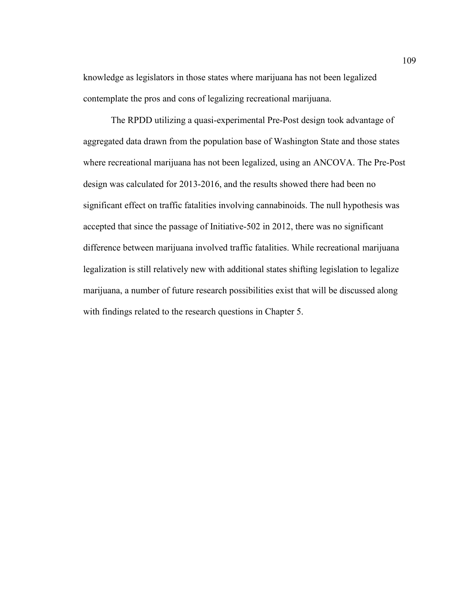knowledge as legislators in those states where marijuana has not been legalized contemplate the pros and cons of legalizing recreational marijuana.

 The RPDD utilizing a quasi-experimental Pre-Post design took advantage of aggregated data drawn from the population base of Washington State and those states where recreational marijuana has not been legalized, using an ANCOVA. The Pre-Post design was calculated for 2013-2016, and the results showed there had been no significant effect on traffic fatalities involving cannabinoids. The null hypothesis was accepted that since the passage of Initiative-502 in 2012, there was no significant difference between marijuana involved traffic fatalities. While recreational marijuana legalization is still relatively new with additional states shifting legislation to legalize marijuana, a number of future research possibilities exist that will be discussed along with findings related to the research questions in Chapter 5.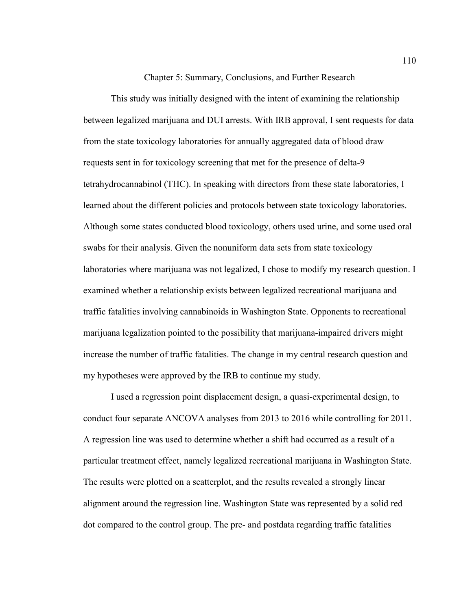Chapter 5: Summary, Conclusions, and Further Research

This study was initially designed with the intent of examining the relationship between legalized marijuana and DUI arrests. With IRB approval, I sent requests for data from the state toxicology laboratories for annually aggregated data of blood draw requests sent in for toxicology screening that met for the presence of delta-9 tetrahydrocannabinol (THC). In speaking with directors from these state laboratories, I learned about the different policies and protocols between state toxicology laboratories. Although some states conducted blood toxicology, others used urine, and some used oral swabs for their analysis. Given the nonuniform data sets from state toxicology laboratories where marijuana was not legalized, I chose to modify my research question. I examined whether a relationship exists between legalized recreational marijuana and traffic fatalities involving cannabinoids in Washington State. Opponents to recreational marijuana legalization pointed to the possibility that marijuana-impaired drivers might increase the number of traffic fatalities. The change in my central research question and my hypotheses were approved by the IRB to continue my study.

I used a regression point displacement design, a quasi-experimental design, to conduct four separate ANCOVA analyses from 2013 to 2016 while controlling for 2011. A regression line was used to determine whether a shift had occurred as a result of a particular treatment effect, namely legalized recreational marijuana in Washington State. The results were plotted on a scatterplot, and the results revealed a strongly linear alignment around the regression line. Washington State was represented by a solid red dot compared to the control group. The pre- and postdata regarding traffic fatalities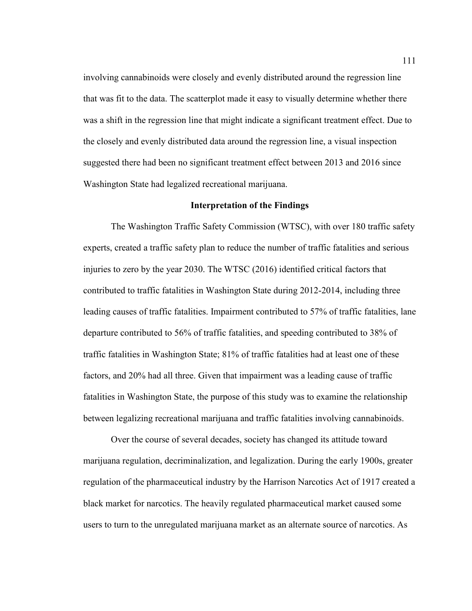involving cannabinoids were closely and evenly distributed around the regression line that was fit to the data. The scatterplot made it easy to visually determine whether there was a shift in the regression line that might indicate a significant treatment effect. Due to the closely and evenly distributed data around the regression line, a visual inspection suggested there had been no significant treatment effect between 2013 and 2016 since Washington State had legalized recreational marijuana.

#### **Interpretation of the Findings**

The Washington Traffic Safety Commission (WTSC), with over 180 traffic safety experts, created a traffic safety plan to reduce the number of traffic fatalities and serious injuries to zero by the year 2030. The WTSC (2016) identified critical factors that contributed to traffic fatalities in Washington State during 2012-2014, including three leading causes of traffic fatalities. Impairment contributed to 57% of traffic fatalities, lane departure contributed to 56% of traffic fatalities, and speeding contributed to 38% of traffic fatalities in Washington State; 81% of traffic fatalities had at least one of these factors, and 20% had all three. Given that impairment was a leading cause of traffic fatalities in Washington State, the purpose of this study was to examine the relationship between legalizing recreational marijuana and traffic fatalities involving cannabinoids.

Over the course of several decades, society has changed its attitude toward marijuana regulation, decriminalization, and legalization. During the early 1900s, greater regulation of the pharmaceutical industry by the Harrison Narcotics Act of 1917 created a black market for narcotics. The heavily regulated pharmaceutical market caused some users to turn to the unregulated marijuana market as an alternate source of narcotics. As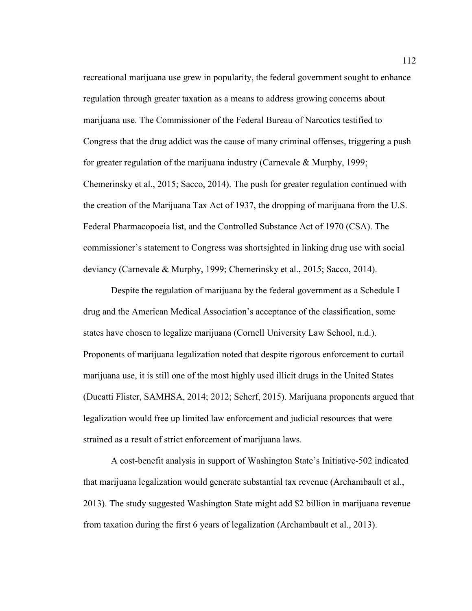recreational marijuana use grew in popularity, the federal government sought to enhance regulation through greater taxation as a means to address growing concerns about marijuana use. The Commissioner of the Federal Bureau of Narcotics testified to Congress that the drug addict was the cause of many criminal offenses, triggering a push for greater regulation of the marijuana industry (Carnevale & Murphy, 1999; Chemerinsky et al., 2015; Sacco, 2014). The push for greater regulation continued with the creation of the Marijuana Tax Act of 1937, the dropping of marijuana from the U.S. Federal Pharmacopoeia list, and the Controlled Substance Act of 1970 (CSA). The commissioner's statement to Congress was shortsighted in linking drug use with social deviancy (Carnevale & Murphy, 1999; Chemerinsky et al., 2015; Sacco, 2014).

Despite the regulation of marijuana by the federal government as a Schedule I drug and the American Medical Association's acceptance of the classification, some states have chosen to legalize marijuana (Cornell University Law School, n.d.). Proponents of marijuana legalization noted that despite rigorous enforcement to curtail marijuana use, it is still one of the most highly used illicit drugs in the United States (Ducatti Flister, SAMHSA, 2014; 2012; Scherf, 2015). Marijuana proponents argued that legalization would free up limited law enforcement and judicial resources that were strained as a result of strict enforcement of marijuana laws.

A cost-benefit analysis in support of Washington State's Initiative-502 indicated that marijuana legalization would generate substantial tax revenue (Archambault et al., 2013). The study suggested Washington State might add \$2 billion in marijuana revenue from taxation during the first 6 years of legalization (Archambault et al., 2013).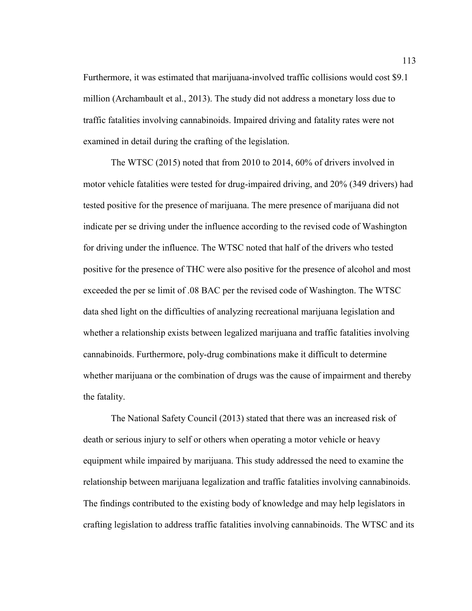Furthermore, it was estimated that marijuana-involved traffic collisions would cost \$9.1 million (Archambault et al., 2013). The study did not address a monetary loss due to traffic fatalities involving cannabinoids. Impaired driving and fatality rates were not examined in detail during the crafting of the legislation.

The WTSC (2015) noted that from 2010 to 2014, 60% of drivers involved in motor vehicle fatalities were tested for drug-impaired driving, and 20% (349 drivers) had tested positive for the presence of marijuana. The mere presence of marijuana did not indicate per se driving under the influence according to the revised code of Washington for driving under the influence. The WTSC noted that half of the drivers who tested positive for the presence of THC were also positive for the presence of alcohol and most exceeded the per se limit of .08 BAC per the revised code of Washington. The WTSC data shed light on the difficulties of analyzing recreational marijuana legislation and whether a relationship exists between legalized marijuana and traffic fatalities involving cannabinoids. Furthermore, poly-drug combinations make it difficult to determine whether marijuana or the combination of drugs was the cause of impairment and thereby the fatality.

The National Safety Council (2013) stated that there was an increased risk of death or serious injury to self or others when operating a motor vehicle or heavy equipment while impaired by marijuana. This study addressed the need to examine the relationship between marijuana legalization and traffic fatalities involving cannabinoids. The findings contributed to the existing body of knowledge and may help legislators in crafting legislation to address traffic fatalities involving cannabinoids. The WTSC and its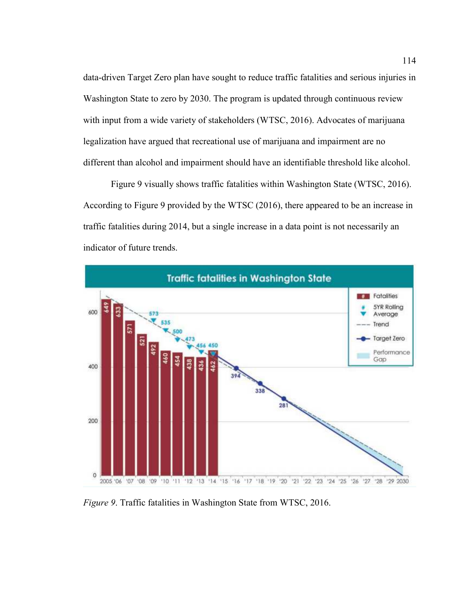data-driven Target Zero plan have sought to reduce traffic fatalities and serious injuries in Washington State to zero by 2030. The program is updated through continuous review with input from a wide variety of stakeholders (WTSC, 2016). Advocates of marijuana legalization have argued that recreational use of marijuana and impairment are no different than alcohol and impairment should have an identifiable threshold like alcohol.

Figure 9 visually shows traffic fatalities within Washington State (WTSC, 2016). According to Figure 9 provided by the WTSC (2016), there appeared to be an increase in traffic fatalities during 2014, but a single increase in a data point is not necessarily an indicator of future trends.



*Figure 9*. Traffic fatalities in Washington State from WTSC, 2016.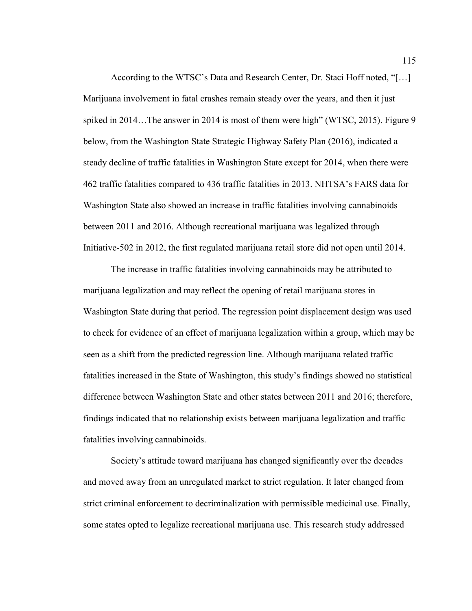According to the WTSC's Data and Research Center, Dr. Staci Hoff noted, "[…] Marijuana involvement in fatal crashes remain steady over the years, and then it just spiked in 2014…The answer in 2014 is most of them were high" (WTSC, 2015). Figure 9 below, from the Washington State Strategic Highway Safety Plan (2016), indicated a steady decline of traffic fatalities in Washington State except for 2014, when there were 462 traffic fatalities compared to 436 traffic fatalities in 2013. NHTSA's FARS data for Washington State also showed an increase in traffic fatalities involving cannabinoids between 2011 and 2016. Although recreational marijuana was legalized through Initiative-502 in 2012, the first regulated marijuana retail store did not open until 2014.

 The increase in traffic fatalities involving cannabinoids may be attributed to marijuana legalization and may reflect the opening of retail marijuana stores in Washington State during that period. The regression point displacement design was used to check for evidence of an effect of marijuana legalization within a group, which may be seen as a shift from the predicted regression line. Although marijuana related traffic fatalities increased in the State of Washington, this study's findings showed no statistical difference between Washington State and other states between 2011 and 2016; therefore, findings indicated that no relationship exists between marijuana legalization and traffic fatalities involving cannabinoids.

 Society's attitude toward marijuana has changed significantly over the decades and moved away from an unregulated market to strict regulation. It later changed from strict criminal enforcement to decriminalization with permissible medicinal use. Finally, some states opted to legalize recreational marijuana use. This research study addressed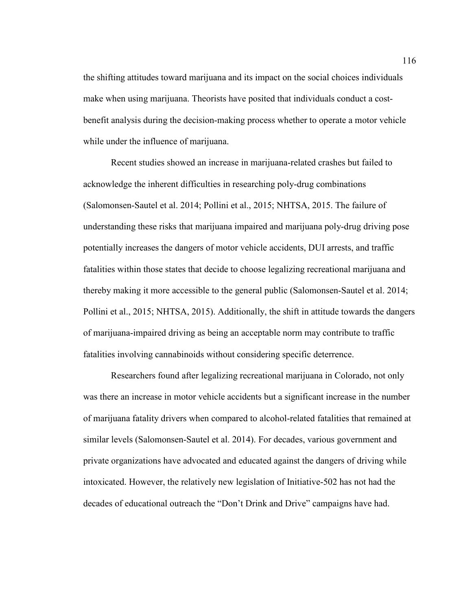the shifting attitudes toward marijuana and its impact on the social choices individuals make when using marijuana. Theorists have posited that individuals conduct a costbenefit analysis during the decision-making process whether to operate a motor vehicle while under the influence of marijuana.

 Recent studies showed an increase in marijuana-related crashes but failed to acknowledge the inherent difficulties in researching poly-drug combinations (Salomonsen-Sautel et al. 2014; Pollini et al., 2015; NHTSA, 2015. The failure of understanding these risks that marijuana impaired and marijuana poly-drug driving pose potentially increases the dangers of motor vehicle accidents, DUI arrests, and traffic fatalities within those states that decide to choose legalizing recreational marijuana and thereby making it more accessible to the general public (Salomonsen-Sautel et al. 2014; Pollini et al., 2015; NHTSA, 2015). Additionally, the shift in attitude towards the dangers of marijuana-impaired driving as being an acceptable norm may contribute to traffic fatalities involving cannabinoids without considering specific deterrence.

 Researchers found after legalizing recreational marijuana in Colorado, not only was there an increase in motor vehicle accidents but a significant increase in the number of marijuana fatality drivers when compared to alcohol-related fatalities that remained at similar levels (Salomonsen-Sautel et al. 2014). For decades, various government and private organizations have advocated and educated against the dangers of driving while intoxicated. However, the relatively new legislation of Initiative-502 has not had the decades of educational outreach the "Don't Drink and Drive" campaigns have had.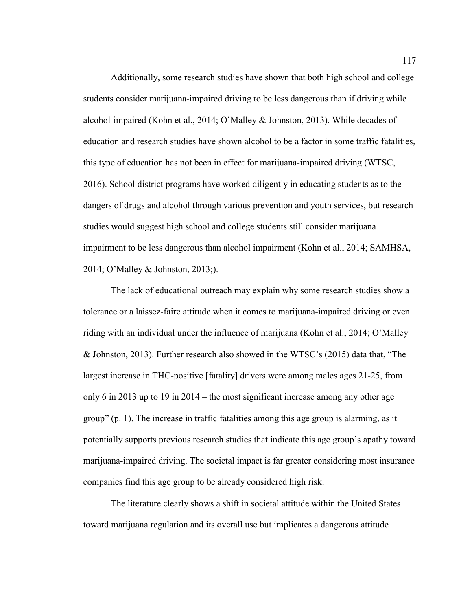Additionally, some research studies have shown that both high school and college students consider marijuana-impaired driving to be less dangerous than if driving while alcohol-impaired (Kohn et al., 2014; O'Malley & Johnston, 2013). While decades of education and research studies have shown alcohol to be a factor in some traffic fatalities, this type of education has not been in effect for marijuana-impaired driving (WTSC, 2016). School district programs have worked diligently in educating students as to the dangers of drugs and alcohol through various prevention and youth services, but research studies would suggest high school and college students still consider marijuana impairment to be less dangerous than alcohol impairment (Kohn et al., 2014; SAMHSA, 2014; O'Malley & Johnston, 2013;).

 The lack of educational outreach may explain why some research studies show a tolerance or a laissez-faire attitude when it comes to marijuana-impaired driving or even riding with an individual under the influence of marijuana (Kohn et al., 2014; O'Malley & Johnston, 2013). Further research also showed in the WTSC's (2015) data that, "The largest increase in THC-positive [fatality] drivers were among males ages 21-25, from only 6 in 2013 up to 19 in 2014 – the most significant increase among any other age group" (p. 1). The increase in traffic fatalities among this age group is alarming, as it potentially supports previous research studies that indicate this age group's apathy toward marijuana-impaired driving. The societal impact is far greater considering most insurance companies find this age group to be already considered high risk.

 The literature clearly shows a shift in societal attitude within the United States toward marijuana regulation and its overall use but implicates a dangerous attitude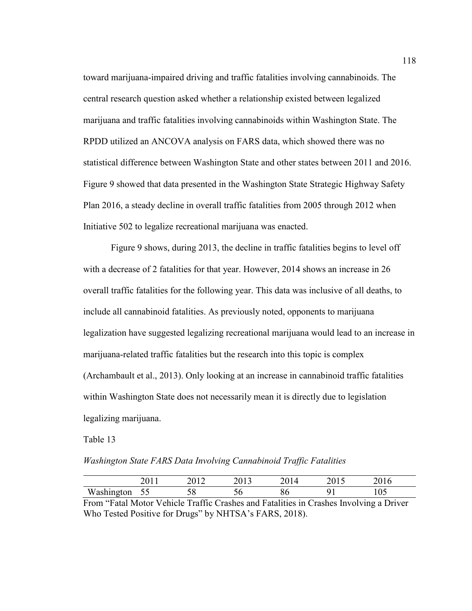toward marijuana-impaired driving and traffic fatalities involving cannabinoids. The central research question asked whether a relationship existed between legalized marijuana and traffic fatalities involving cannabinoids within Washington State. The RPDD utilized an ANCOVA analysis on FARS data, which showed there was no statistical difference between Washington State and other states between 2011 and 2016. Figure 9 showed that data presented in the Washington State Strategic Highway Safety Plan 2016, a steady decline in overall traffic fatalities from 2005 through 2012 when Initiative 502 to legalize recreational marijuana was enacted.

 Figure 9 shows, during 2013, the decline in traffic fatalities begins to level off with a decrease of 2 fatalities for that year. However, 2014 shows an increase in 26 overall traffic fatalities for the following year. This data was inclusive of all deaths, to include all cannabinoid fatalities. As previously noted, opponents to marijuana legalization have suggested legalizing recreational marijuana would lead to an increase in marijuana-related traffic fatalities but the research into this topic is complex (Archambault et al., 2013). Only looking at an increase in cannabinoid traffic fatalities within Washington State does not necessarily mean it is directly due to legislation legalizing marijuana.

Table 13

*Washington State FARS Data Involving Cannabinoid Traffic Fatalities*

|            | 49 L L | 301 A<br>$\angle$ | ∠∪ ⊥ | $\sim$ 0 $\pm$ | 201 | $\sim$ $\sim$ $\sim$<br>2010 |
|------------|--------|-------------------|------|----------------|-----|------------------------------|
| Washington | ັບ     | ັັ                |      | ov             |     | 1 V J                        |

From "Fatal Motor Vehicle Traffic Crashes and Fatalities in Crashes Involving a Driver Who Tested Positive for Drugs" by NHTSA's FARS, 2018).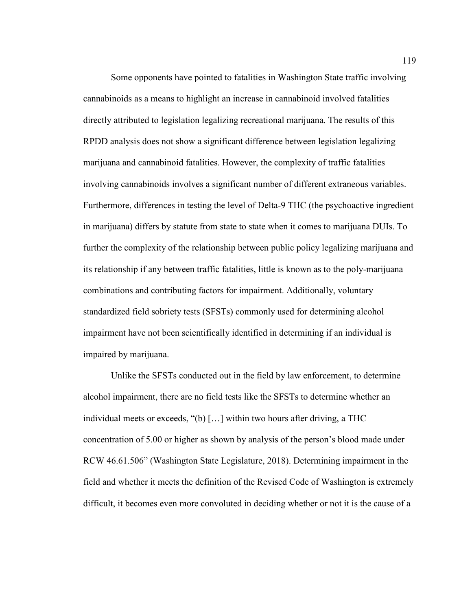Some opponents have pointed to fatalities in Washington State traffic involving cannabinoids as a means to highlight an increase in cannabinoid involved fatalities directly attributed to legislation legalizing recreational marijuana. The results of this RPDD analysis does not show a significant difference between legislation legalizing marijuana and cannabinoid fatalities. However, the complexity of traffic fatalities involving cannabinoids involves a significant number of different extraneous variables. Furthermore, differences in testing the level of Delta-9 THC (the psychoactive ingredient in marijuana) differs by statute from state to state when it comes to marijuana DUIs. To further the complexity of the relationship between public policy legalizing marijuana and its relationship if any between traffic fatalities, little is known as to the poly-marijuana combinations and contributing factors for impairment. Additionally, voluntary standardized field sobriety tests (SFSTs) commonly used for determining alcohol impairment have not been scientifically identified in determining if an individual is impaired by marijuana.

Unlike the SFSTs conducted out in the field by law enforcement, to determine alcohol impairment, there are no field tests like the SFSTs to determine whether an individual meets or exceeds, "(b) […] within two hours after driving, a THC concentration of 5.00 or higher as shown by analysis of the person's blood made under RCW 46.61.506" (Washington State Legislature, 2018). Determining impairment in the field and whether it meets the definition of the Revised Code of Washington is extremely difficult, it becomes even more convoluted in deciding whether or not it is the cause of a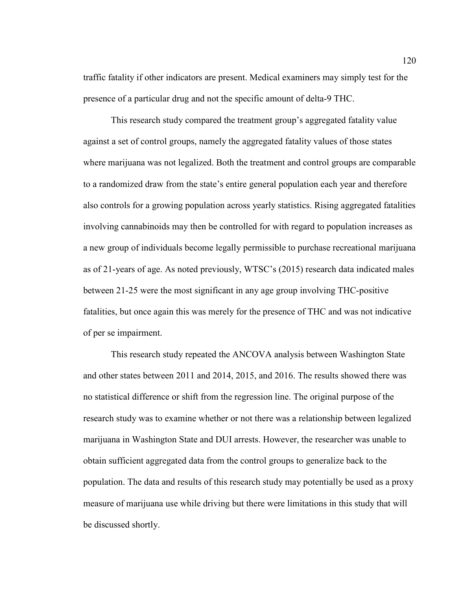traffic fatality if other indicators are present. Medical examiners may simply test for the presence of a particular drug and not the specific amount of delta-9 THC.

This research study compared the treatment group's aggregated fatality value against a set of control groups, namely the aggregated fatality values of those states where marijuana was not legalized. Both the treatment and control groups are comparable to a randomized draw from the state's entire general population each year and therefore also controls for a growing population across yearly statistics. Rising aggregated fatalities involving cannabinoids may then be controlled for with regard to population increases as a new group of individuals become legally permissible to purchase recreational marijuana as of 21-years of age. As noted previously, WTSC's (2015) research data indicated males between 21-25 were the most significant in any age group involving THC-positive fatalities, but once again this was merely for the presence of THC and was not indicative of per se impairment.

This research study repeated the ANCOVA analysis between Washington State and other states between 2011 and 2014, 2015, and 2016. The results showed there was no statistical difference or shift from the regression line. The original purpose of the research study was to examine whether or not there was a relationship between legalized marijuana in Washington State and DUI arrests. However, the researcher was unable to obtain sufficient aggregated data from the control groups to generalize back to the population. The data and results of this research study may potentially be used as a proxy measure of marijuana use while driving but there were limitations in this study that will be discussed shortly.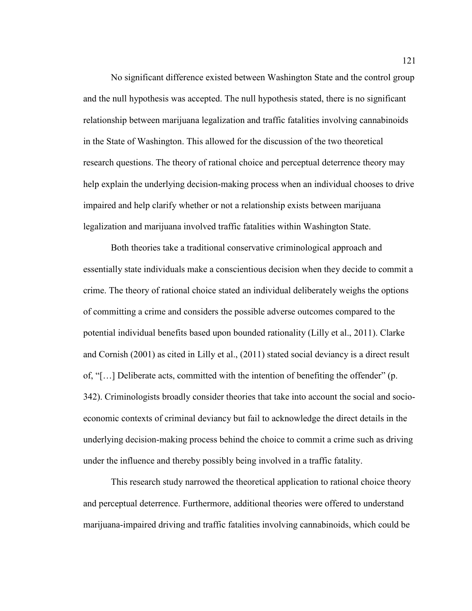No significant difference existed between Washington State and the control group and the null hypothesis was accepted. The null hypothesis stated, there is no significant relationship between marijuana legalization and traffic fatalities involving cannabinoids in the State of Washington. This allowed for the discussion of the two theoretical research questions. The theory of rational choice and perceptual deterrence theory may help explain the underlying decision-making process when an individual chooses to drive impaired and help clarify whether or not a relationship exists between marijuana legalization and marijuana involved traffic fatalities within Washington State.

Both theories take a traditional conservative criminological approach and essentially state individuals make a conscientious decision when they decide to commit a crime. The theory of rational choice stated an individual deliberately weighs the options of committing a crime and considers the possible adverse outcomes compared to the potential individual benefits based upon bounded rationality (Lilly et al., 2011). Clarke and Cornish (2001) as cited in Lilly et al., (2011) stated social deviancy is a direct result of, "[…] Deliberate acts, committed with the intention of benefiting the offender" (p. 342). Criminologists broadly consider theories that take into account the social and socioeconomic contexts of criminal deviancy but fail to acknowledge the direct details in the underlying decision-making process behind the choice to commit a crime such as driving under the influence and thereby possibly being involved in a traffic fatality.

This research study narrowed the theoretical application to rational choice theory and perceptual deterrence. Furthermore, additional theories were offered to understand marijuana-impaired driving and traffic fatalities involving cannabinoids, which could be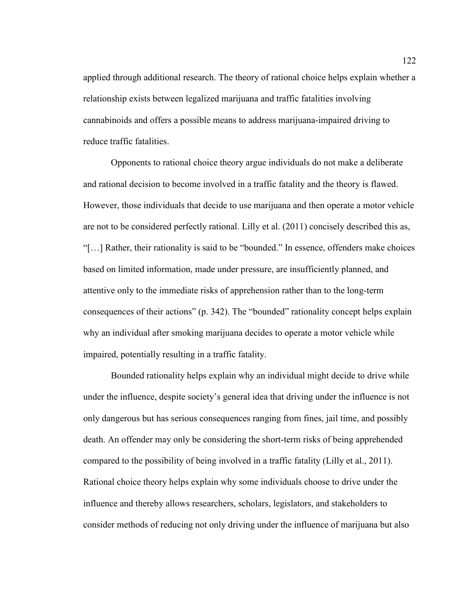applied through additional research. The theory of rational choice helps explain whether a relationship exists between legalized marijuana and traffic fatalities involving cannabinoids and offers a possible means to address marijuana-impaired driving to reduce traffic fatalities.

Opponents to rational choice theory argue individuals do not make a deliberate and rational decision to become involved in a traffic fatality and the theory is flawed. However, those individuals that decide to use marijuana and then operate a motor vehicle are not to be considered perfectly rational. Lilly et al. (2011) concisely described this as, "[…] Rather, their rationality is said to be "bounded." In essence, offenders make choices based on limited information, made under pressure, are insufficiently planned, and attentive only to the immediate risks of apprehension rather than to the long-term consequences of their actions" (p. 342). The "bounded" rationality concept helps explain why an individual after smoking marijuana decides to operate a motor vehicle while impaired, potentially resulting in a traffic fatality.

Bounded rationality helps explain why an individual might decide to drive while under the influence, despite society's general idea that driving under the influence is not only dangerous but has serious consequences ranging from fines, jail time, and possibly death. An offender may only be considering the short-term risks of being apprehended compared to the possibility of being involved in a traffic fatality (Lilly et al., 2011). Rational choice theory helps explain why some individuals choose to drive under the influence and thereby allows researchers, scholars, legislators, and stakeholders to consider methods of reducing not only driving under the influence of marijuana but also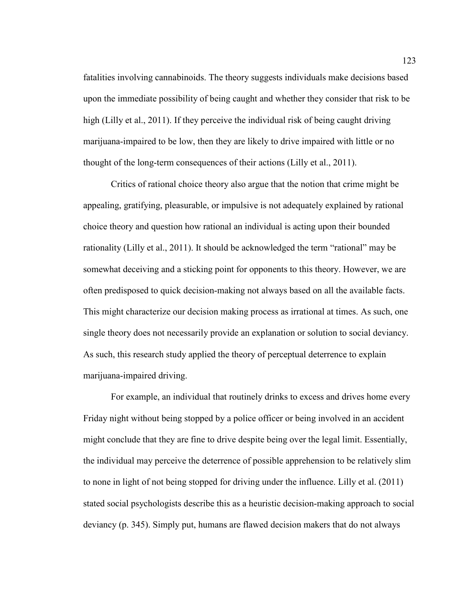fatalities involving cannabinoids. The theory suggests individuals make decisions based upon the immediate possibility of being caught and whether they consider that risk to be high (Lilly et al., 2011). If they perceive the individual risk of being caught driving marijuana-impaired to be low, then they are likely to drive impaired with little or no thought of the long-term consequences of their actions (Lilly et al., 2011).

Critics of rational choice theory also argue that the notion that crime might be appealing, gratifying, pleasurable, or impulsive is not adequately explained by rational choice theory and question how rational an individual is acting upon their bounded rationality (Lilly et al., 2011). It should be acknowledged the term "rational" may be somewhat deceiving and a sticking point for opponents to this theory. However, we are often predisposed to quick decision-making not always based on all the available facts. This might characterize our decision making process as irrational at times. As such, one single theory does not necessarily provide an explanation or solution to social deviancy. As such, this research study applied the theory of perceptual deterrence to explain marijuana-impaired driving.

For example, an individual that routinely drinks to excess and drives home every Friday night without being stopped by a police officer or being involved in an accident might conclude that they are fine to drive despite being over the legal limit. Essentially, the individual may perceive the deterrence of possible apprehension to be relatively slim to none in light of not being stopped for driving under the influence. Lilly et al. (2011) stated social psychologists describe this as a heuristic decision-making approach to social deviancy (p. 345). Simply put, humans are flawed decision makers that do not always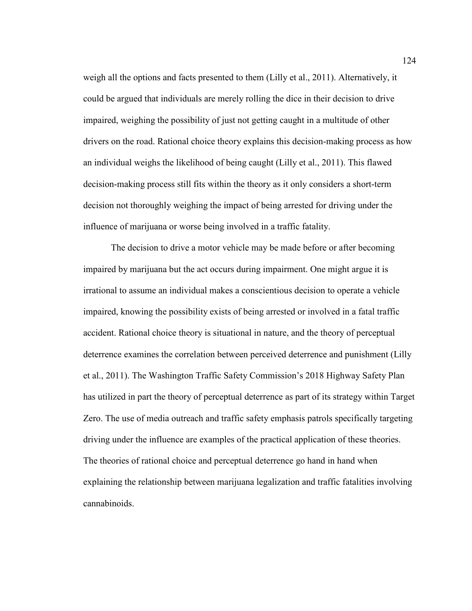weigh all the options and facts presented to them (Lilly et al., 2011). Alternatively, it could be argued that individuals are merely rolling the dice in their decision to drive impaired, weighing the possibility of just not getting caught in a multitude of other drivers on the road. Rational choice theory explains this decision-making process as how an individual weighs the likelihood of being caught (Lilly et al., 2011). This flawed decision-making process still fits within the theory as it only considers a short-term decision not thoroughly weighing the impact of being arrested for driving under the influence of marijuana or worse being involved in a traffic fatality.

The decision to drive a motor vehicle may be made before or after becoming impaired by marijuana but the act occurs during impairment. One might argue it is irrational to assume an individual makes a conscientious decision to operate a vehicle impaired, knowing the possibility exists of being arrested or involved in a fatal traffic accident. Rational choice theory is situational in nature, and the theory of perceptual deterrence examines the correlation between perceived deterrence and punishment (Lilly et al., 2011). The Washington Traffic Safety Commission's 2018 Highway Safety Plan has utilized in part the theory of perceptual deterrence as part of its strategy within Target Zero. The use of media outreach and traffic safety emphasis patrols specifically targeting driving under the influence are examples of the practical application of these theories. The theories of rational choice and perceptual deterrence go hand in hand when explaining the relationship between marijuana legalization and traffic fatalities involving cannabinoids.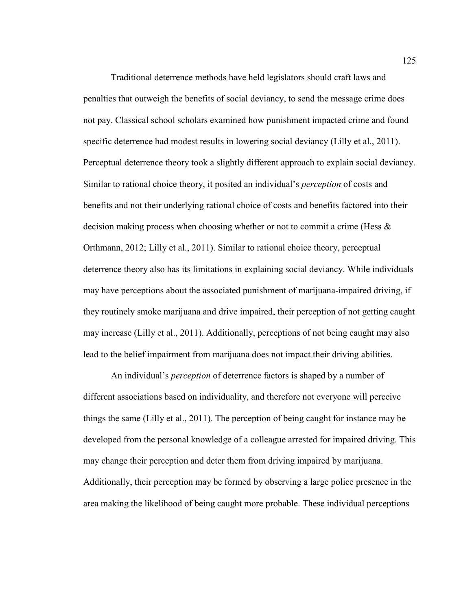Traditional deterrence methods have held legislators should craft laws and penalties that outweigh the benefits of social deviancy, to send the message crime does not pay. Classical school scholars examined how punishment impacted crime and found specific deterrence had modest results in lowering social deviancy (Lilly et al., 2011). Perceptual deterrence theory took a slightly different approach to explain social deviancy. Similar to rational choice theory, it posited an individual's *perception* of costs and benefits and not their underlying rational choice of costs and benefits factored into their decision making process when choosing whether or not to commit a crime (Hess  $\&$ Orthmann, 2012; Lilly et al., 2011). Similar to rational choice theory, perceptual deterrence theory also has its limitations in explaining social deviancy. While individuals may have perceptions about the associated punishment of marijuana-impaired driving, if they routinely smoke marijuana and drive impaired, their perception of not getting caught may increase (Lilly et al., 2011). Additionally, perceptions of not being caught may also lead to the belief impairment from marijuana does not impact their driving abilities.

An individual's *perception* of deterrence factors is shaped by a number of different associations based on individuality, and therefore not everyone will perceive things the same (Lilly et al., 2011). The perception of being caught for instance may be developed from the personal knowledge of a colleague arrested for impaired driving. This may change their perception and deter them from driving impaired by marijuana. Additionally, their perception may be formed by observing a large police presence in the area making the likelihood of being caught more probable. These individual perceptions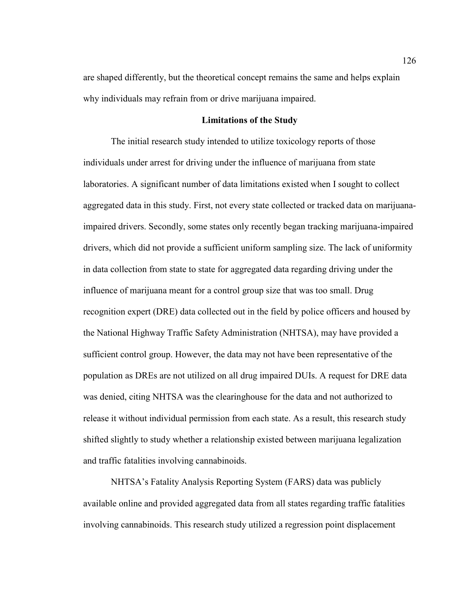are shaped differently, but the theoretical concept remains the same and helps explain why individuals may refrain from or drive marijuana impaired.

#### **Limitations of the Study**

The initial research study intended to utilize toxicology reports of those individuals under arrest for driving under the influence of marijuana from state laboratories. A significant number of data limitations existed when I sought to collect aggregated data in this study. First, not every state collected or tracked data on marijuanaimpaired drivers. Secondly, some states only recently began tracking marijuana-impaired drivers, which did not provide a sufficient uniform sampling size. The lack of uniformity in data collection from state to state for aggregated data regarding driving under the influence of marijuana meant for a control group size that was too small. Drug recognition expert (DRE) data collected out in the field by police officers and housed by the National Highway Traffic Safety Administration (NHTSA), may have provided a sufficient control group. However, the data may not have been representative of the population as DREs are not utilized on all drug impaired DUIs. A request for DRE data was denied, citing NHTSA was the clearinghouse for the data and not authorized to release it without individual permission from each state. As a result, this research study shifted slightly to study whether a relationship existed between marijuana legalization and traffic fatalities involving cannabinoids.

 NHTSA's Fatality Analysis Reporting System (FARS) data was publicly available online and provided aggregated data from all states regarding traffic fatalities involving cannabinoids. This research study utilized a regression point displacement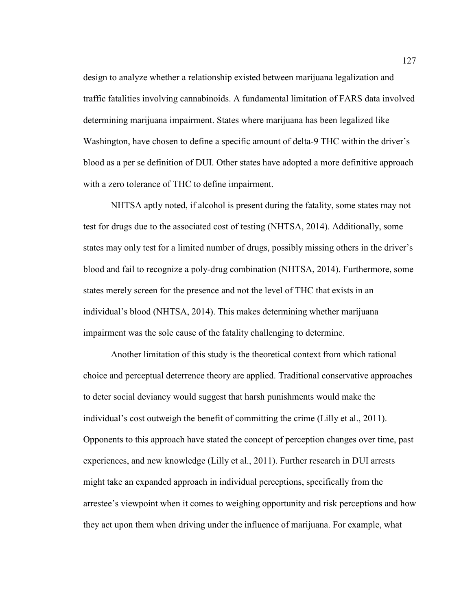design to analyze whether a relationship existed between marijuana legalization and traffic fatalities involving cannabinoids. A fundamental limitation of FARS data involved determining marijuana impairment. States where marijuana has been legalized like Washington, have chosen to define a specific amount of delta-9 THC within the driver's blood as a per se definition of DUI. Other states have adopted a more definitive approach with a zero tolerance of THC to define impairment.

NHTSA aptly noted, if alcohol is present during the fatality, some states may not test for drugs due to the associated cost of testing (NHTSA, 2014). Additionally, some states may only test for a limited number of drugs, possibly missing others in the driver's blood and fail to recognize a poly-drug combination (NHTSA, 2014). Furthermore, some states merely screen for the presence and not the level of THC that exists in an individual's blood (NHTSA, 2014). This makes determining whether marijuana impairment was the sole cause of the fatality challenging to determine.

 Another limitation of this study is the theoretical context from which rational choice and perceptual deterrence theory are applied. Traditional conservative approaches to deter social deviancy would suggest that harsh punishments would make the individual's cost outweigh the benefit of committing the crime (Lilly et al., 2011). Opponents to this approach have stated the concept of perception changes over time, past experiences, and new knowledge (Lilly et al., 2011). Further research in DUI arrests might take an expanded approach in individual perceptions, specifically from the arrestee's viewpoint when it comes to weighing opportunity and risk perceptions and how they act upon them when driving under the influence of marijuana. For example, what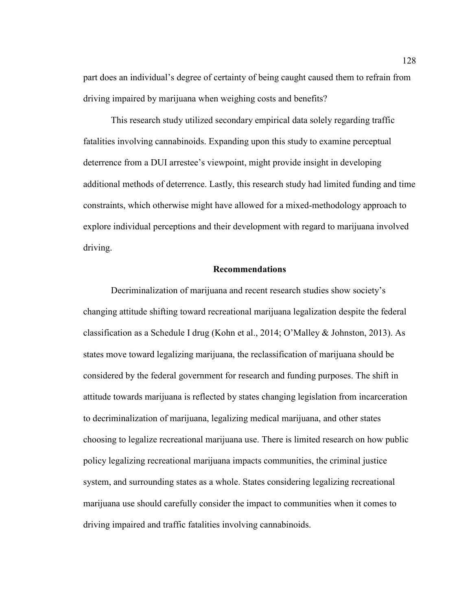part does an individual's degree of certainty of being caught caused them to refrain from driving impaired by marijuana when weighing costs and benefits?

 This research study utilized secondary empirical data solely regarding traffic fatalities involving cannabinoids. Expanding upon this study to examine perceptual deterrence from a DUI arrestee's viewpoint, might provide insight in developing additional methods of deterrence. Lastly, this research study had limited funding and time constraints, which otherwise might have allowed for a mixed-methodology approach to explore individual perceptions and their development with regard to marijuana involved driving.

#### **Recommendations**

 Decriminalization of marijuana and recent research studies show society's changing attitude shifting toward recreational marijuana legalization despite the federal classification as a Schedule I drug (Kohn et al., 2014; O'Malley & Johnston, 2013). As states move toward legalizing marijuana, the reclassification of marijuana should be considered by the federal government for research and funding purposes. The shift in attitude towards marijuana is reflected by states changing legislation from incarceration to decriminalization of marijuana, legalizing medical marijuana, and other states choosing to legalize recreational marijuana use. There is limited research on how public policy legalizing recreational marijuana impacts communities, the criminal justice system, and surrounding states as a whole. States considering legalizing recreational marijuana use should carefully consider the impact to communities when it comes to driving impaired and traffic fatalities involving cannabinoids.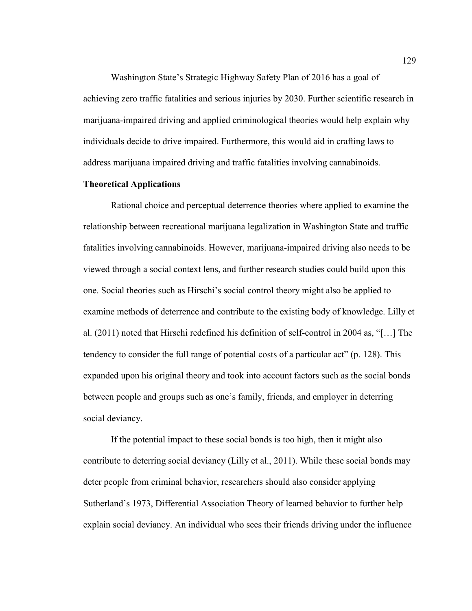Washington State's Strategic Highway Safety Plan of 2016 has a goal of achieving zero traffic fatalities and serious injuries by 2030. Further scientific research in marijuana-impaired driving and applied criminological theories would help explain why individuals decide to drive impaired. Furthermore, this would aid in crafting laws to address marijuana impaired driving and traffic fatalities involving cannabinoids.

#### **Theoretical Applications**

Rational choice and perceptual deterrence theories where applied to examine the relationship between recreational marijuana legalization in Washington State and traffic fatalities involving cannabinoids. However, marijuana-impaired driving also needs to be viewed through a social context lens, and further research studies could build upon this one. Social theories such as Hirschi's social control theory might also be applied to examine methods of deterrence and contribute to the existing body of knowledge. Lilly et al. (2011) noted that Hirschi redefined his definition of self-control in 2004 as, "[…] The tendency to consider the full range of potential costs of a particular act" (p. 128). This expanded upon his original theory and took into account factors such as the social bonds between people and groups such as one's family, friends, and employer in deterring social deviancy.

If the potential impact to these social bonds is too high, then it might also contribute to deterring social deviancy (Lilly et al., 2011). While these social bonds may deter people from criminal behavior, researchers should also consider applying Sutherland's 1973, Differential Association Theory of learned behavior to further help explain social deviancy. An individual who sees their friends driving under the influence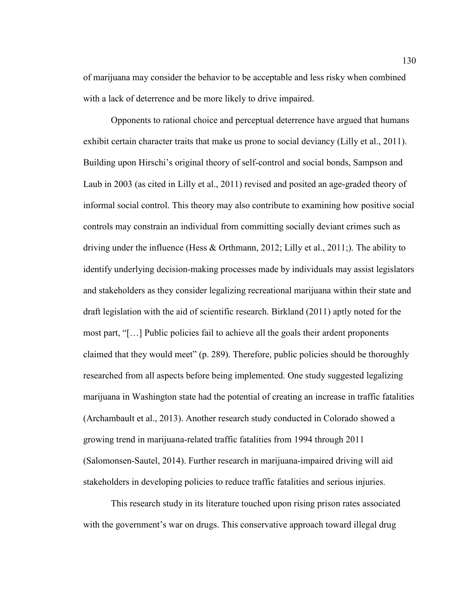of marijuana may consider the behavior to be acceptable and less risky when combined with a lack of deterrence and be more likely to drive impaired.

Opponents to rational choice and perceptual deterrence have argued that humans exhibit certain character traits that make us prone to social deviancy (Lilly et al., 2011). Building upon Hirschi's original theory of self-control and social bonds, Sampson and Laub in 2003 (as cited in Lilly et al., 2011) revised and posited an age-graded theory of informal social control. This theory may also contribute to examining how positive social controls may constrain an individual from committing socially deviant crimes such as driving under the influence (Hess & Orthmann, 2012; Lilly et al., 2011;). The ability to identify underlying decision-making processes made by individuals may assist legislators and stakeholders as they consider legalizing recreational marijuana within their state and draft legislation with the aid of scientific research. Birkland (2011) aptly noted for the most part, "[…] Public policies fail to achieve all the goals their ardent proponents claimed that they would meet" (p. 289). Therefore, public policies should be thoroughly researched from all aspects before being implemented. One study suggested legalizing marijuana in Washington state had the potential of creating an increase in traffic fatalities (Archambault et al., 2013). Another research study conducted in Colorado showed a growing trend in marijuana-related traffic fatalities from 1994 through 2011 (Salomonsen-Sautel, 2014). Further research in marijuana-impaired driving will aid stakeholders in developing policies to reduce traffic fatalities and serious injuries.

 This research study in its literature touched upon rising prison rates associated with the government's war on drugs. This conservative approach toward illegal drug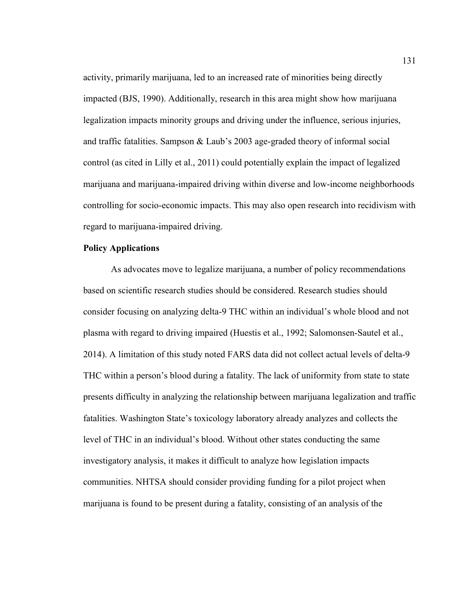activity, primarily marijuana, led to an increased rate of minorities being directly impacted (BJS, 1990). Additionally, research in this area might show how marijuana legalization impacts minority groups and driving under the influence, serious injuries, and traffic fatalities. Sampson & Laub's 2003 age-graded theory of informal social control (as cited in Lilly et al., 2011) could potentially explain the impact of legalized marijuana and marijuana-impaired driving within diverse and low-income neighborhoods controlling for socio-economic impacts. This may also open research into recidivism with regard to marijuana-impaired driving.

#### **Policy Applications**

As advocates move to legalize marijuana, a number of policy recommendations based on scientific research studies should be considered. Research studies should consider focusing on analyzing delta-9 THC within an individual's whole blood and not plasma with regard to driving impaired (Huestis et al., 1992; Salomonsen-Sautel et al., 2014). A limitation of this study noted FARS data did not collect actual levels of delta-9 THC within a person's blood during a fatality. The lack of uniformity from state to state presents difficulty in analyzing the relationship between marijuana legalization and traffic fatalities. Washington State's toxicology laboratory already analyzes and collects the level of THC in an individual's blood. Without other states conducting the same investigatory analysis, it makes it difficult to analyze how legislation impacts communities. NHTSA should consider providing funding for a pilot project when marijuana is found to be present during a fatality, consisting of an analysis of the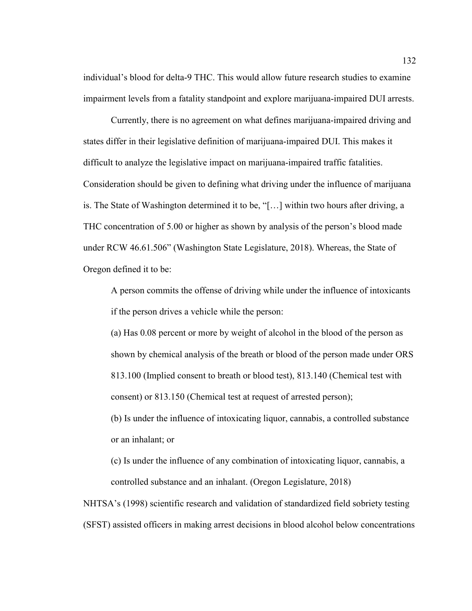individual's blood for delta-9 THC. This would allow future research studies to examine impairment levels from a fatality standpoint and explore marijuana-impaired DUI arrests.

 Currently, there is no agreement on what defines marijuana-impaired driving and states differ in their legislative definition of marijuana-impaired DUI. This makes it difficult to analyze the legislative impact on marijuana-impaired traffic fatalities. Consideration should be given to defining what driving under the influence of marijuana is. The State of Washington determined it to be, "[…] within two hours after driving, a THC concentration of 5.00 or higher as shown by analysis of the person's blood made under RCW 46.61.506" (Washington State Legislature, 2018). Whereas, the State of Oregon defined it to be:

A person commits the offense of driving while under the influence of intoxicants if the person drives a vehicle while the person:

(a) Has 0.08 percent or more by weight of alcohol in the blood of the person as shown by chemical analysis of the breath or blood of the person made under ORS 813.100 (Implied consent to breath or blood test), 813.140 (Chemical test with consent) or 813.150 (Chemical test at request of arrested person);

(b) Is under the influence of intoxicating liquor, cannabis, a controlled substance or an inhalant; or

(c) Is under the influence of any combination of intoxicating liquor, cannabis, a controlled substance and an inhalant. (Oregon Legislature, 2018)

NHTSA's (1998) scientific research and validation of standardized field sobriety testing (SFST) assisted officers in making arrest decisions in blood alcohol below concentrations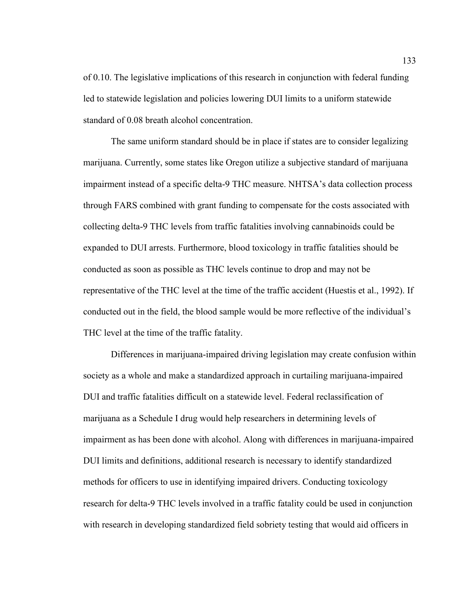of 0.10. The legislative implications of this research in conjunction with federal funding led to statewide legislation and policies lowering DUI limits to a uniform statewide standard of 0.08 breath alcohol concentration.

 The same uniform standard should be in place if states are to consider legalizing marijuana. Currently, some states like Oregon utilize a subjective standard of marijuana impairment instead of a specific delta-9 THC measure. NHTSA's data collection process through FARS combined with grant funding to compensate for the costs associated with collecting delta-9 THC levels from traffic fatalities involving cannabinoids could be expanded to DUI arrests. Furthermore, blood toxicology in traffic fatalities should be conducted as soon as possible as THC levels continue to drop and may not be representative of the THC level at the time of the traffic accident (Huestis et al., 1992). If conducted out in the field, the blood sample would be more reflective of the individual's THC level at the time of the traffic fatality.

Differences in marijuana-impaired driving legislation may create confusion within society as a whole and make a standardized approach in curtailing marijuana-impaired DUI and traffic fatalities difficult on a statewide level. Federal reclassification of marijuana as a Schedule I drug would help researchers in determining levels of impairment as has been done with alcohol. Along with differences in marijuana-impaired DUI limits and definitions, additional research is necessary to identify standardized methods for officers to use in identifying impaired drivers. Conducting toxicology research for delta-9 THC levels involved in a traffic fatality could be used in conjunction with research in developing standardized field sobriety testing that would aid officers in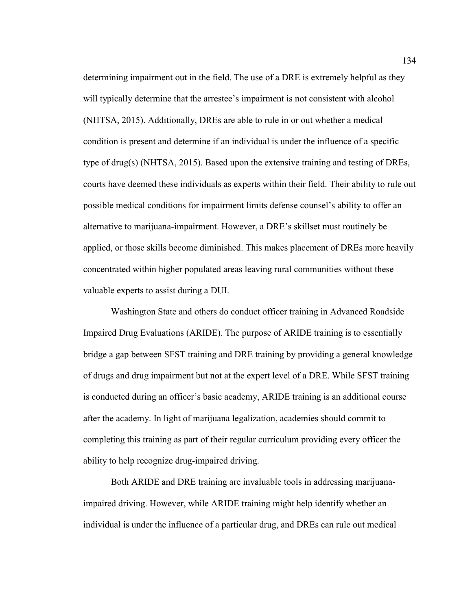determining impairment out in the field. The use of a DRE is extremely helpful as they will typically determine that the arrestee's impairment is not consistent with alcohol (NHTSA, 2015). Additionally, DREs are able to rule in or out whether a medical condition is present and determine if an individual is under the influence of a specific type of drug(s) (NHTSA, 2015). Based upon the extensive training and testing of DREs, courts have deemed these individuals as experts within their field. Their ability to rule out possible medical conditions for impairment limits defense counsel's ability to offer an alternative to marijuana-impairment. However, a DRE's skillset must routinely be applied, or those skills become diminished. This makes placement of DREs more heavily concentrated within higher populated areas leaving rural communities without these valuable experts to assist during a DUI.

 Washington State and others do conduct officer training in Advanced Roadside Impaired Drug Evaluations (ARIDE). The purpose of ARIDE training is to essentially bridge a gap between SFST training and DRE training by providing a general knowledge of drugs and drug impairment but not at the expert level of a DRE. While SFST training is conducted during an officer's basic academy, ARIDE training is an additional course after the academy. In light of marijuana legalization, academies should commit to completing this training as part of their regular curriculum providing every officer the ability to help recognize drug-impaired driving.

Both ARIDE and DRE training are invaluable tools in addressing marijuanaimpaired driving. However, while ARIDE training might help identify whether an individual is under the influence of a particular drug, and DREs can rule out medical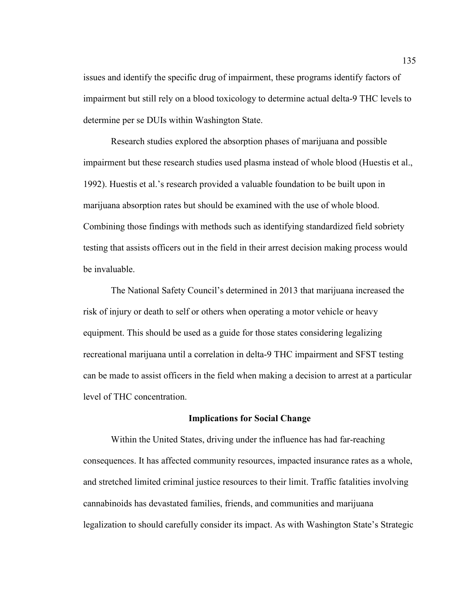issues and identify the specific drug of impairment, these programs identify factors of impairment but still rely on a blood toxicology to determine actual delta-9 THC levels to determine per se DUIs within Washington State.

Research studies explored the absorption phases of marijuana and possible impairment but these research studies used plasma instead of whole blood (Huestis et al., 1992). Huestis et al.'s research provided a valuable foundation to be built upon in marijuana absorption rates but should be examined with the use of whole blood. Combining those findings with methods such as identifying standardized field sobriety testing that assists officers out in the field in their arrest decision making process would be invaluable.

 The National Safety Council's determined in 2013 that marijuana increased the risk of injury or death to self or others when operating a motor vehicle or heavy equipment. This should be used as a guide for those states considering legalizing recreational marijuana until a correlation in delta-9 THC impairment and SFST testing can be made to assist officers in the field when making a decision to arrest at a particular level of THC concentration.

## **Implications for Social Change**

Within the United States, driving under the influence has had far-reaching consequences. It has affected community resources, impacted insurance rates as a whole, and stretched limited criminal justice resources to their limit. Traffic fatalities involving cannabinoids has devastated families, friends, and communities and marijuana legalization to should carefully consider its impact. As with Washington State's Strategic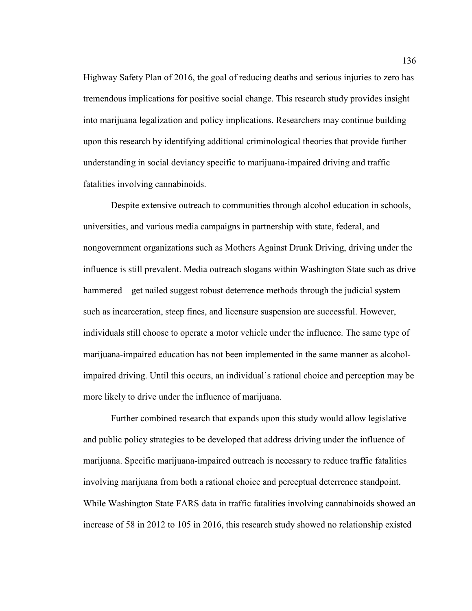Highway Safety Plan of 2016, the goal of reducing deaths and serious injuries to zero has tremendous implications for positive social change. This research study provides insight into marijuana legalization and policy implications. Researchers may continue building upon this research by identifying additional criminological theories that provide further understanding in social deviancy specific to marijuana-impaired driving and traffic fatalities involving cannabinoids.

Despite extensive outreach to communities through alcohol education in schools, universities, and various media campaigns in partnership with state, federal, and nongovernment organizations such as Mothers Against Drunk Driving, driving under the influence is still prevalent. Media outreach slogans within Washington State such as drive hammered – get nailed suggest robust deterrence methods through the judicial system such as incarceration, steep fines, and licensure suspension are successful. However, individuals still choose to operate a motor vehicle under the influence. The same type of marijuana-impaired education has not been implemented in the same manner as alcoholimpaired driving. Until this occurs, an individual's rational choice and perception may be more likely to drive under the influence of marijuana.

 Further combined research that expands upon this study would allow legislative and public policy strategies to be developed that address driving under the influence of marijuana. Specific marijuana-impaired outreach is necessary to reduce traffic fatalities involving marijuana from both a rational choice and perceptual deterrence standpoint. While Washington State FARS data in traffic fatalities involving cannabinoids showed an increase of 58 in 2012 to 105 in 2016, this research study showed no relationship existed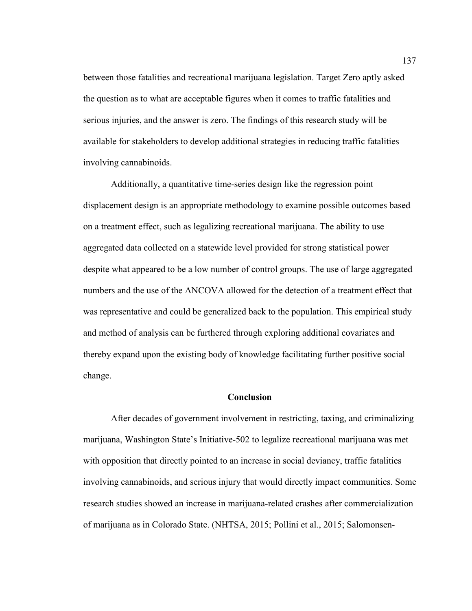between those fatalities and recreational marijuana legislation. Target Zero aptly asked the question as to what are acceptable figures when it comes to traffic fatalities and serious injuries, and the answer is zero. The findings of this research study will be available for stakeholders to develop additional strategies in reducing traffic fatalities involving cannabinoids.

 Additionally, a quantitative time-series design like the regression point displacement design is an appropriate methodology to examine possible outcomes based on a treatment effect, such as legalizing recreational marijuana. The ability to use aggregated data collected on a statewide level provided for strong statistical power despite what appeared to be a low number of control groups. The use of large aggregated numbers and the use of the ANCOVA allowed for the detection of a treatment effect that was representative and could be generalized back to the population. This empirical study and method of analysis can be furthered through exploring additional covariates and thereby expand upon the existing body of knowledge facilitating further positive social change.

## **Conclusion**

After decades of government involvement in restricting, taxing, and criminalizing marijuana, Washington State's Initiative-502 to legalize recreational marijuana was met with opposition that directly pointed to an increase in social deviancy, traffic fatalities involving cannabinoids, and serious injury that would directly impact communities. Some research studies showed an increase in marijuana-related crashes after commercialization of marijuana as in Colorado State. (NHTSA, 2015; Pollini et al., 2015; Salomonsen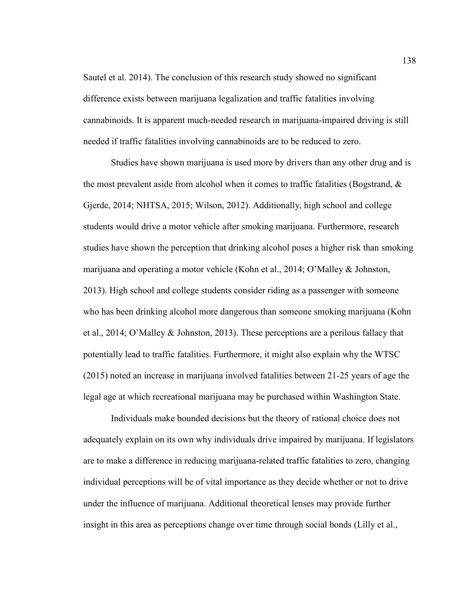Sautel et al. 2014). The conclusion of this research study showed no significant difference exists between marijuana legalization and traffic fatalities involving cannabinoids. It is apparent much-needed research in marijuana-impaired driving is still needed if traffic fatalities involving cannabinoids are to be reduced to zero.

 Studies have shown marijuana is used more by drivers than any other drug and is the most prevalent aside from alcohol when it comes to traffic fatalities (Bogstrand,  $\&$ Gjerde, 2014; NHTSA, 2015; Wilson, 2012). Additionally, high school and college students would drive a motor vehicle after smoking marijuana. Furthermore, research studies have shown the perception that drinking alcohol poses a higher risk than smoking marijuana and operating a motor vehicle (Kohn et al., 2014; O'Malley & Johnston, 2013). High school and college students consider riding as a passenger with someone who has been drinking alcohol more dangerous than someone smoking marijuana (Kohn et al., 2014; O'Malley & Johnston, 2013). These perceptions are a perilous fallacy that potentially lead to traffic fatalities. Furthermore, it might also explain why the WTSC (2015) noted an increase in marijuana involved fatalities between 21-25 years of age the legal age at which recreational marijuana may be purchased within Washington State.

 Individuals make bounded decisions but the theory of rational choice does not adequately explain on its own why individuals drive impaired by marijuana. If legislators are to make a difference in reducing marijuana-related traffic fatalities to zero, changing individual perceptions will be of vital importance as they decide whether or not to drive under the influence of marijuana. Additional theoretical lenses may provide further insight in this area as perceptions change over time through social bonds (Lilly et al.,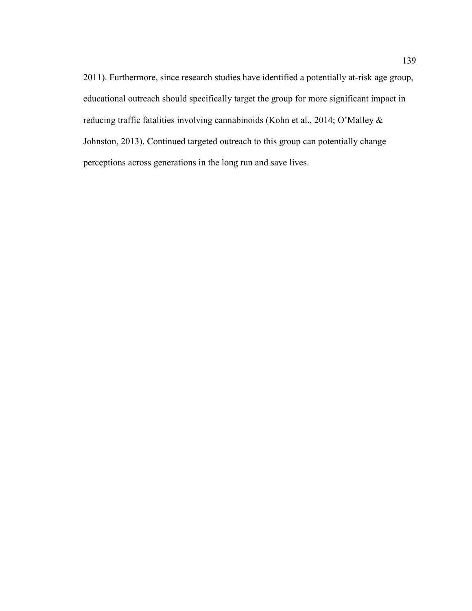2011). Furthermore, since research studies have identified a potentially at-risk age group, educational outreach should specifically target the group for more significant impact in reducing traffic fatalities involving cannabinoids (Kohn et al., 2014; O'Malley & Johnston, 2013). Continued targeted outreach to this group can potentially change perceptions across generations in the long run and save lives.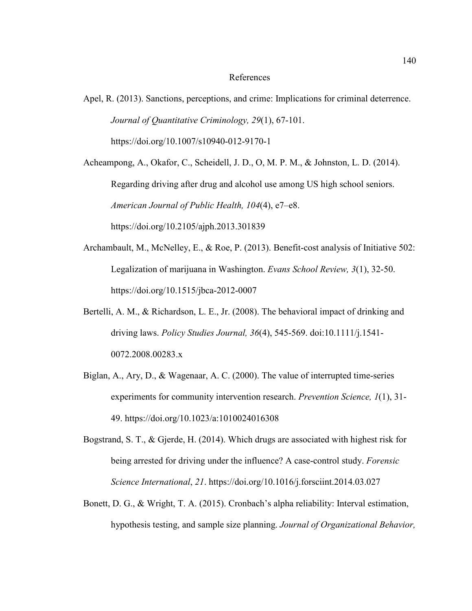## References

Apel, R. (2013). Sanctions, perceptions, and crime: Implications for criminal deterrence. *Journal of Quantitative Criminology, 29*(1), 67-101. https://doi.org/10.1007/s10940-012-9170-1

Acheampong, A., Okafor, C., Scheidell, J. D., O, M. P. M., & Johnston, L. D. (2014). Regarding driving after drug and alcohol use among US high school seniors. *American Journal of Public Health, 104*(4), e7–e8. https://doi.org/10.2105/ajph.2013.301839

- Archambault, M., McNelley, E., & Roe, P. (2013). Benefit-cost analysis of Initiative 502: Legalization of marijuana in Washington. *Evans School Review, 3*(1), 32-50. https://doi.org/10.1515/jbca-2012-0007
- Bertelli, A. M., & Richardson, L. E., Jr. (2008). The behavioral impact of drinking and driving laws. *Policy Studies Journal, 36*(4), 545-569. doi:10.1111/j.1541- 0072.2008.00283.x
- Biglan, A., Ary, D., & Wagenaar, A. C. (2000). The value of interrupted time-series experiments for community intervention research. *Prevention Science, 1*(1), 31- 49. https://doi.org/10.1023/a:1010024016308
- Bogstrand, S. T., & Gjerde, H. (2014). Which drugs are associated with highest risk for being arrested for driving under the influence? A case-control study. *Forensic Science International*, *21*. https://doi.org/10.1016/j.forsciint.2014.03.027
- Bonett, D. G., & Wright, T. A. (2015). Cronbach's alpha reliability: Interval estimation, hypothesis testing, and sample size planning. *Journal of Organizational Behavior,*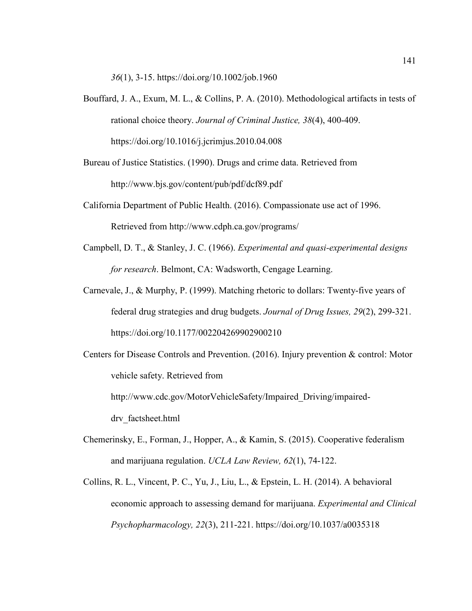*36*(1), 3-15. https://doi.org/10.1002/job.1960

- Bouffard, J. A., Exum, M. L., & Collins, P. A. (2010). Methodological artifacts in tests of rational choice theory. *Journal of Criminal Justice, 38*(4), 400-409. https://doi.org/10.1016/j.jcrimjus.2010.04.008
- Bureau of Justice Statistics. (1990). Drugs and crime data. Retrieved from http://www.bjs.gov/content/pub/pdf/dcf89.pdf
- California Department of Public Health. (2016). Compassionate use act of 1996. Retrieved from http://www.cdph.ca.gov/programs/
- Campbell, D. T., & Stanley, J. C. (1966). *Experimental and quasi-experimental designs for research*. Belmont, CA: Wadsworth, Cengage Learning.
- Carnevale, J., & Murphy, P. (1999). Matching rhetoric to dollars: Twenty-five years of federal drug strategies and drug budgets. *Journal of Drug Issues, 29*(2), 299-321. https://doi.org/10.1177/002204269902900210
- Centers for Disease Controls and Prevention. (2016). Injury prevention & control: Motor vehicle safety. Retrieved from http://www.cdc.gov/MotorVehicleSafety/Impaired\_Driving/impaired-

drv\_factsheet.html

- Chemerinsky, E., Forman, J., Hopper, A., & Kamin, S. (2015). Cooperative federalism and marijuana regulation. *UCLA Law Review, 62*(1), 74-122.
- Collins, R. L., Vincent, P. C., Yu, J., Liu, L., & Epstein, L. H. (2014). A behavioral economic approach to assessing demand for marijuana. *Experimental and Clinical Psychopharmacology, 22*(3), 211-221. https://doi.org/10.1037/a0035318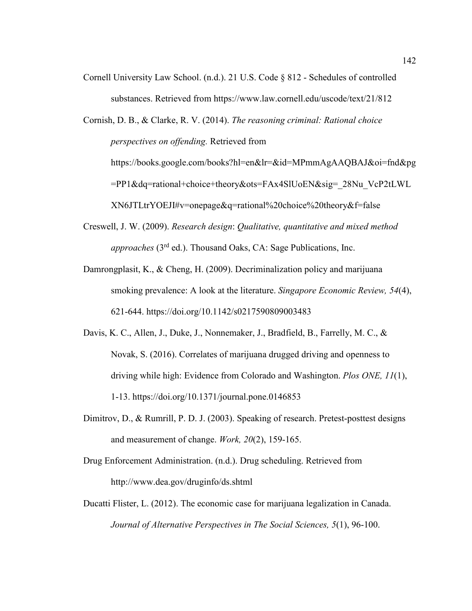Cornell University Law School. (n.d.). 21 U.S. Code § 812 - Schedules of controlled substances. Retrieved from https://www.law.cornell.edu/uscode/text/21/812

Cornish, D. B., & Clarke, R. V. (2014). *The reasoning criminal: Rational choice perspectives on offending.* Retrieved from https://books.google.com/books?hl=en&lr=&id=MPmmAgAAQBAJ&oi=fnd&pg =PP1&dq=rational+choice+theory&ots=FAx4SlUoEN&sig=\_28Nu\_VcP2tLWL XN6JTLtrYOEJI#v=onepage&q=rational%20choice%20theory&f=false

- Creswell, J. W. (2009). *Research design*: *Qualitative, quantitative and mixed method approaches* (3rd ed.). Thousand Oaks, CA: Sage Publications, Inc.
- Damrongplasit, K., & Cheng, H. (2009). Decriminalization policy and marijuana smoking prevalence: A look at the literature. *Singapore Economic Review, 54*(4), 621-644. https://doi.org/10.1142/s0217590809003483
- Davis, K. C., Allen, J., Duke, J., Nonnemaker, J., Bradfield, B., Farrelly, M. C., & Novak, S. (2016). Correlates of marijuana drugged driving and openness to driving while high: Evidence from Colorado and Washington. *Plos ONE, 11*(1), 1-13. https://doi.org/10.1371/journal.pone.0146853
- Dimitrov, D., & Rumrill, P. D. J. (2003). Speaking of research. Pretest-posttest designs and measurement of change. *Work, 20*(2), 159-165.
- Drug Enforcement Administration. (n.d.). Drug scheduling. Retrieved from http://www.dea.gov/druginfo/ds.shtml
- Ducatti Flister, L. (2012). The economic case for marijuana legalization in Canada. *Journal of Alternative Perspectives in The Social Sciences, 5*(1), 96-100.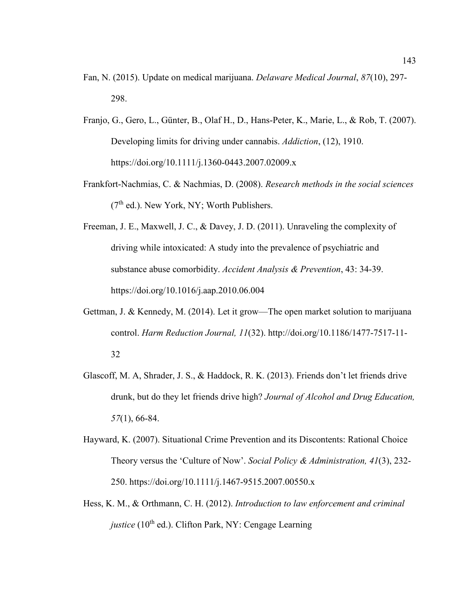- Fan, N. (2015). Update on medical marijuana. *Delaware Medical Journal*, *87*(10), 297- 298.
- Franjo, G., Gero, L., Günter, B., Olaf H., D., Hans-Peter, K., Marie, L., & Rob, T. (2007). Developing limits for driving under cannabis. *Addiction*, (12), 1910. https://doi.org/10.1111/j.1360-0443.2007.02009.x
- Frankfort-Nachmias, C. & Nachmias, D. (2008). *Research methods in the social sciences*   $(7<sup>th</sup>$  ed.). New York, NY: Worth Publishers.
- Freeman, J. E., Maxwell, J. C., & Davey, J. D. (2011). Unraveling the complexity of driving while intoxicated: A study into the prevalence of psychiatric and substance abuse comorbidity. *Accident Analysis & Prevention*, 43: 34-39. https://doi.org/10.1016/j.aap.2010.06.004
- Gettman, J. & Kennedy, M. (2014). Let it grow—The open market solution to marijuana control. *Harm Reduction Journal, 11*(32). http://doi.org/10.1186/1477-7517-11- 32
- Glascoff, M. A, Shrader, J. S., & Haddock, R. K. (2013). Friends don't let friends drive drunk, but do they let friends drive high? *Journal of Alcohol and Drug Education, 57*(1), 66-84.
- Hayward, K. (2007). Situational Crime Prevention and its Discontents: Rational Choice Theory versus the 'Culture of Now'. *Social Policy & Administration, 41*(3), 232- 250. https://doi.org/10.1111/j.1467-9515.2007.00550.x
- Hess, K. M., & Orthmann, C. H. (2012). *Introduction to law enforcement and criminal justice* ( $10^{th}$  ed.). Clifton Park, NY: Cengage Learning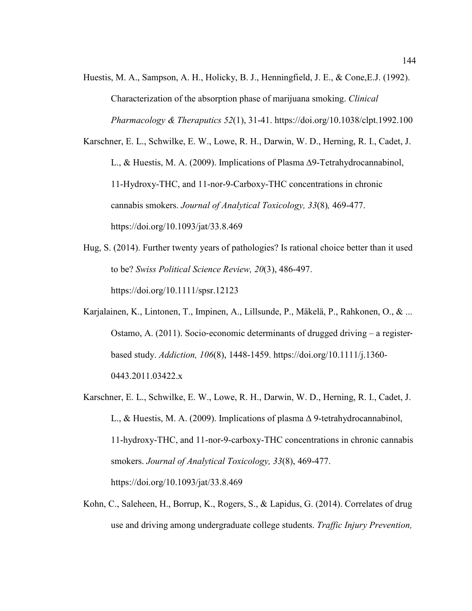Huestis, M. A., Sampson, A. H., Holicky, B. J., Henningfield, J. E., & Cone,E.J. (1992). Characterization of the absorption phase of marijuana smoking. *Clinical Pharmacology & Theraputics 52*(1), 31-41. https://doi.org/10.1038/clpt.1992.100

Karschner, E. L., Schwilke, E. W., Lowe, R. H., Darwin, W. D., Herning, R. I., Cadet, J. L., & Huestis, M. A. (2009). Implications of Plasma ∆9-Tetrahydrocannabinol, 11-Hydroxy-THC, and 11-nor-9-Carboxy-THC concentrations in chronic cannabis smokers. *Journal of Analytical Toxicology, 33*(8)*,* 469-477. https://doi.org/10.1093/jat/33.8.469

- Hug, S. (2014). Further twenty years of pathologies? Is rational choice better than it used to be? *Swiss Political Science Review, 20*(3), 486-497. https://doi.org/10.1111/spsr.12123
- Karjalainen, K., Lintonen, T., Impinen, A., Lillsunde, P., Mäkelä, P., Rahkonen, O., & ... Ostamo, A.  $(2011)$ . Socio-economic determinants of drugged driving – a registerbased study. *Addiction, 106*(8), 1448-1459. https://doi.org/10.1111/j.1360- 0443.2011.03422.x
- Karschner, E. L., Schwilke, E. W., Lowe, R. H., Darwin, W. D., Herning, R. I., Cadet, J. L., & Huestis, M. A. (2009). Implications of plasma ∆ 9-tetrahydrocannabinol, 11-hydroxy-THC, and 11-nor-9-carboxy-THC concentrations in chronic cannabis smokers. *Journal of Analytical Toxicology, 33*(8), 469-477. https://doi.org/10.1093/jat/33.8.469
- Kohn, C., Saleheen, H., Borrup, K., Rogers, S., & Lapidus, G. (2014). Correlates of drug use and driving among undergraduate college students. *Traffic Injury Prevention,*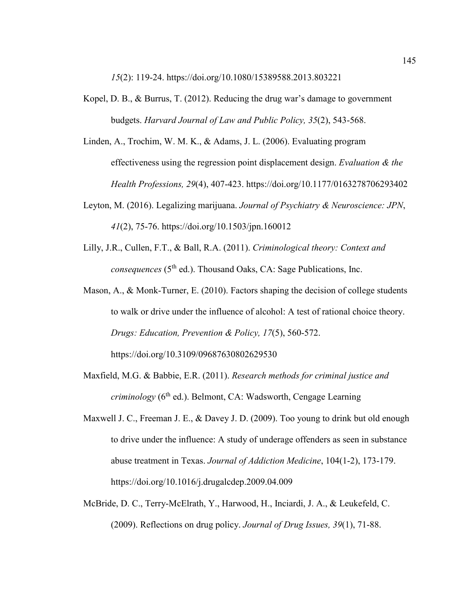*15*(2): 119-24. https://doi.org/10.1080/15389588.2013.803221

- Kopel, D. B., & Burrus, T. (2012). Reducing the drug war's damage to government budgets. *Harvard Journal of Law and Public Policy, 35*(2), 543-568.
- Linden, A., Trochim, W. M. K., & Adams, J. L. (2006). Evaluating program effectiveness using the regression point displacement design. *Evaluation & the Health Professions, 29*(4), 407-423. https://doi.org/10.1177/0163278706293402
- Leyton, M. (2016). Legalizing marijuana. *Journal of Psychiatry & Neuroscience: JPN*, *41*(2), 75-76. https://doi.org/10.1503/jpn.160012
- Lilly, J.R., Cullen, F.T., & Ball, R.A. (2011). *Criminological theory: Context and consequences* (5<sup>th</sup> ed.). Thousand Oaks, CA: Sage Publications, Inc.
- Mason, A., & Monk-Turner, E. (2010). Factors shaping the decision of college students to walk or drive under the influence of alcohol: A test of rational choice theory. *Drugs: Education, Prevention & Policy, 17*(5), 560-572.

https://doi.org/10.3109/09687630802629530

- Maxfield, M.G. & Babbie, E.R. (2011). *Research methods for criminal justice and criminology* (6<sup>th</sup> ed.). Belmont, CA: Wadsworth, Cengage Learning
- Maxwell J. C., Freeman J. E., & Davey J. D. (2009). Too young to drink but old enough to drive under the influence: A study of underage offenders as seen in substance abuse treatment in Texas. *Journal of Addiction Medicine*, 104(1-2), 173-179. https://doi.org/10.1016/j.drugalcdep.2009.04.009
- McBride, D. C., Terry-McElrath, Y., Harwood, H., Inciardi, J. A., & Leukefeld, C. (2009). Reflections on drug policy. *Journal of Drug Issues, 39*(1), 71-88.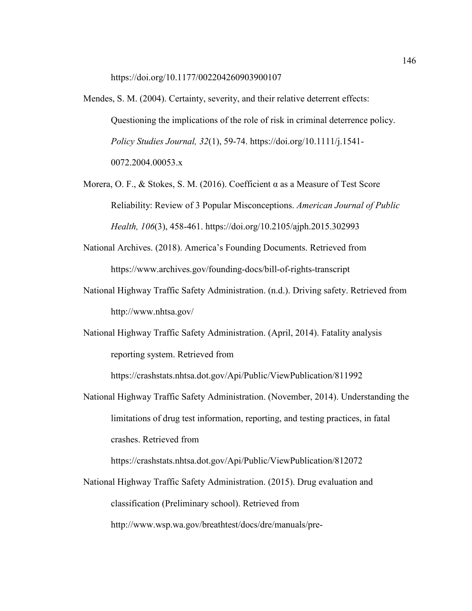https://doi.org/10.1177/002204260903900107

- Mendes, S. M. (2004). Certainty, severity, and their relative deterrent effects: Questioning the implications of the role of risk in criminal deterrence policy. *Policy Studies Journal, 32*(1), 59-74. https://doi.org/10.1111/j.1541- 0072.2004.00053.x
- Morera, O. F., & Stokes, S. M. (2016). Coefficient α as a Measure of Test Score Reliability: Review of 3 Popular Misconceptions. *American Journal of Public Health, 106*(3), 458-461. https://doi.org/10.2105/ajph.2015.302993
- National Archives. (2018). America's Founding Documents. Retrieved from https://www.archives.gov/founding-docs/bill-of-rights-transcript
- National Highway Traffic Safety Administration. (n.d.). Driving safety. Retrieved from http://www.nhtsa.gov/
- National Highway Traffic Safety Administration. (April, 2014). Fatality analysis reporting system. Retrieved from

https://crashstats.nhtsa.dot.gov/Api/Public/ViewPublication/811992

National Highway Traffic Safety Administration. (November, 2014). Understanding the limitations of drug test information, reporting, and testing practices, in fatal crashes. Retrieved from

https://crashstats.nhtsa.dot.gov/Api/Public/ViewPublication/812072

National Highway Traffic Safety Administration. (2015). Drug evaluation and classification (Preliminary school). Retrieved from http://www.wsp.wa.gov/breathtest/docs/dre/manuals/pre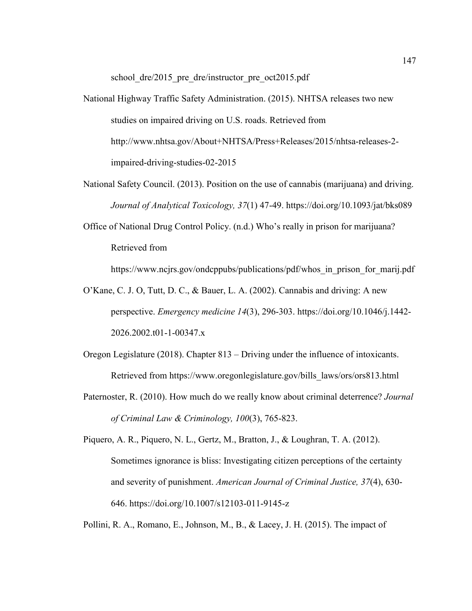school dre/2015 pre dre/instructor pre oct2015.pdf

- National Highway Traffic Safety Administration. (2015). NHTSA releases two new studies on impaired driving on U.S. roads. Retrieved from http://www.nhtsa.gov/About+NHTSA/Press+Releases/2015/nhtsa-releases-2 impaired-driving-studies-02-2015
- National Safety Council. (2013). Position on the use of cannabis (marijuana) and driving. *Journal of Analytical Toxicology, 37*(1) 47-49. https://doi.org/10.1093/jat/bks089
- Office of National Drug Control Policy. (n.d.) Who's really in prison for marijuana? Retrieved from

https://www.ncjrs.gov/ondcppubs/publications/pdf/whos in prison for marij.pdf

- O'Kane, C. J. O, Tutt, D. C., & Bauer, L. A. (2002). Cannabis and driving: A new perspective. *Emergency medicine 14*(3), 296-303. https://doi.org/10.1046/j.1442- 2026.2002.t01-1-00347.x
- Oregon Legislature (2018). Chapter 813 Driving under the influence of intoxicants. Retrieved from https://www.oregonlegislature.gov/bills\_laws/ors/ors813.html
- Paternoster, R. (2010). How much do we really know about criminal deterrence? *Journal of Criminal Law & Criminology, 100*(3), 765-823.
- Piquero, A. R., Piquero, N. L., Gertz, M., Bratton, J., & Loughran, T. A. (2012). Sometimes ignorance is bliss: Investigating citizen perceptions of the certainty and severity of punishment. *American Journal of Criminal Justice, 37*(4), 630- 646. https://doi.org/10.1007/s12103-011-9145-z

Pollini, R. A., Romano, E., Johnson, M., B., & Lacey, J. H. (2015). The impact of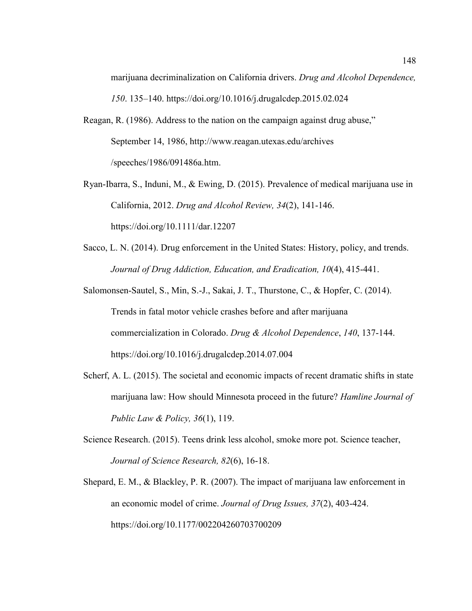marijuana decriminalization on California drivers. *Drug and Alcohol Dependence, 150*. 135–140. https://doi.org/10.1016/j.drugalcdep.2015.02.024

- Reagan, R. (1986). Address to the nation on the campaign against drug abuse," September 14, 1986, http://www.reagan.utexas.edu/archives /speeches/1986/091486a.htm.
- Ryan-Ibarra, S., Induni, M., & Ewing, D. (2015). Prevalence of medical marijuana use in California, 2012. *Drug and Alcohol Review, 34*(2), 141-146. https://doi.org/10.1111/dar.12207
- Sacco, L. N. (2014). Drug enforcement in the United States: History, policy, and trends. *Journal of Drug Addiction, Education, and Eradication, 10*(4), 415-441.
- Salomonsen-Sautel, S., Min, S.-J., Sakai, J. T., Thurstone, C., & Hopfer, C. (2014). Trends in fatal motor vehicle crashes before and after marijuana commercialization in Colorado. *Drug & Alcohol Dependence*, *140*, 137-144. https://doi.org/10.1016/j.drugalcdep.2014.07.004
- Scherf, A. L. (2015). The societal and economic impacts of recent dramatic shifts in state marijuana law: How should Minnesota proceed in the future? *Hamline Journal of Public Law & Policy, 36*(1), 119.
- Science Research. (2015). Teens drink less alcohol, smoke more pot. Science teacher, *Journal of Science Research, 82*(6), 16-18.
- Shepard, E. M., & Blackley, P. R. (2007). The impact of marijuana law enforcement in an economic model of crime. *Journal of Drug Issues, 37*(2), 403-424. https://doi.org/10.1177/002204260703700209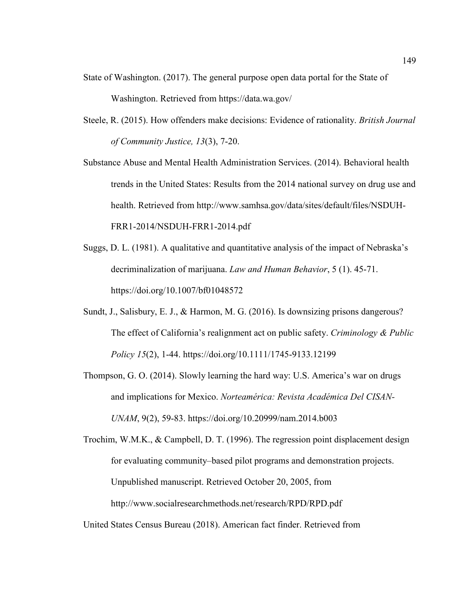- State of Washington. (2017). The general purpose open data portal for the State of Washington. Retrieved from https://data.wa.gov/
- Steele, R. (2015). How offenders make decisions: Evidence of rationality. *British Journal of Community Justice, 13*(3), 7-20.

Substance Abuse and Mental Health Administration Services. (2014). Behavioral health trends in the United States: Results from the 2014 national survey on drug use and health. Retrieved from http://www.samhsa.gov/data/sites/default/files/NSDUH-FRR1-2014/NSDUH-FRR1-2014.pdf

- Suggs, D. L. (1981). A qualitative and quantitative analysis of the impact of Nebraska's decriminalization of marijuana. *Law and Human Behavior*, 5 (1). 45-71. https://doi.org/10.1007/bf01048572
- Sundt, J., Salisbury, E. J., & Harmon, M. G. (2016). Is downsizing prisons dangerous? The effect of California's realignment act on public safety. *Criminology & Public Policy 15*(2), 1-44. https://doi.org/10.1111/1745-9133.12199
- Thompson, G. O. (2014). Slowly learning the hard way: U.S. America's war on drugs and implications for Mexico. *Norteamérica: Revista Académica Del CISAN-UNAM*, 9(2), 59-83. https://doi.org/10.20999/nam.2014.b003

Trochim, W.M.K., & Campbell, D. T. (1996). The regression point displacement design for evaluating community–based pilot programs and demonstration projects. Unpublished manuscript. Retrieved October 20, 2005, from http://www.socialresearchmethods.net/research/RPD/RPD.pdf

United States Census Bureau (2018). American fact finder. Retrieved from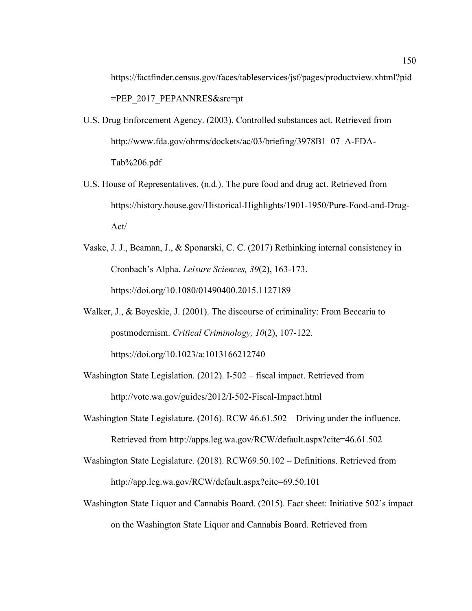https://factfinder.census.gov/faces/tableservices/jsf/pages/productview.xhtml?pid  $=$ PEP 2017 PEPANNRES $&$ src $=$ pt

- U.S. Drug Enforcement Agency. (2003). Controlled substances act. Retrieved from http://www.fda.gov/ohrms/dockets/ac/03/briefing/3978B1\_07\_A-FDA-Tab%206.pdf
- U.S. House of Representatives. (n.d.). The pure food and drug act. Retrieved from https://history.house.gov/Historical-Highlights/1901-1950/Pure-Food-and-Drug-Act/
- Vaske, J. J., Beaman, J., & Sponarski, C. C. (2017) Rethinking internal consistency in Cronbach's Alpha. *Leisure Sciences, 39*(2), 163-173. https://doi.org/10.1080/01490400.2015.1127189
- Walker, J., & Boyeskie, J. (2001). The discourse of criminality: From Beccaria to postmodernism. *Critical Criminology, 10*(2), 107-122. https://doi.org/10.1023/a:1013166212740
- Washington State Legislation. (2012). I-502 fiscal impact. Retrieved from http://vote.wa.gov/guides/2012/I-502-Fiscal-Impact.html
- Washington State Legislature. (2016). RCW 46.61.502 Driving under the influence. Retrieved from http://apps.leg.wa.gov/RCW/default.aspx?cite=46.61.502
- Washington State Legislature. (2018). RCW69.50.102 Definitions. Retrieved from http://app.leg.wa.gov/RCW/default.aspx?cite=69.50.101
- Washington State Liquor and Cannabis Board. (2015). Fact sheet: Initiative 502's impact on the Washington State Liquor and Cannabis Board. Retrieved from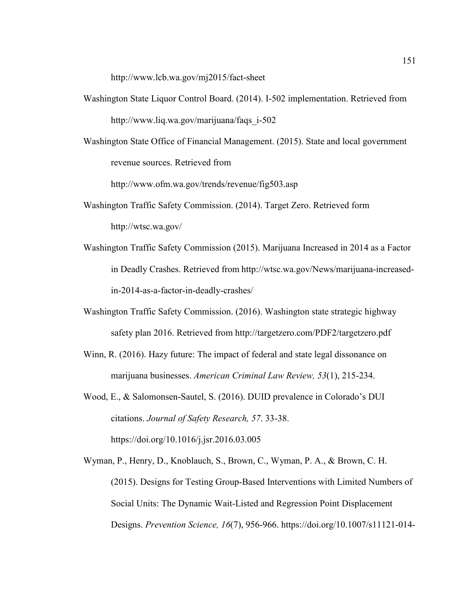http://www.lcb.wa.gov/mj2015/fact-sheet

- Washington State Liquor Control Board. (2014). I-502 implementation. Retrieved from http://www.liq.wa.gov/marijuana/faqs\_i-502
- Washington State Office of Financial Management. (2015). State and local government revenue sources. Retrieved from

http://www.ofm.wa.gov/trends/revenue/fig503.asp

- Washington Traffic Safety Commission. (2014). Target Zero. Retrieved form http://wtsc.wa.gov/
- Washington Traffic Safety Commission (2015). Marijuana Increased in 2014 as a Factor in Deadly Crashes. Retrieved from http://wtsc.wa.gov/News/marijuana-increasedin-2014-as-a-factor-in-deadly-crashes/
- Washington Traffic Safety Commission. (2016). Washington state strategic highway safety plan 2016. Retrieved from http://targetzero.com/PDF2/targetzero.pdf
- Winn, R. (2016). Hazy future: The impact of federal and state legal dissonance on marijuana businesses. *American Criminal Law Review, 53*(1), 215-234.
- Wood, E., & Salomonsen-Sautel, S. (2016). DUID prevalence in Colorado's DUI citations. *Journal of Safety Research, 57*. 33-38. https://doi.org/10.1016/j.jsr.2016.03.005
- Wyman, P., Henry, D., Knoblauch, S., Brown, C., Wyman, P. A., & Brown, C. H. (2015). Designs for Testing Group-Based Interventions with Limited Numbers of Social Units: The Dynamic Wait-Listed and Regression Point Displacement Designs. *Prevention Science, 16*(7), 956-966. https://doi.org/10.1007/s11121-014-